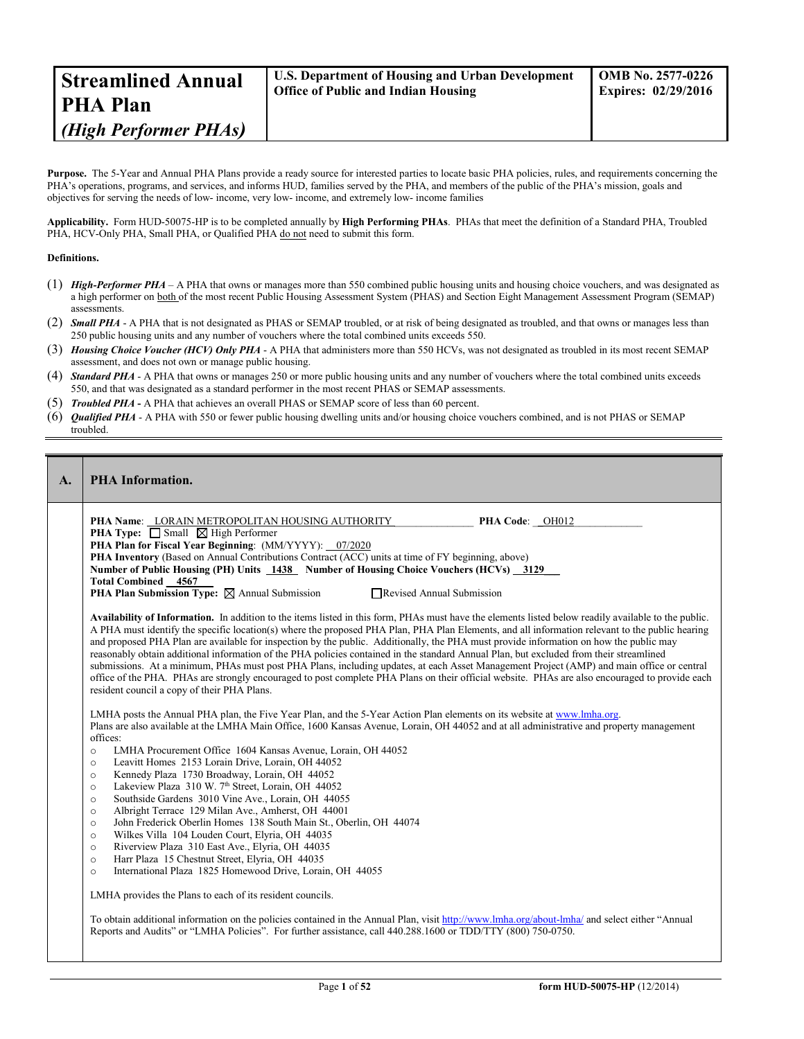| <b>Streamlined Annual</b> | <b>U.S. Department of Housing and Urban Development</b> | <b>OMB No. 2577-0226</b>   |
|---------------------------|---------------------------------------------------------|----------------------------|
| <b>PHA Plan</b>           | <b>Office of Public and Indian Housing</b>              | <b>Expires: 02/29/2016</b> |
| (High Performer PHAs)     |                                                         |                            |

**Purpose.** The 5-Year and Annual PHA Plans provide a ready source for interested parties to locate basic PHA policies, rules, and requirements concerning the PHA's operations, programs, and services, and informs HUD, families served by the PHA, and members of the public of the PHA's mission, goals and objectives for serving the needs of low- income, very low- income, and extremely low- income families

**Applicability.** Form HUD-50075-HP is to be completed annually by **High Performing PHAs**. PHAs that meet the definition of a Standard PHA, Troubled PHA, HCV-Only PHA, Small PHA, or Qualified PHA do not need to submit this form.

### **Definitions.**

- (1) *High-Performer PHA* A PHA that owns or manages more than 550 combined public housing units and housing choice vouchers, and was designated as a high performer on both of the most recent Public Housing Assessment System (PHAS) and Section Eight Management Assessment Program (SEMAP) assessments.
- (2) *Small PHA* A PHA that is not designated as PHAS or SEMAP troubled, or at risk of being designated as troubled, and that owns or manages less than 250 public housing units and any number of vouchers where the total combined units exceeds 550.
- (3) *Housing Choice Voucher (HCV) Only PHA* A PHA that administers more than 550 HCVs, was not designated as troubled in its most recent SEMAP assessment, and does not own or manage public housing.
- (4) *Standard PHA* A PHA that owns or manages 250 or more public housing units and any number of vouchers where the total combined units exceeds 550, and that was designated as a standard performer in the most recent PHAS or SEMAP assessments.
- (5) *Troubled PHA* **-** A PHA that achieves an overall PHAS or SEMAP score of less than 60 percent.
- (6) *Qualified PHA* A PHA with 550 or fewer public housing dwelling units and/or housing choice vouchers combined, and is not PHAS or SEMAP troubled.

| A. | <b>PHA Information.</b>                                                                                                                                                                                                                                                                                                                                                                                                                                                                                                                                                                                                                                                                                                                                                                                                                                                                                                                                                                                                                                                                                                                                                                                                                                                                                                                                                                                                                                                                                                                                                                                                                                                                                                                                                                                                                                                                                                                                                                                                                                                                                                                                                                                                                                                                                                                                                                                                                                                                                                                                                                                                                                                                                                                                                                                                                                             |
|----|---------------------------------------------------------------------------------------------------------------------------------------------------------------------------------------------------------------------------------------------------------------------------------------------------------------------------------------------------------------------------------------------------------------------------------------------------------------------------------------------------------------------------------------------------------------------------------------------------------------------------------------------------------------------------------------------------------------------------------------------------------------------------------------------------------------------------------------------------------------------------------------------------------------------------------------------------------------------------------------------------------------------------------------------------------------------------------------------------------------------------------------------------------------------------------------------------------------------------------------------------------------------------------------------------------------------------------------------------------------------------------------------------------------------------------------------------------------------------------------------------------------------------------------------------------------------------------------------------------------------------------------------------------------------------------------------------------------------------------------------------------------------------------------------------------------------------------------------------------------------------------------------------------------------------------------------------------------------------------------------------------------------------------------------------------------------------------------------------------------------------------------------------------------------------------------------------------------------------------------------------------------------------------------------------------------------------------------------------------------------------------------------------------------------------------------------------------------------------------------------------------------------------------------------------------------------------------------------------------------------------------------------------------------------------------------------------------------------------------------------------------------------------------------------------------------------------------------------------------------------|
|    | PHA Name: LORAIN METROPOLITAN HOUSING AUTHORITY<br>PHA Code: OH012<br><b>PHA Type:</b> $\Box$ Small $\Box$ High Performer<br>PHA Plan for Fiscal Year Beginning: (MM/YYYY): 07/2020<br><b>PHA Inventory</b> (Based on Annual Contributions Contract (ACC) units at time of FY beginning, above)<br>Number of Public Housing (PH) Units 1438 Number of Housing Choice Vouchers (HCVs) 3129<br><b>Total Combined 4567</b><br><b>PHA Plan Submission Type:</b> $\boxtimes$ Annual Submission<br>Revised Annual Submission<br>Availability of Information. In addition to the items listed in this form, PHAs must have the elements listed below readily available to the public.<br>A PHA must identify the specific location(s) where the proposed PHA Plan, PHA Plan Elements, and all information relevant to the public hearing<br>and proposed PHA Plan are available for inspection by the public. Additionally, the PHA must provide information on how the public may<br>reasonably obtain additional information of the PHA policies contained in the standard Annual Plan, but excluded from their streamlined<br>submissions. At a minimum, PHAs must post PHA Plans, including updates, at each Asset Management Project (AMP) and main office or central<br>office of the PHA. PHAs are strongly encouraged to post complete PHA Plans on their official website. PHAs are also encouraged to provide each<br>resident council a copy of their PHA Plans.<br>LMHA posts the Annual PHA plan, the Five Year Plan, and the 5-Year Action Plan elements on its website at www.lmha.org.<br>Plans are also available at the LMHA Main Office, 1600 Kansas Avenue, Lorain, OH 44052 and at all administrative and property management<br>offices:<br>LMHA Procurement Office 1604 Kansas Avenue, Lorain, OH 44052<br>$\Omega$<br>Leavitt Homes 2153 Lorain Drive, Lorain, OH 44052<br>$\circ$<br>Kennedy Plaza 1730 Broadway, Lorain, OH 44052<br>$\circ$<br>Lakeview Plaza 310 W. 7 <sup>th</sup> Street, Lorain, OH 44052<br>$\circ$<br>Southside Gardens 3010 Vine Ave., Lorain, OH 44055<br>$\circ$<br>Albright Terrace 129 Milan Ave., Amherst, OH 44001<br>$\circ$<br>John Frederick Oberlin Homes 138 South Main St., Oberlin, OH 44074<br>$\Omega$<br>Wilkes Villa 104 Louden Court, Elyria, OH 44035<br>$\circ$<br>Riverview Plaza 310 East Ave., Elyria, OH 44035<br>$\circ$<br>Harr Plaza 15 Chestnut Street, Elyria, OH 44035<br>$\circ$<br>International Plaza 1825 Homewood Drive, Lorain, OH 44055<br>$\Omega$<br>LMHA provides the Plans to each of its resident councils.<br>To obtain additional information on the policies contained in the Annual Plan, visit http://www.lmha.org/about-lmha/ and select either "Annual"<br>Reports and Audits" or "LMHA Policies". For further assistance, call 440.288.1600 or TDD/TTY (800) 750-0750. |
|    |                                                                                                                                                                                                                                                                                                                                                                                                                                                                                                                                                                                                                                                                                                                                                                                                                                                                                                                                                                                                                                                                                                                                                                                                                                                                                                                                                                                                                                                                                                                                                                                                                                                                                                                                                                                                                                                                                                                                                                                                                                                                                                                                                                                                                                                                                                                                                                                                                                                                                                                                                                                                                                                                                                                                                                                                                                                                     |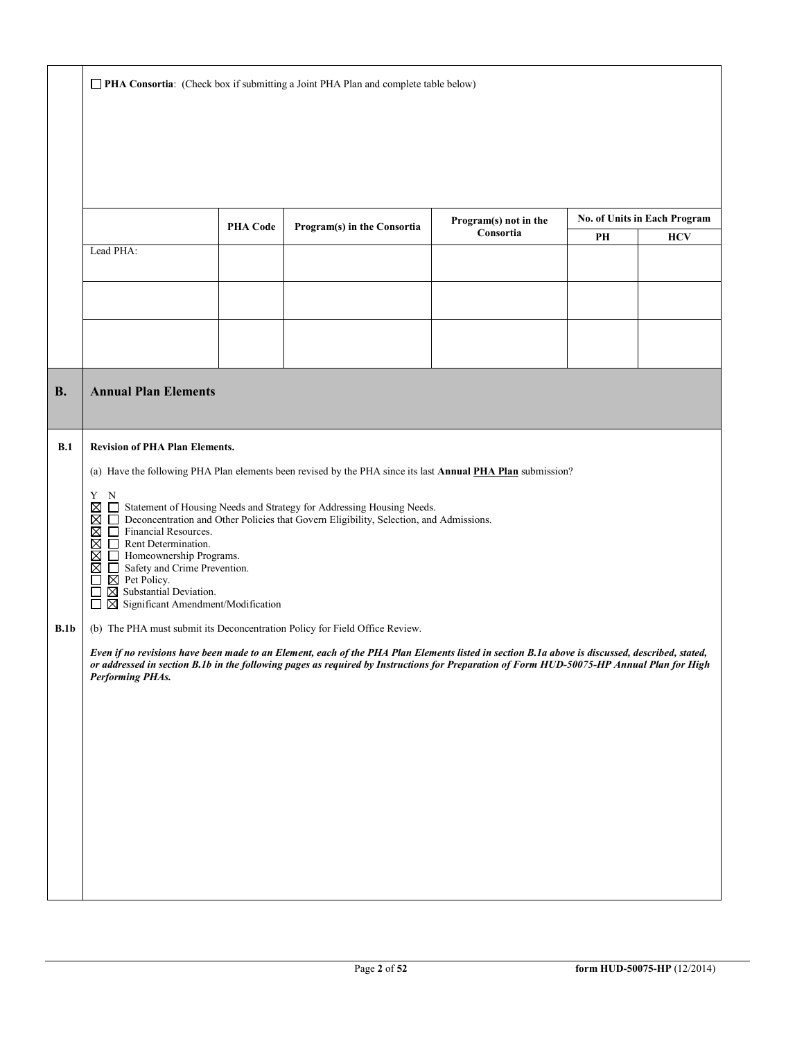**PHA Consortia**: (Check box if submitting a Joint PHA Plan and complete table below)

|           |                                                                                                                                                                                                                                                                                                                                                                                                                                                                                                     | <b>PHA Code</b> | Program(s) in the Consortia                                                                                 | Program(s) not in the |    | No. of Units in Each Program |  |  |
|-----------|-----------------------------------------------------------------------------------------------------------------------------------------------------------------------------------------------------------------------------------------------------------------------------------------------------------------------------------------------------------------------------------------------------------------------------------------------------------------------------------------------------|-----------------|-------------------------------------------------------------------------------------------------------------|-----------------------|----|------------------------------|--|--|
|           |                                                                                                                                                                                                                                                                                                                                                                                                                                                                                                     |                 |                                                                                                             | Consortia             | PH | <b>HCV</b>                   |  |  |
|           | Lead PHA:                                                                                                                                                                                                                                                                                                                                                                                                                                                                                           |                 |                                                                                                             |                       |    |                              |  |  |
|           |                                                                                                                                                                                                                                                                                                                                                                                                                                                                                                     |                 |                                                                                                             |                       |    |                              |  |  |
|           |                                                                                                                                                                                                                                                                                                                                                                                                                                                                                                     |                 |                                                                                                             |                       |    |                              |  |  |
| <b>B.</b> | <b>Annual Plan Elements</b>                                                                                                                                                                                                                                                                                                                                                                                                                                                                         |                 |                                                                                                             |                       |    |                              |  |  |
| B.1       | <b>Revision of PHA Plan Elements.</b>                                                                                                                                                                                                                                                                                                                                                                                                                                                               |                 |                                                                                                             |                       |    |                              |  |  |
|           |                                                                                                                                                                                                                                                                                                                                                                                                                                                                                                     |                 | (a) Have the following PHA Plan elements been revised by the PHA since its last Annual PHA Plan submission? |                       |    |                              |  |  |
|           | Y<br>N<br>$\boxtimes$<br>Statement of Housing Needs and Strategy for Addressing Housing Needs.<br>$\Box$<br>$\Box$<br>Deconcentration and Other Policies that Govern Eligibility, Selection, and Admissions.<br>⊠<br>Financial Resources.<br>⊠<br>□.<br>⊠<br>$\Box$ Rent Determination.<br>⊠<br>Homeownership Programs.<br>$\boxtimes$<br>Safety and Crime Prevention.<br>$\boxtimes$ Pet Policy.<br>$\boxtimes$ Substantial Deviation.<br>ப<br>$\boxtimes$ Significant Amendment/Modification<br>П |                 |                                                                                                             |                       |    |                              |  |  |
| B.1b      | (b) The PHA must submit its Deconcentration Policy for Field Office Review.                                                                                                                                                                                                                                                                                                                                                                                                                         |                 |                                                                                                             |                       |    |                              |  |  |
|           | Even if no revisions have been made to an Element, each of the PHA Plan Elements listed in section B.1a above is discussed, described, stated,<br>or addressed in section B.1b in the following pages as required by Instructions for Preparation of Form HUD-50075-HP Annual Plan for High<br><b>Performing PHAs.</b>                                                                                                                                                                              |                 |                                                                                                             |                       |    |                              |  |  |
|           |                                                                                                                                                                                                                                                                                                                                                                                                                                                                                                     |                 |                                                                                                             |                       |    |                              |  |  |
|           |                                                                                                                                                                                                                                                                                                                                                                                                                                                                                                     |                 |                                                                                                             |                       |    |                              |  |  |
|           |                                                                                                                                                                                                                                                                                                                                                                                                                                                                                                     |                 |                                                                                                             |                       |    |                              |  |  |
|           |                                                                                                                                                                                                                                                                                                                                                                                                                                                                                                     |                 |                                                                                                             |                       |    |                              |  |  |
|           |                                                                                                                                                                                                                                                                                                                                                                                                                                                                                                     |                 |                                                                                                             |                       |    |                              |  |  |
|           |                                                                                                                                                                                                                                                                                                                                                                                                                                                                                                     |                 |                                                                                                             |                       |    |                              |  |  |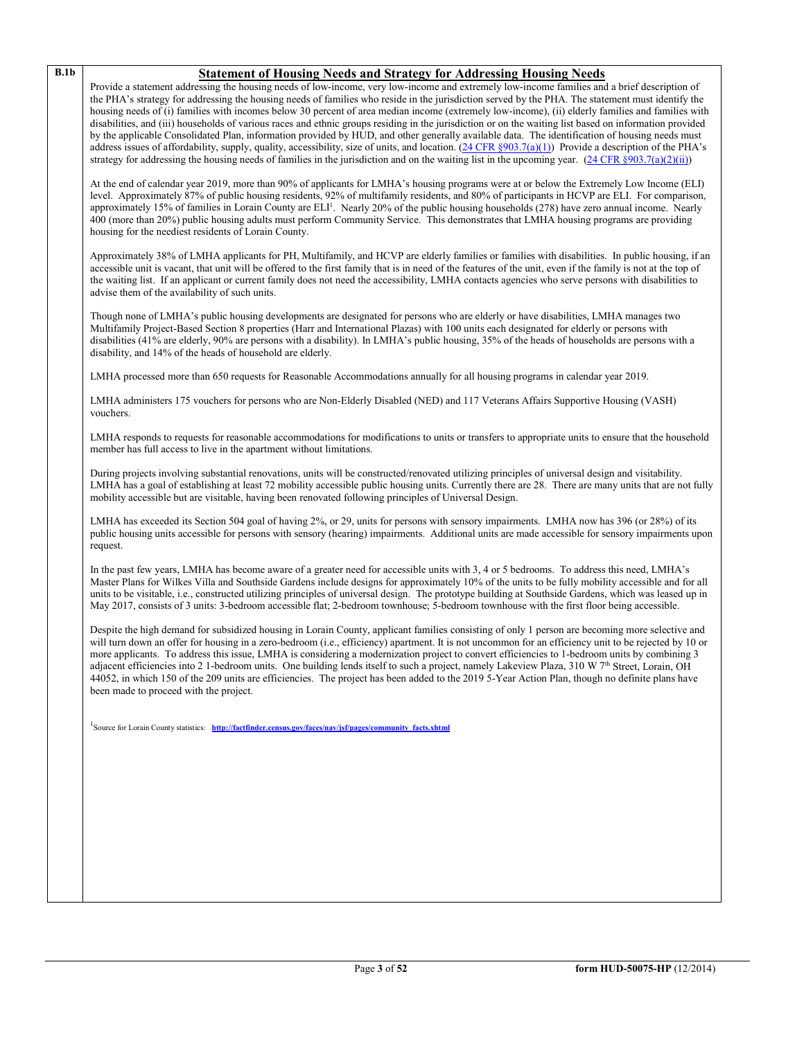# **B.1b Statement of Housing Needs and Strategy for Addressing Housing Needs**

Provide a statement addressing the housing needs of low-income, very low-income and extremely low-income families and a brief description of the PHA's strategy for addressing the housing needs of families who reside in the jurisdiction served by the PHA. The statement must identify the housing needs of (i) families with incomes below 30 percent of area median income (extremely low-income), (ii) elderly families and families with disabilities, and (iii) households of various races and ethnic groups residing in the jurisdiction or on the waiting list based on information provided by the applicable Consolidated Plan, information provided by HUD, and other generally available data. The identification of housing needs must address issues of affordability, supply, quality, accessibility, size of units, and location.  $(24 \text{ CFR } \frac{8903.7(a)(1)}{24 \text{ CFR } \frac{8903.7(a)(1)}{24 \text{ CFR } \frac{360}{24 \text{ CFR } \frac{360}{24 \text{ CFR } \frac{360}{24 \text{ CFR } \frac{360}{24 \text{ CFR } \frac{360}{24 \text{ C$ strategy for addressing the housing needs of families in the jurisdiction and on the waiting list in the upcoming year. [\(24 CFR §903.7\(a\)\(2\)\(ii\)\)](http://ecfr.gpoaccess.gov/cgi/t/text/text-idx?c=ecfr&sid=13734845220744370804c20da2294a03&rgn=div5&view=text&node=24:4.0.3.1.3&idno=24#24:4.0.3.1.3.2.5.5)

At the end of calendar year 2019, more than 90% of applicants for LMHA's housing programs were at or below the Extremely Low Income (ELI) level. Approximately 87% of public housing residents, 92% of multifamily residents, and 80% of participants in HCVP are ELI. For comparison, approximately 15% of families in Lorain County are ELI<sup>1</sup>. Nearly 20% of the public housing households (278) have zero annual income. Nearly 400 (more than 20%) public housing adults must perform Community Service. This demonstrates that LMHA housing programs are providing housing for the neediest residents of Lorain County.

Approximately 38% of LMHA applicants for PH, Multifamily, and HCVP are elderly families or families with disabilities. In public housing, if an accessible unit is vacant, that unit will be offered to the first family that is in need of the features of the unit, even if the family is not at the top of the waiting list. If an applicant or current family does not need the accessibility, LMHA contacts agencies who serve persons with disabilities to advise them of the availability of such units.

Though none of LMHA's public housing developments are designated for persons who are elderly or have disabilities, LMHA manages two Multifamily Project-Based Section 8 properties (Harr and International Plazas) with 100 units each designated for elderly or persons with disabilities (41% are elderly, 90% are persons with a disability). In LMHA's public housing, 35% of the heads of households are persons with a disability, and 14% of the heads of household are elderly.

LMHA processed more than 650 requests for Reasonable Accommodations annually for all housing programs in calendar year 2019.

LMHA administers 175 vouchers for persons who are Non-Elderly Disabled (NED) and 117 Veterans Affairs Supportive Housing (VASH) vouchers.

LMHA responds to requests for reasonable accommodations for modifications to units or transfers to appropriate units to ensure that the household member has full access to live in the apartment without limitations.

During projects involving substantial renovations, units will be constructed/renovated utilizing principles of universal design and visitability. LMHA has a goal of establishing at least 72 mobility accessible public housing units. Currently there are 28. There are many units that are not fully mobility accessible but are visitable, having been renovated following principles of Universal Design.

LMHA has exceeded its Section 504 goal of having 2%, or 29, units for persons with sensory impairments. LMHA now has 396 (or 28%) of its public housing units accessible for persons with sensory (hearing) impairments. Additional units are made accessible for sensory impairments upon request.

In the past few years, LMHA has become aware of a greater need for accessible units with 3, 4 or 5 bedrooms. To address this need, LMHA's Master Plans for Wilkes Villa and Southside Gardens include designs for approximately 10% of the units to be fully mobility accessible and for all units to be visitable, i.e., constructed utilizing principles of universal design. The prototype building at Southside Gardens, which was leased up in May 2017, consists of 3 units: 3-bedroom accessible flat; 2-bedroom townhouse; 5-bedroom townhouse with the first floor being accessible.

Despite the high demand for subsidized housing in Lorain County, applicant families consisting of only 1 person are becoming more selective and will turn down an offer for housing in a zero-bedroom (i.e., efficiency) apartment. It is not uncommon for an efficiency unit to be rejected by 10 or more applicants. To address this issue, LMHA is considering a modernization project to convert efficiencies to 1-bedroom units by combining 3 adjacent efficiencies into 2 1-bedroom units. One building lends itself to such a project, namely Lakeview Plaza, 310 W 7<sup>th</sup> Street, Lorain, OH 44052, in which 150 of the 209 units are efficiencies. The project has been added to the 2019 5-Year Action Plan, though no definite plans have been made to proceed with the project.

<sup>1</sup> Source for Lorain County statistics: **http://factfinder.census.gov/faces/nav/jsf/pages/community\_facts.xhtml**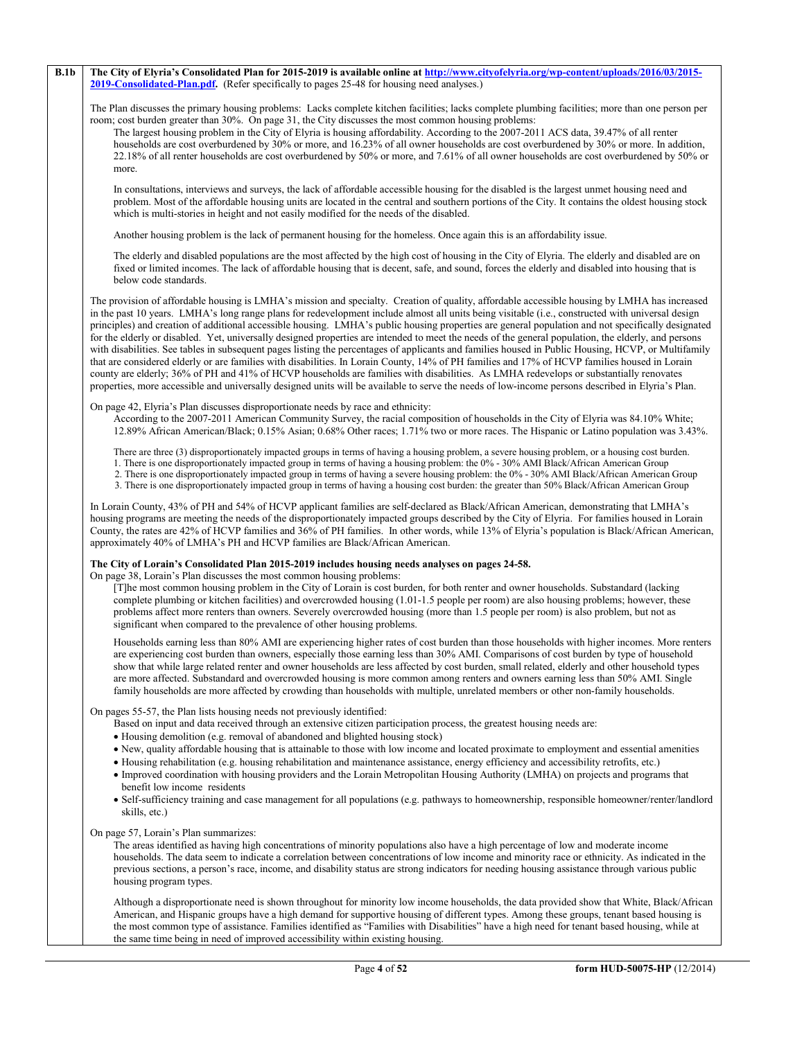#### **B.1b The City of Elyria's Consolidated Plan for 2015-2019 is available online a[t http://www.cityofelyria.org/wp-content/uploads/2016/03/2015-](http://www.cityofelyria.org/wp-content/uploads/2016/03/2015-2019-Consolidated-Plan.pdf) [2019-Consolidated-Plan.pdf.](http://www.cityofelyria.org/wp-content/uploads/2016/03/2015-2019-Consolidated-Plan.pdf)** (Refer specifically to pages 25-48 for housing need analyses.)

The Plan discusses the primary housing problems: Lacks complete kitchen facilities; lacks complete plumbing facilities; more than one person per room; cost burden greater than 30%. On page 31, the City discusses the most common housing problems:

The largest housing problem in the City of Elyria is housing affordability. According to the 2007-2011 ACS data, 39.47% of all renter households are cost overburdened by 30% or more, and 16.23% of all owner households are cost overburdened by 30% or more. In addition, 22.18% of all renter households are cost overburdened by 50% or more, and 7.61% of all owner households are cost overburdened by 50% or more.

In consultations, interviews and surveys, the lack of affordable accessible housing for the disabled is the largest unmet housing need and problem. Most of the affordable housing units are located in the central and southern portions of the City. It contains the oldest housing stock which is multi-stories in height and not easily modified for the needs of the disabled.

Another housing problem is the lack of permanent housing for the homeless. Once again this is an affordability issue.

The elderly and disabled populations are the most affected by the high cost of housing in the City of Elyria. The elderly and disabled are on fixed or limited incomes. The lack of affordable housing that is decent, safe, and sound, forces the elderly and disabled into housing that is below code standards.

The provision of affordable housing is LMHA's mission and specialty. Creation of quality, affordable accessible housing by LMHA has increased in the past 10 years. LMHA's long range plans for redevelopment include almost all units being visitable (i.e., constructed with universal design principles) and creation of additional accessible housing. LMHA's public housing properties are general population and not specifically designated for the elderly or disabled. Yet, universally designed properties are intended to meet the needs of the general population, the elderly, and persons with disabilities. See tables in subsequent pages listing the percentages of applicants and families housed in Public Housing, HCVP, or Multifamily that are considered elderly or are families with disabilities. In Lorain County, 14% of PH families and 17% of HCVP families housed in Lorain county are elderly; 36% of PH and 41% of HCVP households are families with disabilities. As LMHA redevelops or substantially renovates properties, more accessible and universally designed units will be available to serve the needs of low-income persons described in Elyria's Plan.

#### On page 42, Elyria's Plan discusses disproportionate needs by race and ethnicity:

According to the 2007-2011 American Community Survey, the racial composition of households in the City of Elyria was 84.10% White; 12.89% African American/Black; 0.15% Asian; 0.68% Other races; 1.71% two or more races. The Hispanic or Latino population was 3.43%.

There are three (3) disproportionately impacted groups in terms of having a housing problem, a severe housing problem, or a housing cost burden.

1. There is one disproportionately impacted group in terms of having a housing problem: the 0% - 30% AMI Black/African American Group

- 2. There is one disproportionately impacted group in terms of having a severe housing problem: the 0% 30% AMI Black/African American Group
- 3. There is one disproportionately impacted group in terms of having a housing cost burden: the greater than 50% Black/African American Group

In Lorain County, 43% of PH and 54% of HCVP applicant families are self-declared as Black/African American, demonstrating that LMHA's housing programs are meeting the needs of the disproportionately impacted groups described by the City of Elyria. For families housed in Lorain County, the rates are 42% of HCVP families and 36% of PH families. In other words, while 13% of Elyria's population is Black/African American, approximately 40% of LMHA's PH and HCVP families are Black/African American.

#### **The City of Lorain's Consolidated Plan 2015-2019 includes housing needs analyses on pages 24-58.**

On page 38, Lorain's Plan discusses the most common housing problems:

[T]he most common housing problem in the City of Lorain is cost burden, for both renter and owner households. Substandard (lacking complete plumbing or kitchen facilities) and overcrowded housing (1.01-1.5 people per room) are also housing problems; however, these problems affect more renters than owners. Severely overcrowded housing (more than 1.5 people per room) is also problem, but not as significant when compared to the prevalence of other housing problems.

Households earning less than 80% AMI are experiencing higher rates of cost burden than those households with higher incomes. More renters are experiencing cost burden than owners, especially those earning less than 30% AMI. Comparisons of cost burden by type of household show that while large related renter and owner households are less affected by cost burden, small related, elderly and other household types are more affected. Substandard and overcrowded housing is more common among renters and owners earning less than 50% AMI. Single family households are more affected by crowding than households with multiple, unrelated members or other non-family households.

On pages 55-57, the Plan lists housing needs not previously identified:

- Based on input and data received through an extensive citizen participation process, the greatest housing needs are:
- Housing demolition (e.g. removal of abandoned and blighted housing stock)
- New, quality affordable housing that is attainable to those with low income and located proximate to employment and essential amenities
- Housing rehabilitation (e.g. housing rehabilitation and maintenance assistance, energy efficiency and accessibility retrofits, etc.)
- Improved coordination with housing providers and the Lorain Metropolitan Housing Authority (LMHA) on projects and programs that benefit low income residents
- Self-sufficiency training and case management for all populations (e.g. pathways to homeownership, responsible homeowner/renter/landlord skills, etc.)

On page 57, Lorain's Plan summarizes:

The areas identified as having high concentrations of minority populations also have a high percentage of low and moderate income households. The data seem to indicate a correlation between concentrations of low income and minority race or ethnicity. As indicated in the previous sections, a person's race, income, and disability status are strong indicators for needing housing assistance through various public housing program types.

Although a disproportionate need is shown throughout for minority low income households, the data provided show that White, Black/African American, and Hispanic groups have a high demand for supportive housing of different types. Among these groups, tenant based housing is the most common type of assistance. Families identified as "Families with Disabilities" have a high need for tenant based housing, while at the same time being in need of improved accessibility within existing housing.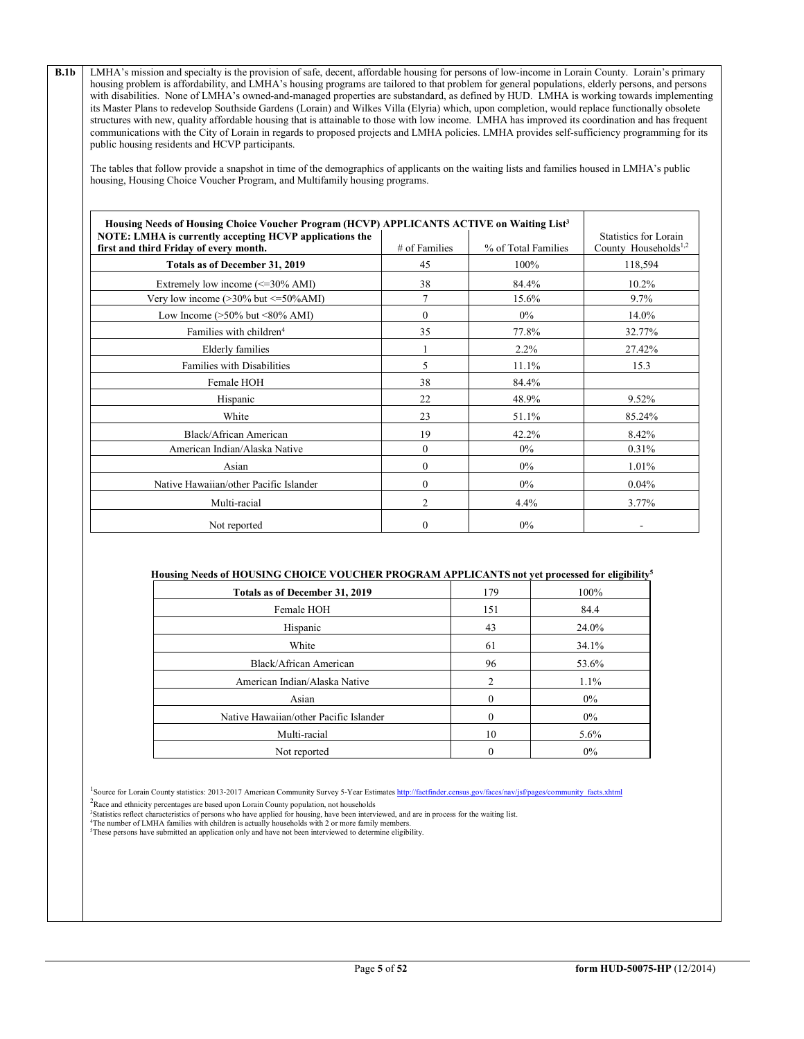**B.1b** LMHA's mission and specialty is the provision of safe, decent, affordable housing for persons of low-income in Lorain County. Lorain's primary housing problem is affordability, and LMHA's housing programs are tailored to that problem for general populations, elderly persons, and persons with disabilities. None of LMHA's owned-and-managed properties are substandard, as defined by HUD. LMHA is working towards implementing its Master Plans to redevelop Southside Gardens (Lorain) and Wilkes Villa (Elyria) which, upon completion, would replace functionally obsolete structures with new, quality affordable housing that is attainable to those with low income. LMHA has improved its coordination and has frequent communications with the City of Lorain in regards to proposed projects and LMHA policies. LMHA provides self-sufficiency programming for its public housing residents and HCVP participants.

The tables that follow provide a snapshot in time of the demographics of applicants on the waiting lists and families housed in LMHA's public housing, Housing Choice Voucher Program, and Multifamily housing programs.

| Housing Needs of Housing Choice Voucher Program (HCVP) APPLICANTS ACTIVE on Waiting List <sup>3</sup> |                  |                     |                                  |
|-------------------------------------------------------------------------------------------------------|------------------|---------------------|----------------------------------|
| NOTE: LMHA is currently accepting HCVP applications the                                               |                  |                     | Statistics for Lorain            |
| first and third Friday of every month.                                                                | # of Families    | % of Total Families | County Households <sup>1,2</sup> |
| Totals as of December 31, 2019                                                                        | 45               | 100%                | 118,594                          |
| Extremely low income $\approx$ =30% AMI)                                                              | 38               | 84.4%               | 10.2%                            |
| Very low income $(>30\%$ but $\leq 50\%$ AMI)                                                         |                  | 15.6%               | 9.7%                             |
| Low Income $(>50\%$ but $<80\%$ AMI)                                                                  | 0                | $0\%$               | 14.0%                            |
| Families with children <sup>4</sup>                                                                   | 35               | 77.8%               | 32.77%                           |
| Elderly families                                                                                      |                  | 2.2%                | 27.42%                           |
| <b>Families with Disabilities</b>                                                                     | 5                | 11.1%               | 15.3                             |
| Female HOH                                                                                            | 38               | 84.4%               |                                  |
| Hispanic                                                                                              | 22               | 48.9%               | 9.52%                            |
| White                                                                                                 | 23               | 51.1%               | 85.24%                           |
| Black/African American                                                                                | 19               | 42.2%               | 8.42%                            |
| American Indian/Alaska Native                                                                         | $\boldsymbol{0}$ | $0\%$               | 0.31%                            |
| Asian                                                                                                 | $\theta$         | $0\%$               | 1.01%                            |
| Native Hawaiian/other Pacific Islander                                                                | 0                | $0\%$               | 0.04%                            |
| Multi-racial                                                                                          | 2                | 4.4%                | 3.77%                            |
| Not reported                                                                                          | 0                | $0\%$               |                                  |

#### **Housing Needs of HOUSING CHOICE VOUCHER PROGRAM APPLICANTS not yet processed for eligibility5**

| Totals as of December 31, 2019         | 179            | 100%  |
|----------------------------------------|----------------|-------|
| Female HOH                             | 151            | 84.4  |
| Hispanic                               | 43             | 24.0% |
| White                                  | 61             | 34.1% |
| Black/African American                 | 96             | 53.6% |
| American Indian/Alaska Native          | $\overline{c}$ | 1.1%  |
| Asian                                  | $\theta$       | $0\%$ |
| Native Hawaiian/other Pacific Islander | 0              | $0\%$ |
| Multi-racial                           | 10             | 5.6%  |
| Not reported                           | 0              | $0\%$ |

<sup>1</sup>Source for Lorain County statistics: 2013-2017 American Community Survey 5-Year Estimates [http://factfinder.census.gov/faces/nav/jsf/pages/community\\_facts.xhtml](http://factfinder.census.gov/faces/nav/jsf/pages/community_facts.xhtml)

 $2$ Race and ethnicity percentages are based upon Lorain County population, not households

<sup>3</sup>Statistics reflect characteristics of persons who have applied for housing, have been interviewed, and are in process for the waiting list.<br><sup>4</sup>The number of LMHA families with children is actually households with 2 or m

5These persons have submitted an application only and have not been interviewed to determine eligibility.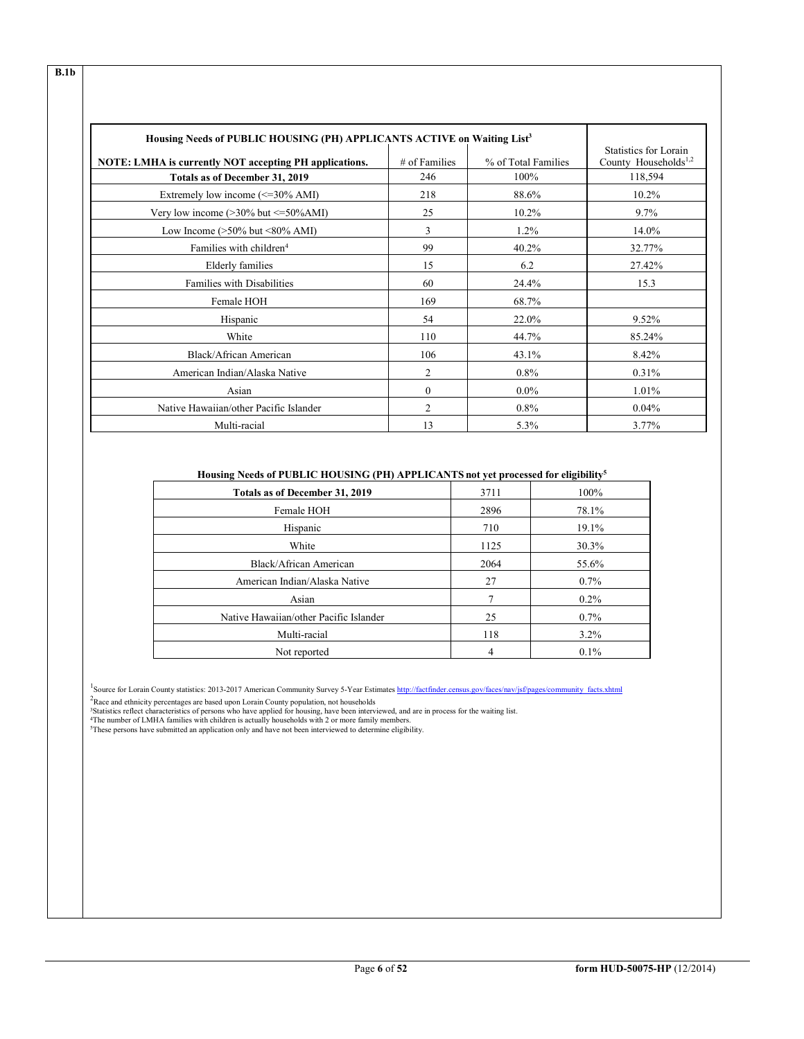| Housing Needs of PUBLIC HOUSING (PH) APPLICANTS ACTIVE on Waiting List <sup>3</sup> |                |                     |                                                           |
|-------------------------------------------------------------------------------------|----------------|---------------------|-----------------------------------------------------------|
| NOTE: LMHA is currently NOT accepting PH applications.                              | # of Families  | % of Total Families | Statistics for Lorain<br>County Households <sup>1,2</sup> |
| Totals as of December 31, 2019                                                      | 246            | 100%                | 118,594                                                   |
| Extremely low income $\approx$ =30% AMI)                                            | 218            | 88.6%               | 10.2%                                                     |
| Very low income $(>30\%$ but $\leq 50\%$ AMI)                                       | 25             | 10.2%               | 9.7%                                                      |
| Low Income $(>50\%$ but $<80\%$ AMI)                                                | 3              | $1.2\%$             | 14.0%                                                     |
| Families with children <sup>4</sup>                                                 | 99             | 40.2%               | 32.77%                                                    |
| <b>Elderly families</b>                                                             | 15             | 6.2                 | 27.42%                                                    |
| Families with Disabilities                                                          | 60             | 24.4%               | 15.3                                                      |
| Female HOH                                                                          | 169            | 68.7%               |                                                           |
| Hispanic                                                                            | 54             | 22.0%               | 9.52%                                                     |
| White                                                                               | 110            | 44.7%               | 85.24%                                                    |
| Black/African American                                                              | 106            | 43.1%               | 8.42%                                                     |
| American Indian/Alaska Native                                                       | 2              | $0.8\%$             | 0.31%                                                     |
| Asian                                                                               | $\theta$       | $0.0\%$             | 1.01%                                                     |
| Native Hawaiian/other Pacific Islander                                              | $\overline{2}$ | $0.8\%$             | 0.04%                                                     |
| Multi-racial                                                                        | 13             | 5.3%                | 3.77%                                                     |

# **Housing Needs of PUBLIC HOUSING (PH) APPLICANTS not yet processed for eligibility5**

| Totals as of December 31, 2019         | 3711 | 100%    |
|----------------------------------------|------|---------|
| Female HOH                             | 2896 | 78.1%   |
| Hispanic                               | 710  | 19.1%   |
| White                                  | 1125 | 30.3%   |
| Black/African American                 | 2064 | 55.6%   |
| American Indian/Alaska Native          | 27   | $0.7\%$ |
| Asian                                  | 7    | $0.2\%$ |
| Native Hawaiian/other Pacific Islander | 25   | $0.7\%$ |
| Multi-racial                           | 118  | $3.2\%$ |
| Not reported                           | 4    | $0.1\%$ |

<sup>1</sup>Source for Lorain County statistics: 2013-2017 American Community Survey 5-Year Estimates [http://factfinder.census.gov/faces/nav/jsf/pages/community\\_facts.xhtml](http://factfinder.census.gov/faces/nav/jsf/pages/community_facts.xhtml)

<sup>2</sup>Race and ethnicity percentages are based upon Lorain County population, not households<br><sup>3</sup>Statistics reflect characteristics of persons who have applied for housing, have been interviewed, and are in process for the wai

**B.1b**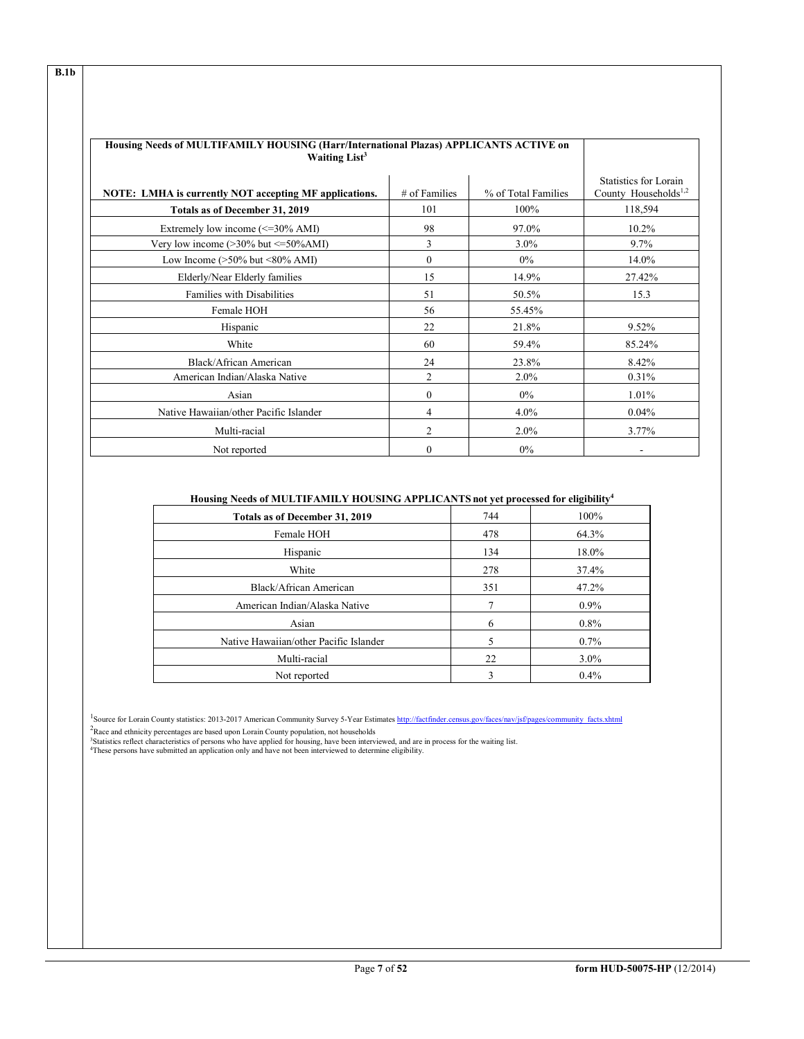| Housing Needs of MULTIFAMILY HOUSING (Harr/International Plazas) APPLICANTS ACTIVE on<br>Waiting List <sup>3</sup> |               |                     |                                                           |
|--------------------------------------------------------------------------------------------------------------------|---------------|---------------------|-----------------------------------------------------------|
| <b>NOTE:</b> LMHA is currently NOT accepting MF applications.                                                      | # of Families | % of Total Families | Statistics for Lorain<br>County Households <sup>1,2</sup> |
| Totals as of December 31, 2019                                                                                     | 101           | 100%                | 118,594                                                   |
| Extremely low income $\approx$ =30% AMI)                                                                           | 98            | 97.0%               | 10.2%                                                     |
| Very low income (>30% but <= 50% AMI)                                                                              | 3             | $3.0\%$             | 9.7%                                                      |
| Low Income $(>50\%$ but $\leq 80\%$ AMI)                                                                           | $\Omega$      | $0\%$               | 14.0%                                                     |
| Elderly/Near Elderly families                                                                                      | 15            | 14.9%               | 27.42%                                                    |
| <b>Families with Disabilities</b>                                                                                  | 51            | 50.5%               | 15.3                                                      |
| Female HOH                                                                                                         | 56            | 55.45%              |                                                           |
| Hispanic                                                                                                           | 22            | 21.8%               | 9.52%                                                     |
| White                                                                                                              | 60            | 59.4%               | 85.24%                                                    |
| Black/African American                                                                                             | 24            | 23.8%               | 8.42%                                                     |
| American Indian/Alaska Native                                                                                      | 2             | 2.0%                | 0.31%                                                     |
| Asian                                                                                                              | $\Omega$      | $0\%$               | 1.01%                                                     |
| Native Hawaiian/other Pacific Islander                                                                             | 4             | $4.0\%$             | 0.04%                                                     |
| Multi-racial                                                                                                       | 2             | 2.0%                | 3.77%                                                     |
| Not reported                                                                                                       | $\Omega$      | $0\%$               |                                                           |

# **Housing Needs of MULTIFAMILY HOUSING APPLICANTS not yet processed for eligibility4**

| Totals as of December 31, 2019         | 744          | 100%    |
|----------------------------------------|--------------|---------|
| Female HOH                             | 478          | 64.3%   |
| Hispanic                               | 134          | 18.0%   |
| White                                  | 278          | 37.4%   |
| Black/African American                 | 351          | 47.2%   |
| American Indian/Alaska Native          |              | $0.9\%$ |
| Asian                                  | 6            | $0.8\%$ |
| Native Hawaiian/other Pacific Islander | 5            | $0.7\%$ |
| Multi-racial                           | 22           | $3.0\%$ |
| Not reported                           | $\mathbf{R}$ | 0.4%    |
|                                        |              |         |

<sup>1</sup>Source for Lorain County statistics: 2013-2017 American Community Survey 5-Year Estimates [http://factfinder.census.gov/faces/nav/jsf/pages/community\\_facts.xhtml](http://factfinder.census.gov/faces/nav/jsf/pages/community_facts.xhtml)

<sup>2</sup>Race and ethnicity percentages are based upon Lorain County population, not households<br><sup>3</sup>Statistics reflect characteristics of persons who have applied for housing, have been interviewed, and are in process for the wai

**B.1b**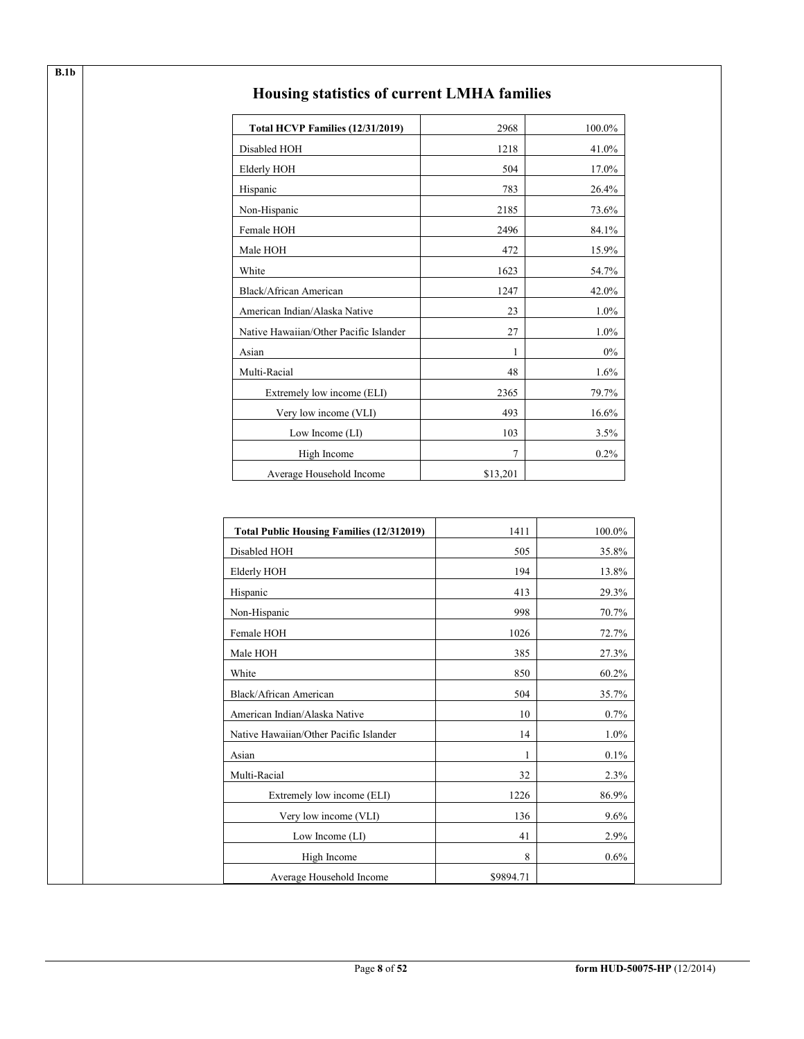| Total HCVP Families (12/31/2019)       | 2968           | 100.0% |
|----------------------------------------|----------------|--------|
| Disabled HOH                           | 1218           | 41.0%  |
| <b>Elderly HOH</b>                     | 504            | 17.0%  |
| Hispanic                               | 783            | 26.4%  |
| Non-Hispanic                           | 2185           | 73.6%  |
| Female HOH                             | 2496           | 84.1%  |
| Male HOH                               | 472            | 15.9%  |
| White                                  | 1623           | 54.7%  |
| Black/African American                 | 1247           | 42.0%  |
| American Indian/Alaska Native          | 23             | 1.0%   |
| Native Hawaiian/Other Pacific Islander | 27             | 1.0%   |
| Asian                                  | 1              | $0\%$  |
| Multi-Racial                           | 48             | 1.6%   |
| Extremely low income (ELI)             | 2365           | 79.7%  |
| Very low income (VLI)                  | 493            | 16.6%  |
| Low Income (LI)                        | 103            | 3.5%   |
| High Income                            | $\overline{7}$ | 0.2%   |
| Average Household Income               | \$13,201       |        |

# **Housing statistics of current LMHA families**

| <b>Total Public Housing Families (12/312019)</b> | 1411      | 100.0%  |
|--------------------------------------------------|-----------|---------|
| Disabled HOH                                     | 505       | 35.8%   |
| Elderly HOH                                      | 194       | 13.8%   |
| Hispanic                                         | 413       | 29.3%   |
| Non-Hispanic                                     | 998       | 70.7%   |
| Female HOH                                       | 1026      | 72.7%   |
| Male HOH                                         | 385       | 27.3%   |
| White                                            | 850       | 60.2%   |
| Black/African American                           | 504       | 35.7%   |
| American Indian/Alaska Native                    | 10        | 0.7%    |
| Native Hawaiian/Other Pacific Islander           | 14        | $1.0\%$ |
| Asian                                            | 1         | $0.1\%$ |
| Multi-Racial                                     | 32        | 2.3%    |
| Extremely low income (ELI)                       | 1226      | 86.9%   |
| Very low income (VLI)                            | 136       | $9.6\%$ |
| Low Income (LI)                                  | 41        | 2.9%    |
| High Income                                      | 8         | $0.6\%$ |
| Average Household Income                         | \$9894.71 |         |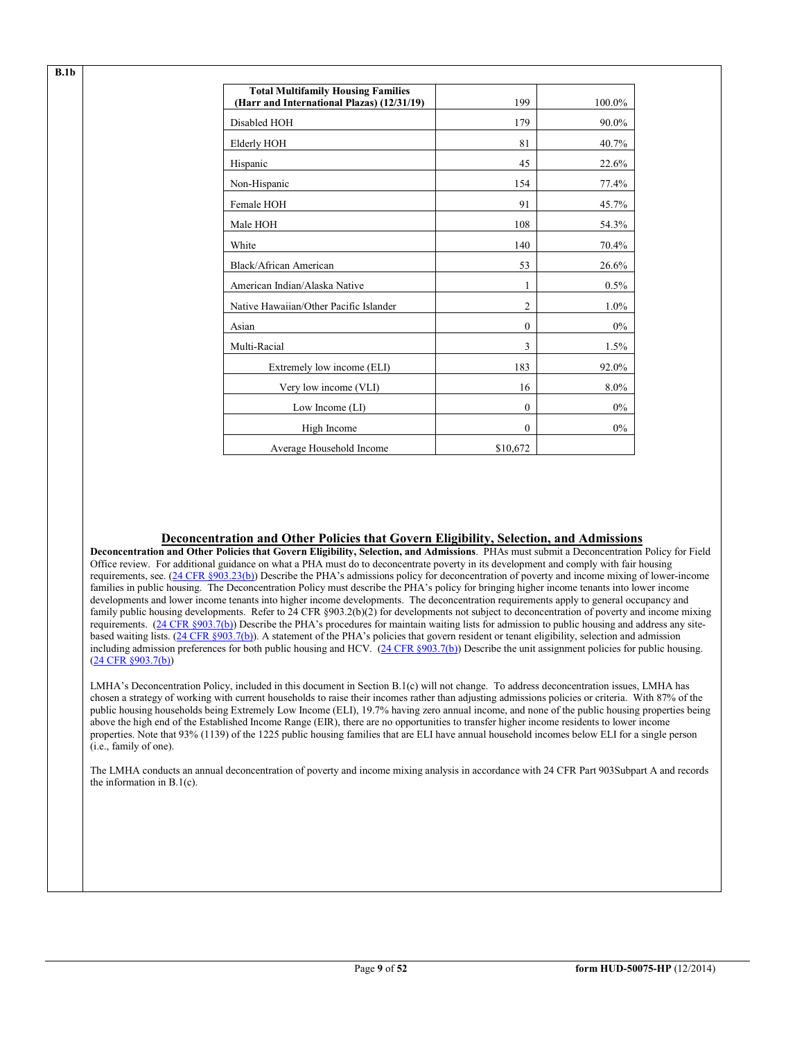| <b>Total Multifamily Housing Families</b><br>(Harr and International Plazas) (12/31/19) | 199            | 100.0% |
|-----------------------------------------------------------------------------------------|----------------|--------|
| Disabled HOH                                                                            | 179            | 90.0%  |
| Elderly HOH                                                                             | 81             | 40.7%  |
| Hispanic                                                                                | 45             | 22.6%  |
| Non-Hispanic                                                                            | 154            | 77.4%  |
| Female HOH                                                                              | 91             | 45.7%  |
| Male HOH                                                                                | 108            | 54.3%  |
| White                                                                                   | 140            | 70.4%  |
| Black/African American                                                                  | 53             | 26.6%  |
| American Indian/Alaska Native                                                           | 1              | 0.5%   |
| Native Hawaiian/Other Pacific Islander                                                  | $\overline{c}$ | 1.0%   |
| Asian                                                                                   | $\Omega$       | 0%     |
| Multi-Racial                                                                            | 3              | 1.5%   |
| Extremely low income (ELI)                                                              | 183            | 92.0%  |
| Very low income (VLI)                                                                   | 16             | 8.0%   |
| Low Income $(LI)$                                                                       | $\Omega$       | $0\%$  |
| High Income                                                                             | $\Omega$       | $0\%$  |
| Average Household Income                                                                | \$10,672       |        |

**B.1b**

# **Deconcentration and Other Policies that Govern Eligibility, Selection, and Admissions**

**Deconcentration and Other Policies that Govern Eligibility, Selection, and Admissions**. PHAs must submit a Deconcentration Policy for Field Office review. For additional guidance on what a PHA must do to deconcentrate poverty in its development and comply with fair housing requirements, see. [\(24 CFR §903.23\(b\)\)](http://ecfr.gpoaccess.gov/cgi/t/text/text-idx?c=ecfr&sid=13734845220744370804c20da2294a03&rgn=div5&view=text&node=24:4.0.3.1.3&idno=24#24:4.0.3.1.3.2.5.9) Describe the PHA's admissions policy for deconcentration of poverty and income mixing of lower-income families in public housing. The Deconcentration Policy must describe the PHA's policy for bringing higher income tenants into lower income developments and lower income tenants into higher income developments. The deconcentration requirements apply to general occupancy and family public housing developments. Refer to 24 CFR §903.2(b)(2) for developments not subject to deconcentration of poverty and income mixing requirements. [\(24 CFR §903.7\(b\)\)](http://ecfr.gpoaccess.gov/cgi/t/text/text-idx?c=ecfr&sid=b44bf19bef93dd31287608d2c687e271&rgn=div5&view=text&node=24:4.0.3.1.3&idno=24#24:4.0.3.1.3.2.5.5) Describe the PHA's procedures for maintain waiting lists for admission to public housing and address any site-based waiting lists. [\(24 CFR §903.7\(b\)\)](http://ecfr.gpoaccess.gov/cgi/t/text/text-idx?c=ecfr&sid=b44bf19bef93dd31287608d2c687e271&rgn=div5&view=text&node=24:4.0.3.1.3&idno=24#24:4.0.3.1.3.2.5.5). A statement of the PHA's policies that govern resident or tenant eligibility, selection and admission including admission preferences for both public housing and HCV. [\(24 CFR §903.7\(b\)\)](http://ecfr.gpoaccess.gov/cgi/t/text/text-idx?c=ecfr&sid=b44bf19bef93dd31287608d2c687e271&rgn=div5&view=text&node=24:4.0.3.1.3&idno=24#24:4.0.3.1.3.2.5.5) Describe the unit assignment policies for public housing. [\(24 CFR §903.7\(b\)\)](http://ecfr.gpoaccess.gov/cgi/t/text/text-idx?c=ecfr&sid=b44bf19bef93dd31287608d2c687e271&rgn=div5&view=text&node=24:4.0.3.1.3&idno=24#24:4.0.3.1.3.2.5.5)

LMHA's Deconcentration Policy, included in this document in Section B.1(c) will not change. To address deconcentration issues, LMHA has chosen a strategy of working with current households to raise their incomes rather than adjusting admissions policies or criteria. With 87% of the public housing households being Extremely Low Income (ELI), 19.7% having zero annual income, and none of the public housing properties being above the high end of the Established Income Range (EIR), there are no opportunities to transfer higher income residents to lower income properties. Note that 93% (1139) of the 1225 public housing families that are ELI have annual household incomes below ELI for a single person (i.e., family of one).

The LMHA conducts an annual deconcentration of poverty and income mixing analysis in accordance with 24 CFR Part 903Subpart A and records the information in B.1(c).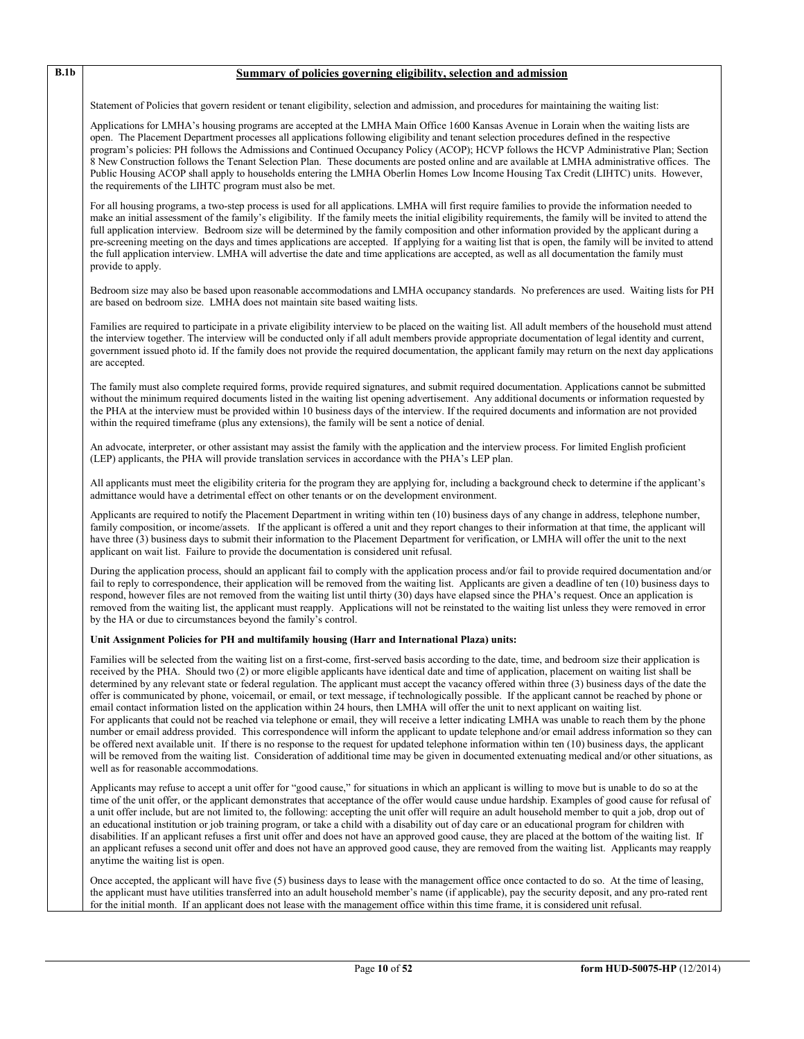# **B.1b Summary of policies governing eligibility, selection and admission**

Statement of Policies that govern resident or tenant eligibility, selection and admission, and procedures for maintaining the waiting list:

Applications for LMHA's housing programs are accepted at the LMHA Main Office 1600 Kansas Avenue in Lorain when the waiting lists are open. The Placement Department processes all applications following eligibility and tenant selection procedures defined in the respective program's policies: PH follows the Admissions and Continued Occupancy Policy (ACOP); HCVP follows the HCVP Administrative Plan; Section 8 New Construction follows the Tenant Selection Plan. These documents are posted online and are available at LMHA administrative offices. The Public Housing ACOP shall apply to households entering the LMHA Oberlin Homes Low Income Housing Tax Credit (LIHTC) units. However, the requirements of the LIHTC program must also be met.

For all housing programs, a two-step process is used for all applications. LMHA will first require families to provide the information needed to make an initial assessment of the family's eligibility. If the family meets the initial eligibility requirements, the family will be invited to attend the full application interview. Bedroom size will be determined by the family composition and other information provided by the applicant during a pre-screening meeting on the days and times applications are accepted. If applying for a waiting list that is open, the family will be invited to attend the full application interview. LMHA will advertise the date and time applications are accepted, as well as all documentation the family must provide to apply.

Bedroom size may also be based upon reasonable accommodations and LMHA occupancy standards. No preferences are used. Waiting lists for PH are based on bedroom size. LMHA does not maintain site based waiting lists.

Families are required to participate in a private eligibility interview to be placed on the waiting list. All adult members of the household must attend the interview together. The interview will be conducted only if all adult members provide appropriate documentation of legal identity and current, government issued photo id. If the family does not provide the required documentation, the applicant family may return on the next day applications are accepted.

The family must also complete required forms, provide required signatures, and submit required documentation. Applications cannot be submitted without the minimum required documents listed in the waiting list opening advertisement. Any additional documents or information requested by the PHA at the interview must be provided within 10 business days of the interview. If the required documents and information are not provided within the required timeframe (plus any extensions), the family will be sent a notice of denial.

An advocate, interpreter, or other assistant may assist the family with the application and the interview process. For limited English proficient (LEP) applicants, the PHA will provide translation services in accordance with the PHA's LEP plan.

All applicants must meet the eligibility criteria for the program they are applying for, including a background check to determine if the applicant's admittance would have a detrimental effect on other tenants or on the development environment.

Applicants are required to notify the Placement Department in writing within ten (10) business days of any change in address, telephone number, family composition, or income/assets. If the applicant is offered a unit and they report changes to their information at that time, the applicant will have three (3) business days to submit their information to the Placement Department for verification, or LMHA will offer the unit to the next applicant on wait list. Failure to provide the documentation is considered unit refusal.

During the application process, should an applicant fail to comply with the application process and/or fail to provide required documentation and/or fail to reply to correspondence, their application will be removed from the waiting list. Applicants are given a deadline of ten (10) business days to respond, however files are not removed from the waiting list until thirty (30) days have elapsed since the PHA's request. Once an application is removed from the waiting list, the applicant must reapply. Applications will not be reinstated to the waiting list unless they were removed in error by the HA or due to circumstances beyond the family's control.

#### **Unit Assignment Policies for PH and multifamily housing (Harr and International Plaza) units:**

Families will be selected from the waiting list on a first-come, first-served basis according to the date, time, and bedroom size their application is received by the PHA. Should two (2) or more eligible applicants have identical date and time of application, placement on waiting list shall be determined by any relevant state or federal regulation. The applicant must accept the vacancy offered within three (3) business days of the date the offer is communicated by phone, voicemail, or email, or text message, if technologically possible. If the applicant cannot be reached by phone or email contact information listed on the application within 24 hours, then LMHA will offer the unit to next applicant on waiting list. For applicants that could not be reached via telephone or email, they will receive a letter indicating LMHA was unable to reach them by the phone number or email address provided. This correspondence will inform the applicant to update telephone and/or email address information so they can be offered next available unit. If there is no response to the request for updated telephone information within ten (10) business days, the applicant will be removed from the waiting list. Consideration of additional time may be given in documented extenuating medical and/or other situations, as well as for reasonable accommodations.

Applicants may refuse to accept a unit offer for "good cause," for situations in which an applicant is willing to move but is unable to do so at the time of the unit offer, or the applicant demonstrates that acceptance of the offer would cause undue hardship. Examples of good cause for refusal of a unit offer include, but are not limited to, the following: accepting the unit offer will require an adult household member to quit a job, drop out of an educational institution or job training program, or take a child with a disability out of day care or an educational program for children with disabilities. If an applicant refuses a first unit offer and does not have an approved good cause, they are placed at the bottom of the waiting list. If an applicant refuses a second unit offer and does not have an approved good cause, they are removed from the waiting list. Applicants may reapply anytime the waiting list is open.

Once accepted, the applicant will have five (5) business days to lease with the management office once contacted to do so. At the time of leasing, the applicant must have utilities transferred into an adult household member's name (if applicable), pay the security deposit, and any pro-rated rent for the initial month. If an applicant does not lease with the management office within this time frame, it is considered unit refusal.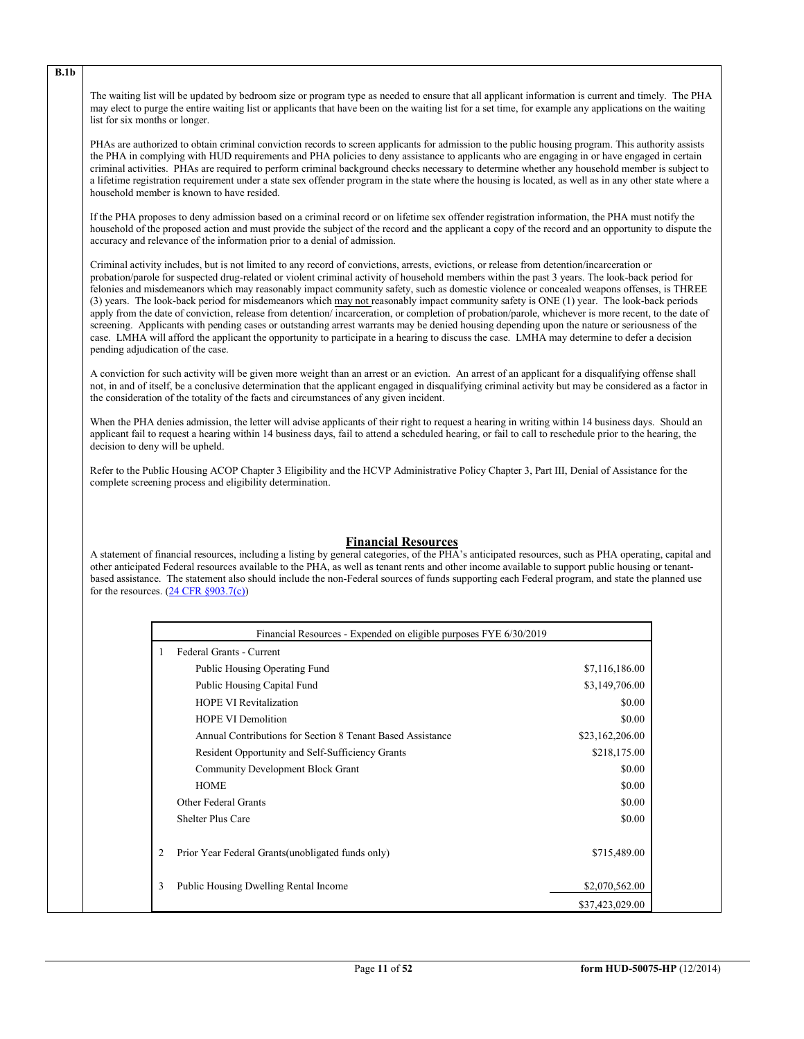The waiting list will be updated by bedroom size or program type as needed to ensure that all applicant information is current and timely. The PHA may elect to purge the entire waiting list or applicants that have been on the waiting list for a set time, for example any applications on the waiting list for six months or longer.

PHAs are authorized to obtain criminal conviction records to screen applicants for admission to the public housing program. This authority assists the PHA in complying with HUD requirements and PHA policies to deny assistance to applicants who are engaging in or have engaged in certain criminal activities. PHAs are required to perform criminal background checks necessary to determine whether any household member is subject to a lifetime registration requirement under a state sex offender program in the state where the housing is located, as well as in any other state where a household member is known to have resided.

If the PHA proposes to deny admission based on a criminal record or on lifetime sex offender registration information, the PHA must notify the household of the proposed action and must provide the subject of the record and the applicant a copy of the record and an opportunity to dispute the accuracy and relevance of the information prior to a denial of admission.

Criminal activity includes, but is not limited to any record of convictions, arrests, evictions, or release from detention/incarceration or probation/parole for suspected drug-related or violent criminal activity of household members within the past 3 years. The look-back period for felonies and misdemeanors which may reasonably impact community safety, such as domestic violence or concealed weapons offenses, is THREE (3) years. The look-back period for misdemeanors which may not reasonably impact community safety is ONE (1) year. The look-back periods apply from the date of conviction, release from detention/ incarceration, or completion of probation/parole, whichever is more recent, to the date of screening. Applicants with pending cases or outstanding arrest warrants may be denied housing depending upon the nature or seriousness of the case. LMHA will afford the applicant the opportunity to participate in a hearing to discuss the case. LMHA may determine to defer a decision pending adjudication of the case.

A conviction for such activity will be given more weight than an arrest or an eviction. An arrest of an applicant for a disqualifying offense shall not, in and of itself, be a conclusive determination that the applicant engaged in disqualifying criminal activity but may be considered as a factor in the consideration of the totality of the facts and circumstances of any given incident.

When the PHA denies admission, the letter will advise applicants of their right to request a hearing in writing within 14 business days. Should an applicant fail to request a hearing within 14 business days, fail to attend a scheduled hearing, or fail to call to reschedule prior to the hearing, the decision to deny will be upheld.

Refer to the Public Housing ACOP Chapter 3 Eligibility and the HCVP Administrative Policy Chapter 3, Part III, Denial of Assistance for the complete screening process and eligibility determination.

# **Financial Resources**

A statement of financial resources, including a listing by general categories, of the PHA's anticipated resources, such as PHA operating, capital and other anticipated Federal resources available to the PHA, as well as tenant rents and other income available to support public housing or tenantbased assistance. The statement also should include the non-Federal sources of funds supporting each Federal program, and state the planned use for the resources.  $(24 \text{ CFR } \S 903.7(c))$ 

|   | Financial Resources - Expended on eligible purposes FYE 6/30/2019 |                 |
|---|-------------------------------------------------------------------|-----------------|
| 1 | Federal Grants - Current                                          |                 |
|   | Public Housing Operating Fund                                     | \$7,116,186.00  |
|   | Public Housing Capital Fund                                       | \$3,149,706.00  |
|   | <b>HOPE VI Revitalization</b>                                     | \$0.00          |
|   | <b>HOPE VI Demolition</b>                                         | \$0.00          |
|   | Annual Contributions for Section 8 Tenant Based Assistance        | \$23,162,206.00 |
|   | Resident Opportunity and Self-Sufficiency Grants                  | \$218,175.00    |
|   | <b>Community Development Block Grant</b>                          | \$0.00          |
|   | <b>HOME</b>                                                       | \$0.00          |
|   | Other Federal Grants                                              | \$0.00          |
|   | <b>Shelter Plus Care</b>                                          | \$0.00          |
| 2 | Prior Year Federal Grants (unobligated funds only)                | \$715,489.00    |
| 3 | Public Housing Dwelling Rental Income                             | \$2,070,562.00  |
|   |                                                                   | \$37,423,029.00 |

**B.1b**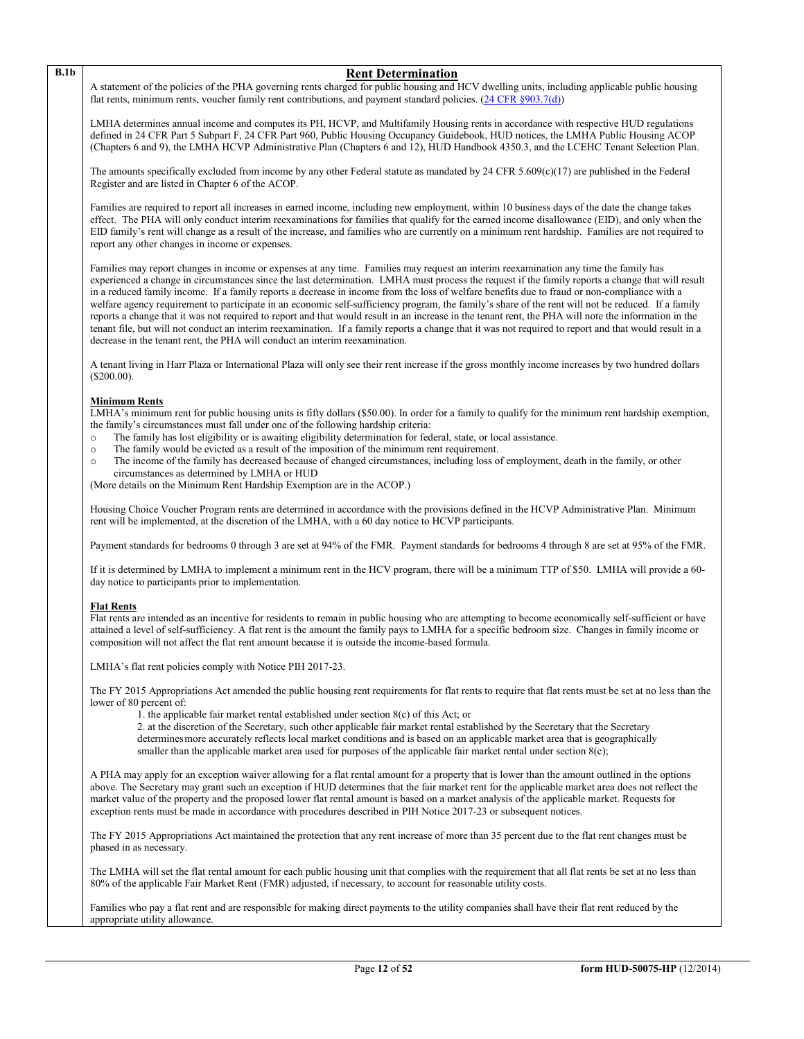# **B.1b Rent Determination**

A statement of the policies of the PHA governing rents charged for public housing and HCV dwelling units, including applicable public housing flat rents, minimum rents, voucher family rent contributions, and payment standard policies. [\(24 CFR §903.7\(d\)\)](http://ecfr.gpoaccess.gov/cgi/t/text/text-idx?c=ecfr&sid=b44bf19bef93dd31287608d2c687e271&rgn=div5&view=text&node=24:4.0.3.1.3&idno=24#24:4.0.3.1.3.2.5.5)

LMHA determines annual income and computes its PH, HCVP, and Multifamily Housing rents in accordance with respective HUD regulations defined in 24 CFR Part 5 Subpart F, 24 CFR Part 960, Public Housing Occupancy Guidebook, HUD notices, the LMHA Public Housing ACOP (Chapters 6 and 9), the LMHA HCVP Administrative Plan (Chapters 6 and 12), HUD Handbook 4350.3, and the LCEHC Tenant Selection Plan.

The amounts specifically excluded from income by any other Federal statute as mandated by 24 CFR 5.609(c)(17) are published in the Federal Register and are listed in Chapter 6 of the ACOP.

Families are required to report all increases in earned income, including new employment, within 10 business days of the date the change takes effect. The PHA will only conduct interim reexaminations for families that qualify for the earned income disallowance (EID), and only when the EID family's rent will change as a result of the increase, and families who are currently on a minimum rent hardship. Families are not required to report any other changes in income or expenses.

Families may report changes in income or expenses at any time. Families may request an interim reexamination any time the family has experienced a change in circumstances since the last determination. LMHA must process the request if the family reports a change that will result in a reduced family income. If a family reports a decrease in income from the loss of welfare benefits due to fraud or non-compliance with a welfare agency requirement to participate in an economic self-sufficiency program, the family's share of the rent will not be reduced. If a family reports a change that it was not required to report and that would result in an increase in the tenant rent, the PHA will note the information in the tenant file, but will not conduct an interim reexamination. If a family reports a change that it was not required to report and that would result in a decrease in the tenant rent, the PHA will conduct an interim reexamination.

A tenant living in Harr Plaza or International Plaza will only see their rent increase if the gross monthly income increases by two hundred dollars (\$200.00).

### **Minimum Rents**

LMHA's minimum rent for public housing units is fifty dollars (\$50.00). In order for a family to qualify for the minimum rent hardship exemption, the family's circumstances must fall under one of the following hardship criteria:

- o The family has lost eligibility or is awaiting eligibility determination for federal, state, or local assistance.<br>The family would be evicted as a result of the imposition of the minimum rent requirement.
- o The family would be evicted as a result of the imposition of the minimum rent requirement.<br>The income of the family has decreased because of changed circumstances, including loss of
- o The income of the family has decreased because of changed circumstances, including loss of employment, death in the family, or other circumstances as determined by LMHA or HUD

(More details on the Minimum Rent Hardship Exemption are in the ACOP.)

Housing Choice Voucher Program rents are determined in accordance with the provisions defined in the HCVP Administrative Plan. Minimum rent will be implemented, at the discretion of the LMHA, with a 60 day notice to HCVP participants.

Payment standards for bedrooms 0 through 3 are set at 94% of the FMR. Payment standards for bedrooms 4 through 8 are set at 95% of the FMR.

If it is determined by LMHA to implement a minimum rent in the HCV program, there will be a minimum TTP of \$50. LMHA will provide a 60 day notice to participants prior to implementation.

#### **Flat Rents**

Flat rents are intended as an incentive for residents to remain in public housing who are attempting to become economically self-sufficient or have attained a level of self-sufficiency. A flat rent is the amount the family pays to LMHA for a specific bedroom size. Changes in family income or composition will not affect the flat rent amount because it is outside the income-based formula.

LMHA's flat rent policies comply with Notice PIH 2017-23.

The FY 2015 Appropriations Act amended the public housing rent requirements for flat rents to require that flat rents must be set at no less than the lower of 80 percent of:

1. the applicable fair market rental established under section 8(c) of this Act; or

2. at the discretion of the Secretary, such other applicable fair market rental established by the Secretary that the Secretary determinesmore accurately reflects local market conditions and is based on an applicable market area that is geographically smaller than the applicable market area used for purposes of the applicable fair market rental under section 8(c);

A PHA may apply for an exception waiver allowing for a flat rental amount for a property that is lower than the amount outlined in the options above. The Secretary may grant such an exception if HUD determines that the fair market rent for the applicable market area does not reflect the market value of the property and the proposed lower flat rental amount is based on a market analysis of the applicable market. Requests for exception rents must be made in accordance with procedures described in PIH Notice 2017-23 or subsequent notices.

The FY 2015 Appropriations Act maintained the protection that any rent increase of more than 35 percent due to the flat rent changes must be phased in as necessary.

The LMHA will set the flat rental amount for each public housing unit that complies with the requirement that all flat rents be set at no less than 80% of the applicable Fair Market Rent (FMR) adjusted, if necessary, to account for reasonable utility costs.

Families who pay a flat rent and are responsible for making direct payments to the utility companies shall have their flat rent reduced by the appropriate utility allowance.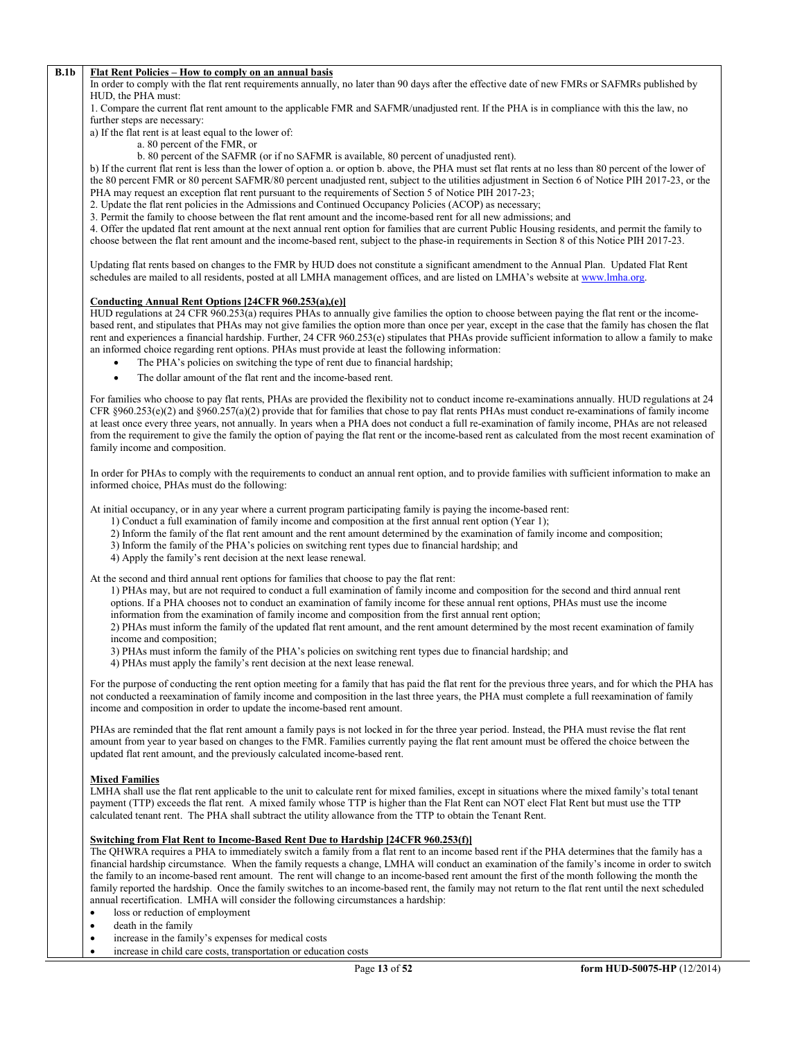#### **B.1b Flat Rent Policies – How to comply on an annual basis**

In order to comply with the flat rent requirements annually, no later than 90 days after the effective date of new FMRs or SAFMRs published by HUD, the PHA must:

1. Compare the current flat rent amount to the applicable FMR and SAFMR/unadjusted rent. If the PHA is in compliance with this the law, no further steps are necessary:

a) If the flat rent is at least equal to the lower of:

a. 80 percent of the FMR, or

b. 80 percent of the SAFMR (or if no SAFMR is available, 80 percent of unadjusted rent).

b) If the current flat rent is less than the lower of option a. or option b. above, the PHA must set flat rents at no less than 80 percent of the lower of the 80 percent FMR or 80 percent SAFMR/80 percent unadjusted rent, subject to the utilities adjustment in Section 6 of Notice PIH 2017-23, or the PHA may request an exception flat rent pursuant to the requirements of Section 5 of Notice PIH 2017-23;

2. Update the flat rent policies in the Admissions and Continued Occupancy Policies (ACOP) as necessary;

3. Permit the family to choose between the flat rent amount and the income-based rent for all new admissions; and

4. Offer the updated flat rent amount at the next annual rent option for families that are current Public Housing residents, and permit the family to choose between the flat rent amount and the income-based rent, subject to the phase-in requirements in Section 8 of this Notice PIH 2017-23.

Updating flat rents based on changes to the FMR by HUD does not constitute a significant amendment to the Annual Plan. Updated Flat Rent schedules are mailed to all residents, posted at all LMHA management offices, and are listed on LMHA's website at [www.lmha.org.](http://www.lmha.org/)

## **Conducting Annual Rent Options [24CFR 960.253(a),(e)]**

HUD regulations at 24 CFR 960.253(a) requires PHAs to annually give families the option to choose between paying the flat rent or the incomebased rent, and stipulates that PHAs may not give families the option more than once per year, except in the case that the family has chosen the flat rent and experiences a financial hardship. Further, 24 CFR 960.253(e) stipulates that PHAs provide sufficient information to allow a family to make an informed choice regarding rent options. PHAs must provide at least the following information:

- The PHA's policies on switching the type of rent due to financial hardship;
- The dollar amount of the flat rent and the income-based rent.

For families who choose to pay flat rents, PHAs are provided the flexibility not to conduct income re-examinations annually. HUD regulations at 24 CFR §960.253(e)(2) and §960.257(a)(2) provide that for families that chose to pay flat rents PHAs must conduct re-examinations of family income at least once every three years, not annually. In years when a PHA does not conduct a full re-examination of family income, PHAs are not released from the requirement to give the family the option of paying the flat rent or the income-based rent as calculated from the most recent examination of family income and composition.

In order for PHAs to comply with the requirements to conduct an annual rent option, and to provide families with sufficient information to make an informed choice, PHAs must do the following:

At initial occupancy, or in any year where a current program participating family is paying the income-based rent:

- 1) Conduct a full examination of family income and composition at the first annual rent option (Year 1);
- 2) Inform the family of the flat rent amount and the rent amount determined by the examination of family income and composition;
- 3) Inform the family of the PHA's policies on switching rent types due to financial hardship; and
- 4) Apply the family's rent decision at the next lease renewal.

At the second and third annual rent options for families that choose to pay the flat rent:

1) PHAs may, but are not required to conduct a full examination of family income and composition for the second and third annual rent options. If a PHA chooses not to conduct an examination of family income for these annual rent options, PHAs must use the income information from the examination of family income and composition from the first annual rent option;

2) PHAs must inform the family of the updated flat rent amount, and the rent amount determined by the most recent examination of family income and composition;

- 3) PHAs must inform the family of the PHA's policies on switching rent types due to financial hardship; and
- 4) PHAs must apply the family's rent decision at the next lease renewal.

For the purpose of conducting the rent option meeting for a family that has paid the flat rent for the previous three years, and for which the PHA has not conducted a reexamination of family income and composition in the last three years, the PHA must complete a full reexamination of family income and composition in order to update the income-based rent amount.

PHAs are reminded that the flat rent amount a family pays is not locked in for the three year period. Instead, the PHA must revise the flat rent amount from year to year based on changes to the FMR. Families currently paying the flat rent amount must be offered the choice between the updated flat rent amount, and the previously calculated income-based rent.

#### **Mixed Families**

LMHA shall use the flat rent applicable to the unit to calculate rent for mixed families, except in situations where the mixed family's total tenant payment (TTP) exceeds the flat rent. A mixed family whose TTP is higher than the Flat Rent can NOT elect Flat Rent but must use the TTP calculated tenant rent. The PHA shall subtract the utility allowance from the TTP to obtain the Tenant Rent.

#### **Switching from Flat Rent to Income-Based Rent Due to Hardship [24CFR 960.253(f)]**

The QHWRA requires a PHA to immediately switch a family from a flat rent to an income based rent if the PHA determines that the family has a financial hardship circumstance. When the family requests a change, LMHA will conduct an examination of the family's income in order to switch the family to an income-based rent amount. The rent will change to an income-based rent amount the first of the month following the month the family reported the hardship. Once the family switches to an income-based rent, the family may not return to the flat rent until the next scheduled annual recertification. LMHA will consider the following circumstances a hardship:

- loss or reduction of employment
- death in the family
- increase in the family's expenses for medical costs
- increase in child care costs, transportation or education costs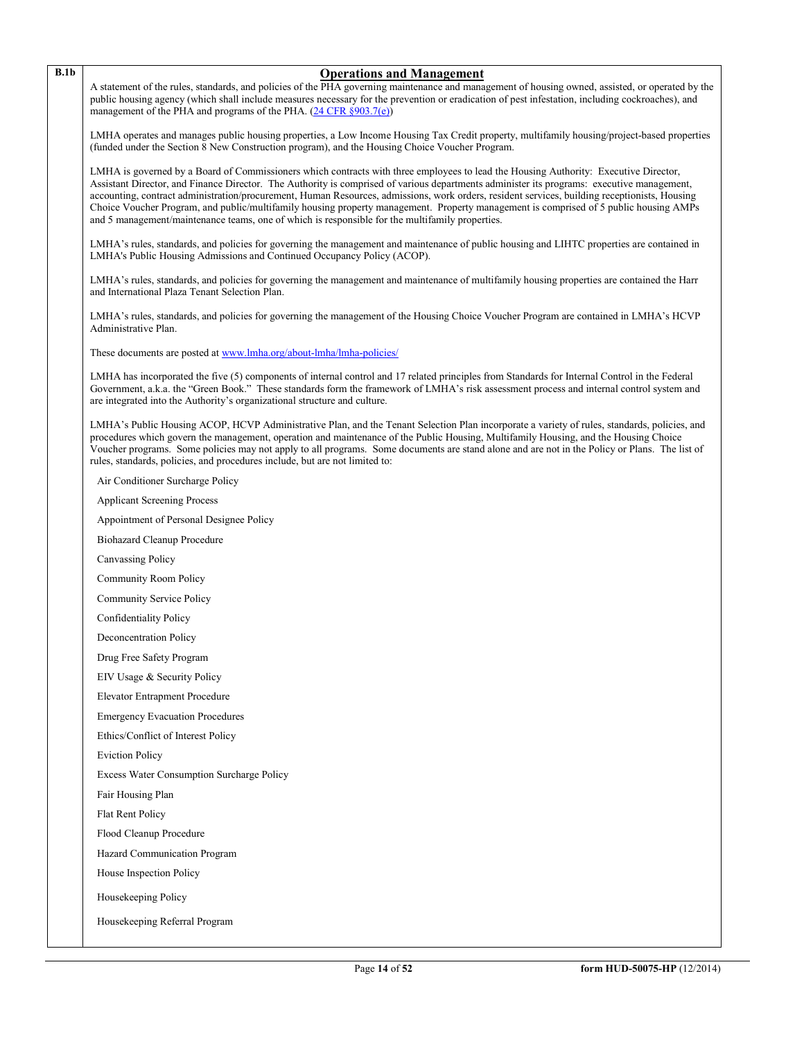| ۰.<br>I | ۰.<br>٧ |
|---------|---------|

### **B.1b Operations and Management**

A statement of the rules, standards, and policies of the PHA governing maintenance and management of housing owned, assisted, or operated by the public housing agency (which shall include measures necessary for the prevention or eradication of pest infestation, including cockroaches), and management of the PHA and programs of the PHA. [\(24 CFR §903.7\(e\)\)](http://ecfr.gpoaccess.gov/cgi/t/text/text-idx?c=ecfr&sid=b44bf19bef93dd31287608d2c687e271&rgn=div5&view=text&node=24:4.0.3.1.3&idno=24#24:4.0.3.1.3.2.5.5)

LMHA operates and manages public housing properties, a Low Income Housing Tax Credit property, multifamily housing/project-based properties (funded under the Section 8 New Construction program), and the Housing Choice Voucher Program.

LMHA is governed by a Board of Commissioners which contracts with three employees to lead the Housing Authority: Executive Director, Assistant Director, and Finance Director. The Authority is comprised of various departments administer its programs: executive management, accounting, contract administration/procurement, Human Resources, admissions, work orders, resident services, building receptionists, Housing Choice Voucher Program, and public/multifamily housing property management. Property management is comprised of 5 public housing AMPs and 5 management/maintenance teams, one of which is responsible for the multifamily properties.

LMHA's rules, standards, and policies for governing the management and maintenance of public housing and LIHTC properties are contained in LMHA's Public Housing Admissions and Continued Occupancy Policy (ACOP).

LMHA's rules, standards, and policies for governing the management and maintenance of multifamily housing properties are contained the Harr and International Plaza Tenant Selection Plan.

LMHA's rules, standards, and policies for governing the management of the Housing Choice Voucher Program are contained in LMHA's HCVP Administrative Plan.

These documents are posted at [www.lmha.org/about-lmha/lmha-policies/](http://www.lmha.org/about-lmha/lmha-policies/)

LMHA has incorporated the five (5) components of internal control and 17 related principles from Standards for Internal Control in the Federal Government, a.k.a. the "Green Book." These standards form the framework of LMHA's risk assessment process and internal control system and are integrated into the Authority's organizational structure and culture.

LMHA's Public Housing ACOP, HCVP Administrative Plan, and the Tenant Selection Plan incorporate a variety of rules, standards, policies, and procedures which govern the management, operation and maintenance of the Public Housing, Multifamily Housing, and the Housing Choice Voucher programs. Some policies may not apply to all programs. Some documents are stand alone and are not in the Policy or Plans. The list of rules, standards, policies, and procedures include, but are not limited to:

Air Conditioner Surcharge Policy

Applicant Screening Process

Appointment of Personal Designee Policy

Biohazard Cleanup Procedure

Canvassing Policy

Community Room Policy

Community Service Policy

Confidentiality Policy

Deconcentration Policy

Drug Free Safety Program

EIV Usage & Security Policy

Elevator Entrapment Procedure

Emergency Evacuation Procedures

Ethics/Conflict of Interest Policy

Eviction Policy

Excess Water Consumption Surcharge Policy

Fair Housing Plan

Flat Rent Policy

Flood Cleanup Procedure

Hazard Communication Program

House Inspection Policy

Housekeeping Policy

Housekeeping Referral Program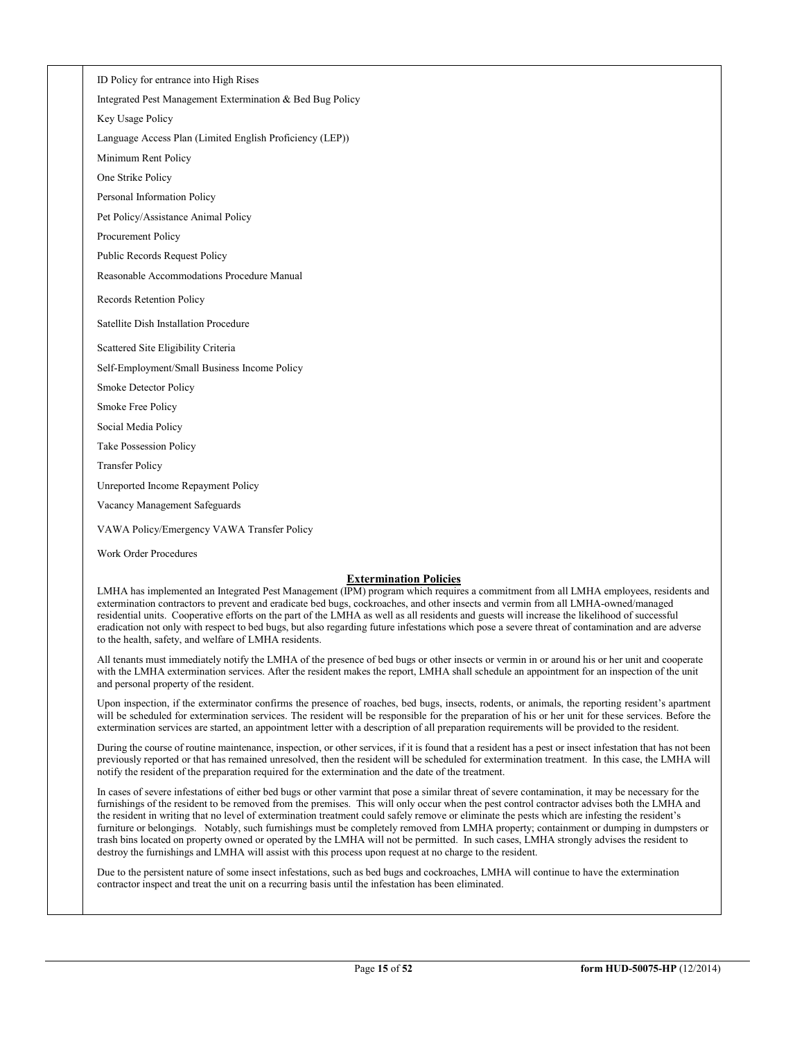ID Policy for entrance into High Rises

Integrated Pest Management Extermination & Bed Bug Policy

Key Usage Policy

Language Access Plan (Limited English Proficiency (LEP))

Minimum Rent Policy

One Strike Policy

Personal Information Policy

Pet Policy/Assistance Animal Policy

Procurement Policy

Public Records Request Policy

Reasonable Accommodations Procedure Manual

Records Retention Policy

Satellite Dish Installation Procedure

Scattered Site Eligibility Criteria

Self-Employment/Small Business Income Policy

Smoke Detector Policy

Smoke Free Policy

Social Media Policy

Take Possession Policy

Transfer Policy

Unreported Income Repayment Policy

Vacancy Management Safeguards

VAWA Policy/Emergency VAWA Transfer Policy

Work Order Procedures

# **Extermination Policies**

LMHA has implemented an Integrated Pest Management (IPM) program which requires a commitment from all LMHA employees, residents and extermination contractors to prevent and eradicate bed bugs, cockroaches, and other insects and vermin from all LMHA-owned/managed residential units. Cooperative efforts on the part of the LMHA as well as all residents and guests will increase the likelihood of successful eradication not only with respect to bed bugs, but also regarding future infestations which pose a severe threat of contamination and are adverse to the health, safety, and welfare of LMHA residents.

All tenants must immediately notify the LMHA of the presence of bed bugs or other insects or vermin in or around his or her unit and cooperate with the LMHA extermination services. After the resident makes the report, LMHA shall schedule an appointment for an inspection of the unit and personal property of the resident.

Upon inspection, if the exterminator confirms the presence of roaches, bed bugs, insects, rodents, or animals, the reporting resident's apartment will be scheduled for extermination services. The resident will be responsible for the preparation of his or her unit for these services. Before the extermination services are started, an appointment letter with a description of all preparation requirements will be provided to the resident.

During the course of routine maintenance, inspection, or other services, if it is found that a resident has a pest or insect infestation that has not been previously reported or that has remained unresolved, then the resident will be scheduled for extermination treatment. In this case, the LMHA will notify the resident of the preparation required for the extermination and the date of the treatment.

In cases of severe infestations of either bed bugs or other varmint that pose a similar threat of severe contamination, it may be necessary for the furnishings of the resident to be removed from the premises. This will only occur when the pest control contractor advises both the LMHA and the resident in writing that no level of extermination treatment could safely remove or eliminate the pests which are infesting the resident's furniture or belongings. Notably, such furnishings must be completely removed from LMHA property; containment or dumping in dumpsters or trash bins located on property owned or operated by the LMHA will not be permitted. In such cases, LMHA strongly advises the resident to destroy the furnishings and LMHA will assist with this process upon request at no charge to the resident.

Due to the persistent nature of some insect infestations, such as bed bugs and cockroaches, LMHA will continue to have the extermination contractor inspect and treat the unit on a recurring basis until the infestation has been eliminated.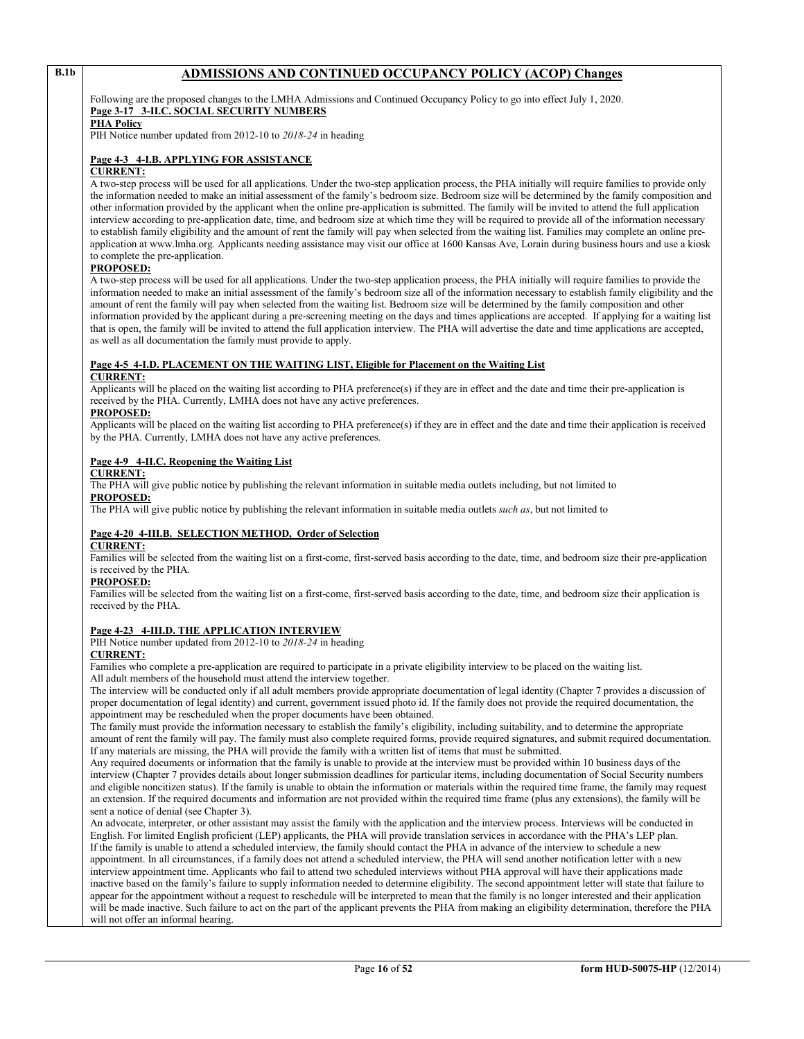# **B.1b ADMISSIONS AND CONTINUED OCCUPANCY POLICY (ACOP) Changes**

Following are the proposed changes to the LMHA Admissions and Continued Occupancy Policy to go into effect July 1, 2020. **Page 3-17 3-II.C. SOCIAL SECURITY NUMBERS**

#### **PHA Policy**

PIH Notice number updated from 2012-10 to *2018-24* in heading

#### **Page 4-3 4-I.B. APPLYING FOR ASSISTANCE**

# **CURRENT:**

A two-step process will be used for all applications. Under the two-step application process, the PHA initially will require families to provide only the information needed to make an initial assessment of the family's bedroom size. Bedroom size will be determined by the family composition and other information provided by the applicant when the online pre-application is submitted. The family will be invited to attend the full application interview according to pre-application date, time, and bedroom size at which time they will be required to provide all of the information necessary to establish family eligibility and the amount of rent the family will pay when selected from the waiting list. Families may complete an online preapplication at www.lmha.org. Applicants needing assistance may visit our office at 1600 Kansas Ave, Lorain during business hours and use a kiosk to complete the pre-application.

#### **PROPOSED:**

A two-step process will be used for all applications. Under the two-step application process, the PHA initially will require families to provide the information needed to make an initial assessment of the family's bedroom size all of the information necessary to establish family eligibility and the amount of rent the family will pay when selected from the waiting list. Bedroom size will be determined by the family composition and other information provided by the applicant during a pre-screening meeting on the days and times applications are accepted. If applying for a waiting list that is open, the family will be invited to attend the full application interview. The PHA will advertise the date and time applications are accepted, as well as all documentation the family must provide to apply.

# **Page 4-5 4-I.D. PLACEMENT ON THE WAITING LIST, Eligible for Placement on the Waiting List**

#### **CURRENT:**

Applicants will be placed on the waiting list according to PHA preference(s) if they are in effect and the date and time their pre-application is received by the PHA. Currently, LMHA does not have any active preferences.

# **PROPOSED:**

Applicants will be placed on the waiting list according to PHA preference(s) if they are in effect and the date and time their application is received by the PHA. Currently, LMHA does not have any active preferences.

#### **Page 4-9 4-II.C. Reopening the Waiting List**

#### **CURRENT:**

The PHA will give public notice by publishing the relevant information in suitable media outlets including, but not limited to **PROPOSED:**

The PHA will give public notice by publishing the relevant information in suitable media outlets *such as*, but not limited to

#### **Page 4-20 4-III.B. SELECTION METHOD, Order of Selection**

#### **CURRENT:**

Families will be selected from the waiting list on a first-come, first-served basis according to the date, time, and bedroom size their pre-application is received by the PHA.

#### **PROPOSED:**

Families will be selected from the waiting list on a first-come, first-served basis according to the date, time, and bedroom size their application is received by the PHA.

#### **Page 4-23 4-III.D. THE APPLICATION INTERVIEW**

PIH Notice number updated from 2012-10 to *2018-24* in heading

# **CURRENT:**

Families who complete a pre-application are required to participate in a private eligibility interview to be placed on the waiting list. All adult members of the household must attend the interview together.

The interview will be conducted only if all adult members provide appropriate documentation of legal identity (Chapter 7 provides a discussion of proper documentation of legal identity) and current, government issued photo id. If the family does not provide the required documentation, the appointment may be rescheduled when the proper documents have been obtained.

The family must provide the information necessary to establish the family's eligibility, including suitability, and to determine the appropriate amount of rent the family will pay. The family must also complete required forms, provide required signatures, and submit required documentation. If any materials are missing, the PHA will provide the family with a written list of items that must be submitted.

Any required documents or information that the family is unable to provide at the interview must be provided within 10 business days of the interview (Chapter 7 provides details about longer submission deadlines for particular items, including documentation of Social Security numbers and eligible noncitizen status). If the family is unable to obtain the information or materials within the required time frame, the family may request an extension. If the required documents and information are not provided within the required time frame (plus any extensions), the family will be sent a notice of denial (see Chapter 3).

An advocate, interpreter, or other assistant may assist the family with the application and the interview process. Interviews will be conducted in English. For limited English proficient (LEP) applicants, the PHA will provide translation services in accordance with the PHA's LEP plan. If the family is unable to attend a scheduled interview, the family should contact the PHA in advance of the interview to schedule a new appointment. In all circumstances, if a family does not attend a scheduled interview, the PHA will send another notification letter with a new interview appointment time. Applicants who fail to attend two scheduled interviews without PHA approval will have their applications made inactive based on the family's failure to supply information needed to determine eligibility. The second appointment letter will state that failure to appear for the appointment without a request to reschedule will be interpreted to mean that the family is no longer interested and their application will be made inactive. Such failure to act on the part of the applicant prevents the PHA from making an eligibility determination, therefore the PHA will not offer an informal hearing.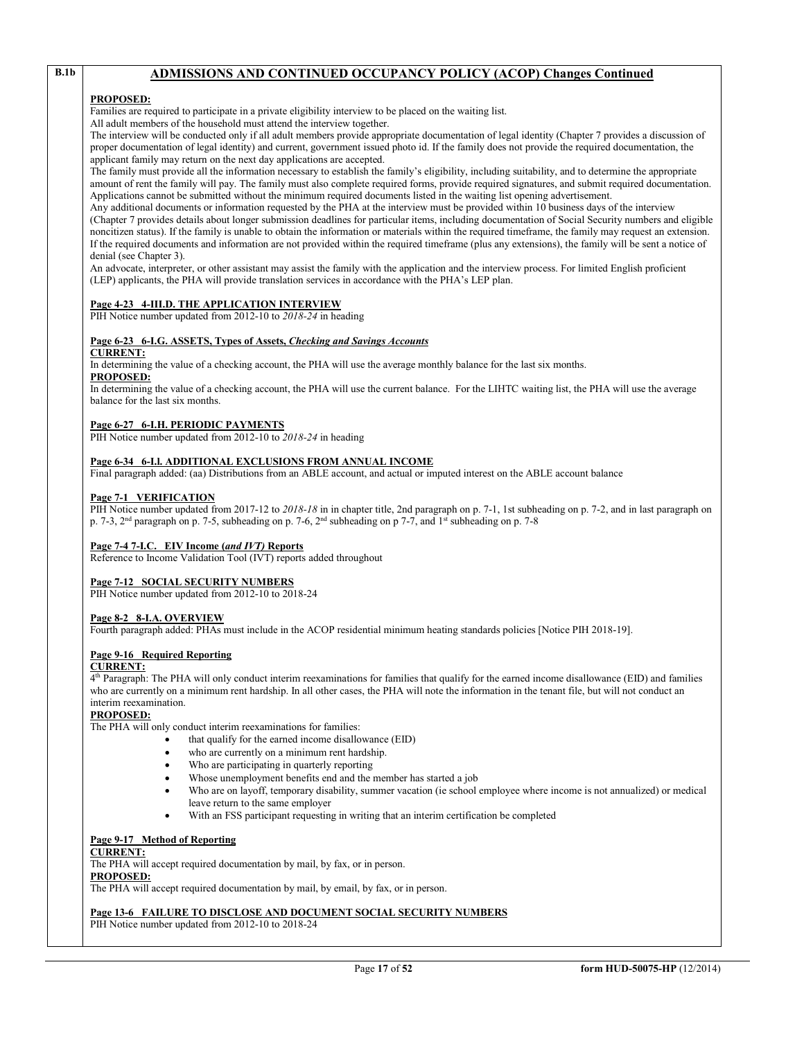# **B.1b ADMISSIONS AND CONTINUED OCCUPANCY POLICY (ACOP) Changes Continued**

#### **PROPOSED:**

Families are required to participate in a private eligibility interview to be placed on the waiting list.

All adult members of the household must attend the interview together.

The interview will be conducted only if all adult members provide appropriate documentation of legal identity (Chapter 7 provides a discussion of proper documentation of legal identity) and current, government issued photo id. If the family does not provide the required documentation, the applicant family may return on the next day applications are accepted.

The family must provide all the information necessary to establish the family's eligibility, including suitability, and to determine the appropriate amount of rent the family will pay. The family must also complete required forms, provide required signatures, and submit required documentation. Applications cannot be submitted without the minimum required documents listed in the waiting list opening advertisement.

Any additional documents or information requested by the PHA at the interview must be provided within 10 business days of the interview (Chapter 7 provides details about longer submission deadlines for particular items, including documentation of Social Security numbers and eligible noncitizen status). If the family is unable to obtain the information or materials within the required timeframe, the family may request an extension. If the required documents and information are not provided within the required timeframe (plus any extensions), the family will be sent a notice of denial (see Chapter 3).

An advocate, interpreter, or other assistant may assist the family with the application and the interview process. For limited English proficient (LEP) applicants, the PHA will provide translation services in accordance with the PHA's LEP plan.

### **Page 4-23 4-III.D. THE APPLICATION INTERVIEW**

PIH Notice number updated from 2012-10 to *2018-24* in heading

# **Page 6-23 6-I.G. ASSETS, Types of Assets,** *Checking and Savings Accounts*

# **CURRENT:**

In determining the value of a checking account, the PHA will use the average monthly balance for the last six months. **PROPOSED:**

In determining the value of a checking account, the PHA will use the current balance. For the LIHTC waiting list, the PHA will use the average balance for the last six months.

#### **Page 6-27 6-I.H. PERIODIC PAYMENTS**

PIH Notice number updated from 2012-10 to *2018-24* in heading

#### **Page 6-34 6-I.l. ADDITIONAL EXCLUSIONS FROM ANNUAL INCOME**

Final paragraph added: (aa) Distributions from an ABLE account, and actual or imputed interest on the ABLE account balance

#### **Page 7-1 VERIFICATION**

PIH Notice number updated from 2017-12 to 2018-18 in in chapter title, 2nd paragraph on p. 7-1, 1st subheading on p. 7-2, and in last paragraph on p. 7-3, 2nd paragraph on p. 7-5, subheading on p. 7-6, 2nd subheading on p 7-7, and 1st subheading on p. 7-8

#### **Page 7-4 7-I.C. EIV Income (***and IVT)* **Reports**

Reference to Income Validation Tool (IVT) reports added throughout

#### **Page 7-12 SOCIAL SECURITY NUMBERS**

PIH Notice number updated from 2012-10 to 2018-24

# **Page 8-2 8-I.A. OVERVIEW**

Fourth paragraph added: PHAs must include in the ACOP residential minimum heating standards policies [Notice PIH 2018-19].

# **Page 9-16 Required Reporting**

#### **CURRENT:**

4th Paragraph: The PHA will only conduct interim reexaminations for families that qualify for the earned income disallowance (EID) and families who are currently on a minimum rent hardship. In all other cases, the PHA will note the information in the tenant file, but will not conduct an interim reexamination.

#### **PROPOSED:**

The PHA will only conduct interim reexaminations for families:

- that qualify for the earned income disallowance (EID)
- who are currently on a minimum rent hardship.
- Who are participating in quarterly reporting
- Whose unemployment benefits end and the member has started a job
- Who are on layoff, temporary disability, summer vacation (ie school employee where income is not annualized) or medical leave return to the same employer
- With an FSS participant requesting in writing that an interim certification be completed

#### **Page 9-17 Method of Reporting**

#### **CURRENT:**

The PHA will accept required documentation by mail, by fax, or in person.

#### **PROPOSED:**

The PHA will accept required documentation by mail, by email, by fax, or in person.

# **Page 13-6 FAILURE TO DISCLOSE AND DOCUMENT SOCIAL SECURITY NUMBERS**

PIH Notice number updated from 2012-10 to 2018-24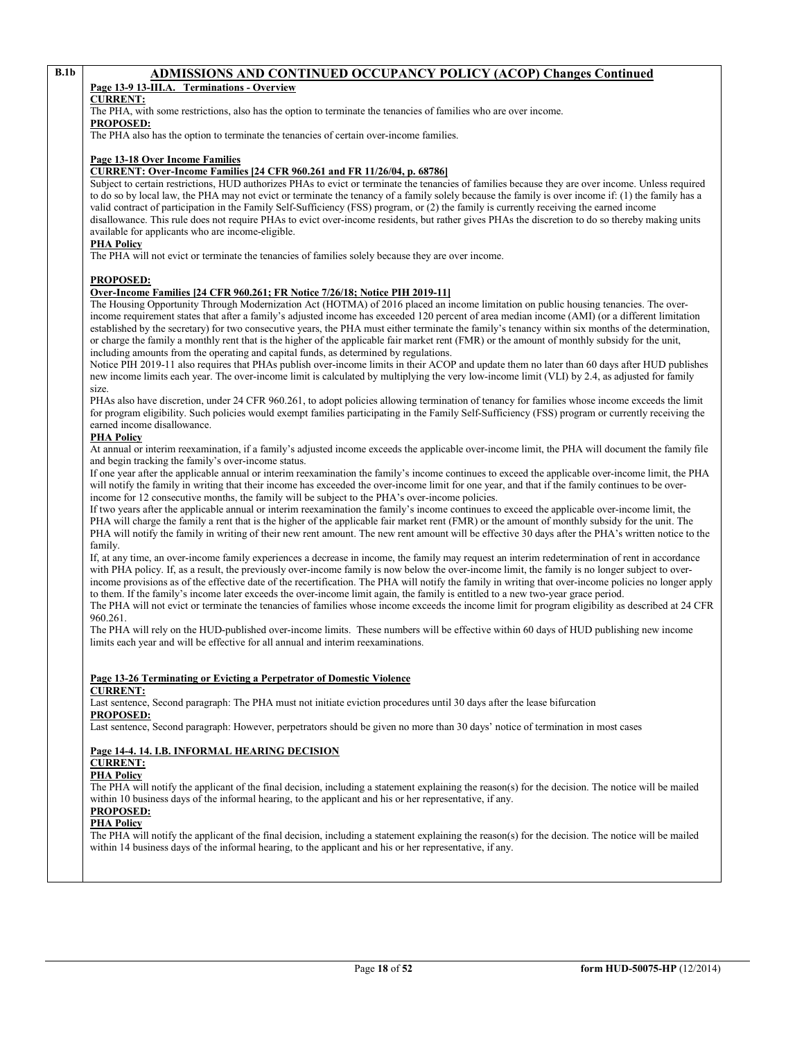# **B.1b ADMISSIONS AND CONTINUED OCCUPANCY POLICY (ACOP) Changes Continued Page 13-9 13-III.A.** Terminations - Overview

# **Page 13-9 13-III.A. Terminations - Overview**

# **CURRENT:**

The PHA, with some restrictions, also has the option to terminate the tenancies of families who are over income.

**PROPOSED:**

The PHA also has the option to terminate the tenancies of certain over-income families.

### **Page 13-18 Over Income Families**

## **CURRENT: Over-Income Families [24 CFR 960.261 and FR 11/26/04, p. 68786]**

Subject to certain restrictions, HUD authorizes PHAs to evict or terminate the tenancies of families because they are over income. Unless required to do so by local law, the PHA may not evict or terminate the tenancy of a family solely because the family is over income if: (1) the family has a valid contract of participation in the Family Self-Sufficiency (FSS) program, or (2) the family is currently receiving the earned income disallowance. This rule does not require PHAs to evict over-income residents, but rather gives PHAs the discretion to do so thereby making units available for applicants who are income-eligible.

## **PHA Policy**

The PHA will not evict or terminate the tenancies of families solely because they are over income.

#### **PROPOSED:**

#### **Over-Income Families [24 CFR 960.261; FR Notice 7/26/18; Notice PIH 2019-11]**

The Housing Opportunity Through Modernization Act (HOTMA) of 2016 placed an income limitation on public housing tenancies. The overincome requirement states that after a family's adjusted income has exceeded 120 percent of area median income (AMI) (or a different limitation established by the secretary) for two consecutive years, the PHA must either terminate the family's tenancy within six months of the determination, or charge the family a monthly rent that is the higher of the applicable fair market rent (FMR) or the amount of monthly subsidy for the unit, including amounts from the operating and capital funds, as determined by regulations.

Notice PIH 2019-11 also requires that PHAs publish over-income limits in their ACOP and update them no later than 60 days after HUD publishes new income limits each year. The over-income limit is calculated by multiplying the very low-income limit (VLI) by 2.4, as adjusted for family size.

PHAs also have discretion, under 24 CFR 960.261, to adopt policies allowing termination of tenancy for families whose income exceeds the limit for program eligibility. Such policies would exempt families participating in the Family Self-Sufficiency (FSS) program or currently receiving the earned income disallowance.

# **PHA Policy**

At annual or interim reexamination, if a family's adjusted income exceeds the applicable over-income limit, the PHA will document the family file and begin tracking the family's over-income status.

If one year after the applicable annual or interim reexamination the family's income continues to exceed the applicable over-income limit, the PHA will notify the family in writing that their income has exceeded the over-income limit for one year, and that if the family continues to be overincome for 12 consecutive months, the family will be subject to the PHA's over-income policies.

If two years after the applicable annual or interim reexamination the family's income continues to exceed the applicable over-income limit, the PHA will charge the family a rent that is the higher of the applicable fair market rent (FMR) or the amount of monthly subsidy for the unit. The PHA will notify the family in writing of their new rent amount. The new rent amount will be effective 30 days after the PHA's written notice to the family.

If, at any time, an over-income family experiences a decrease in income, the family may request an interim redetermination of rent in accordance with PHA policy. If, as a result, the previously over-income family is now below the over-income limit, the family is no longer subject to overincome provisions as of the effective date of the recertification. The PHA will notify the family in writing that over-income policies no longer apply to them. If the family's income later exceeds the over-income limit again, the family is entitled to a new two-year grace period.

The PHA will not evict or terminate the tenancies of families whose income exceeds the income limit for program eligibility as described at 24 CFR 960.261.

The PHA will rely on the HUD-published over-income limits. These numbers will be effective within 60 days of HUD publishing new income limits each year and will be effective for all annual and interim reexaminations.

# **Page 13-26 Terminating or Evicting a Perpetrator of Domestic Violence**

# **CURRENT:**

Last sentence, Second paragraph: The PHA must not initiate eviction procedures until 30 days after the lease bifurcation **PROPOSED:**

Last sentence, Second paragraph: However, perpetrators should be given no more than 30 days' notice of termination in most cases

#### **Page 14-4. 14. I.B. INFORMAL HEARING DECISION**

# **CURRENT:**

**PHA Policy**

The PHA will notify the applicant of the final decision, including a statement explaining the reason(s) for the decision. The notice will be mailed within 10 business days of the informal hearing, to the applicant and his or her representative, if any.

# **PROPOSED:**

**PHA Policy**

The PHA will notify the applicant of the final decision, including a statement explaining the reason(s) for the decision. The notice will be mailed within 14 business days of the informal hearing, to the applicant and his or her representative, if any.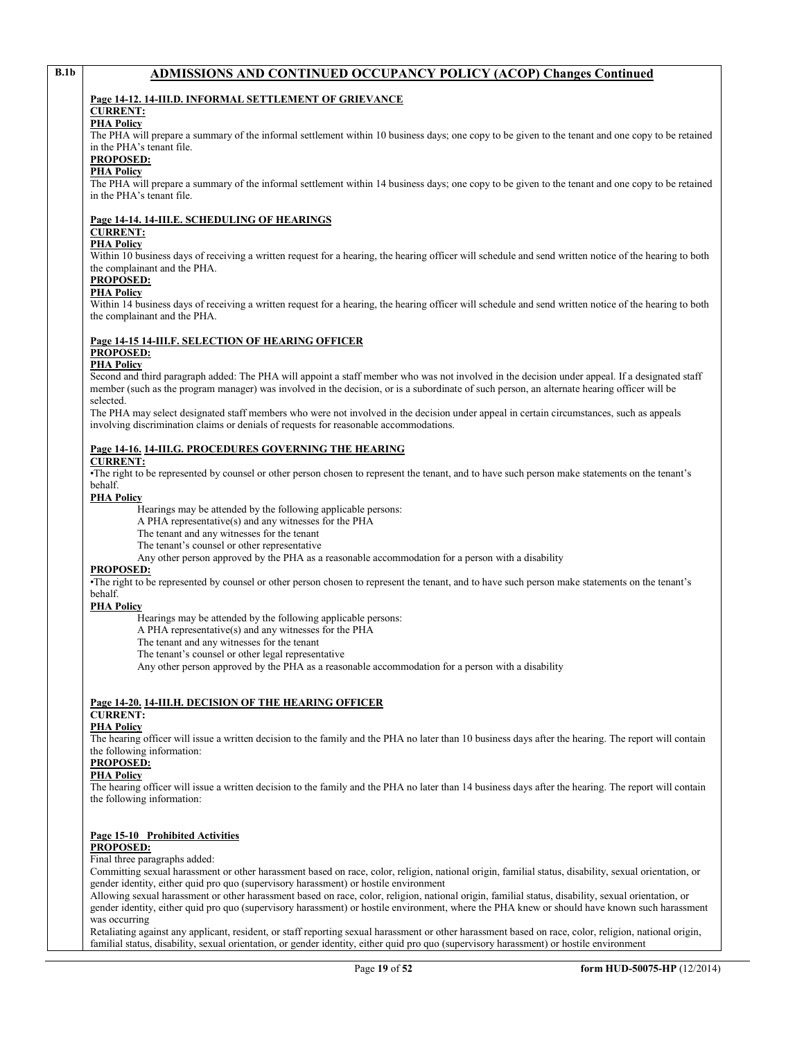# **B.1b ADMISSIONS AND CONTINUED OCCUPANCY POLICY (ACOP) Changes Continued**

### **Page 14-12. 14-III.D. INFORMAL SETTLEMENT OF GRIEVANCE**

# **CURRENT:**

# **PHA Policy**

The PHA will prepare a summary of the informal settlement within 10 business days; one copy to be given to the tenant and one copy to be retained in the PHA's tenant file.

#### **PROPOSED:**

#### **PHA Policy**

The PHA will prepare a summary of the informal settlement within 14 business days; one copy to be given to the tenant and one copy to be retained in the PHA's tenant file.

# **Page 14-14. 14-III.E. SCHEDULING OF HEARINGS**

# **CURRENT:**

# **PHA Policy**

Within 10 business days of receiving a written request for a hearing, the hearing officer will schedule and send written notice of the hearing to both the complainant and the PHA.

# **PROPOSED:**

# **PHA Policy**

Within 14 business days of receiving a written request for a hearing, the hearing officer will schedule and send written notice of the hearing to both the complainant and the PHA.

#### **Page 14-15 14-III.F. SELECTION OF HEARING OFFICER PROPOSED:**

# **PHA Policy**

Second and third paragraph added: The PHA will appoint a staff member who was not involved in the decision under appeal. If a designated staff member (such as the program manager) was involved in the decision, or is a subordinate of such person, an alternate hearing officer will be selected.

The PHA may select designated staff members who were not involved in the decision under appeal in certain circumstances, such as appeals involving discrimination claims or denials of requests for reasonable accommodations.

#### **Page 14-16. 14-III.G. PROCEDURES GOVERNING THE HEARING**

#### **CURRENT:**

•The right to be represented by counsel or other person chosen to represent the tenant, and to have such person make statements on the tenant's behalf.

#### **PHA Policy**

Hearings may be attended by the following applicable persons:

A PHA representative(s) and any witnesses for the PHA

- The tenant and any witnesses for the tenant
- The tenant's counsel or other representative

Any other person approved by the PHA as a reasonable accommodation for a person with a disability

#### **PROPOSED:**

•The right to be represented by counsel or other person chosen to represent the tenant, and to have such person make statements on the tenant's behalf.

#### **PHA Policy**

Hearings may be attended by the following applicable persons:

A PHA representative(s) and any witnesses for the PHA

The tenant and any witnesses for the tenant

The tenant's counsel or other legal representative

Any other person approved by the PHA as a reasonable accommodation for a person with a disability

#### **Page 14-20. 14-III.H. DECISION OF THE HEARING OFFICER CURRENT:**

# **PHA Policy**

The hearing officer will issue a written decision to the family and the PHA no later than 10 business days after the hearing. The report will contain the following information:

#### **PROPOSED:**

#### **PHA Policy**

The hearing officer will issue a written decision to the family and the PHA no later than 14 business days after the hearing. The report will contain the following information:

#### **Page 15-10 Prohibited Activities**

#### **PROPOSED:**

# Final three paragraphs added:

Committing sexual harassment or other harassment based on race, color, religion, national origin, familial status, disability, sexual orientation, or gender identity, either quid pro quo (supervisory harassment) or hostile environment

Allowing sexual harassment or other harassment based on race, color, religion, national origin, familial status, disability, sexual orientation, or gender identity, either quid pro quo (supervisory harassment) or hostile environment, where the PHA knew or should have known such harassment was occurring

Retaliating against any applicant, resident, or staff reporting sexual harassment or other harassment based on race, color, religion, national origin, familial status, disability, sexual orientation, or gender identity, either quid pro quo (supervisory harassment) or hostile environment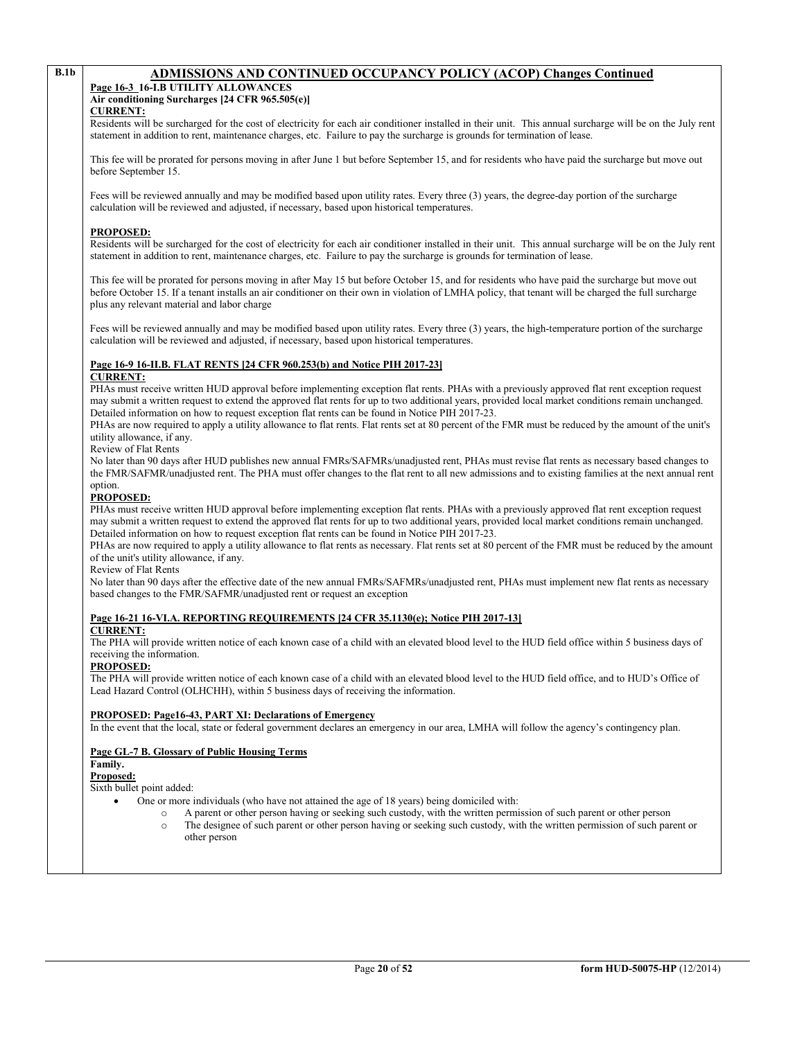# **B.1b ADMISSIONS AND CONTINUED OCCUPANCY POLICY (ACOP) Changes Continued**

#### **Page 16-3 16-I.B UTILITY ALLOWANCES Air conditioning Surcharges [24 CFR 965.505(e)]**

**CURRENT:**

Residents will be surcharged for the cost of electricity for each air conditioner installed in their unit. This annual surcharge will be on the July rent statement in addition to rent, maintenance charges, etc. Failure to pay the surcharge is grounds for termination of lease.

This fee will be prorated for persons moving in after June 1 but before September 15, and for residents who have paid the surcharge but move out before September 15.

Fees will be reviewed annually and may be modified based upon utility rates. Every three (3) years, the degree-day portion of the surcharge calculation will be reviewed and adjusted, if necessary, based upon historical temperatures.

### **PROPOSED:**

Residents will be surcharged for the cost of electricity for each air conditioner installed in their unit. This annual surcharge will be on the July rent statement in addition to rent, maintenance charges, etc. Failure to pay the surcharge is grounds for termination of lease.

This fee will be prorated for persons moving in after May 15 but before October 15, and for residents who have paid the surcharge but move out before October 15. If a tenant installs an air conditioner on their own in violation of LMHA policy, that tenant will be charged the full surcharge plus any relevant material and labor charge

Fees will be reviewed annually and may be modified based upon utility rates. Every three (3) years, the high-temperature portion of the surcharge calculation will be reviewed and adjusted, if necessary, based upon historical temperatures.

# **Page 16-9 16-II.B. FLAT RENTS [24 CFR 960.253(b) and Notice PIH 2017-23]**

#### **CURRENT:**

PHAs must receive written HUD approval before implementing exception flat rents. PHAs with a previously approved flat rent exception request may submit a written request to extend the approved flat rents for up to two additional years, provided local market conditions remain unchanged. Detailed information on how to request exception flat rents can be found in Notice PIH 2017-23.

PHAs are now required to apply a utility allowance to flat rents. Flat rents set at 80 percent of the FMR must be reduced by the amount of the unit's utility allowance, if any.

Review of Flat Rents

No later than 90 days after HUD publishes new annual FMRs/SAFMRs/unadjusted rent, PHAs must revise flat rents as necessary based changes to the FMR/SAFMR/unadjusted rent. The PHA must offer changes to the flat rent to all new admissions and to existing families at the next annual rent option.

# **PROPOSED:**

PHAs must receive written HUD approval before implementing exception flat rents. PHAs with a previously approved flat rent exception request may submit a written request to extend the approved flat rents for up to two additional years, provided local market conditions remain unchanged. Detailed information on how to request exception flat rents can be found in Notice PIH 2017-23.

PHAs are now required to apply a utility allowance to flat rents as necessary. Flat rents set at 80 percent of the FMR must be reduced by the amount of the unit's utility allowance, if any.

# Review of Flat Rents

No later than 90 days after the effective date of the new annual FMRs/SAFMRs/unadjusted rent, PHAs must implement new flat rents as necessary based changes to the FMR/SAFMR/unadjusted rent or request an exception

# **Page 16-21 16-VI.A. REPORTING REQUIREMENTS [24 CFR 35.1130(e); Notice PIH 2017-13]**

#### **CURRENT:**

The PHA will provide written notice of each known case of a child with an elevated blood level to the HUD field office within 5 business days of receiving the information.

#### **PROPOSED:**

The PHA will provide written notice of each known case of a child with an elevated blood level to the HUD field office, and to HUD's Office of Lead Hazard Control (OLHCHH), within 5 business days of receiving the information.

#### **PROPOSED: Page16-43, PART XI: Declarations of Emergency**

In the event that the local, state or federal government declares an emergency in our area, LMHA will follow the agency's contingency plan.

# **Page GL-7 B. Glossary of Public Housing Terms**

#### **Family.**

**Proposed:**

Sixth bullet point added:

• One or more individuals (who have not attained the age of 18 years) being domiciled with:

- o A parent or other person having or seeking such custody, with the written permission of such parent or other person<br>The designee of such parent or other person having or seeking such custody, with the written permission
	- The designee of such parent or other person having or seeking such custody, with the written permission of such parent or other person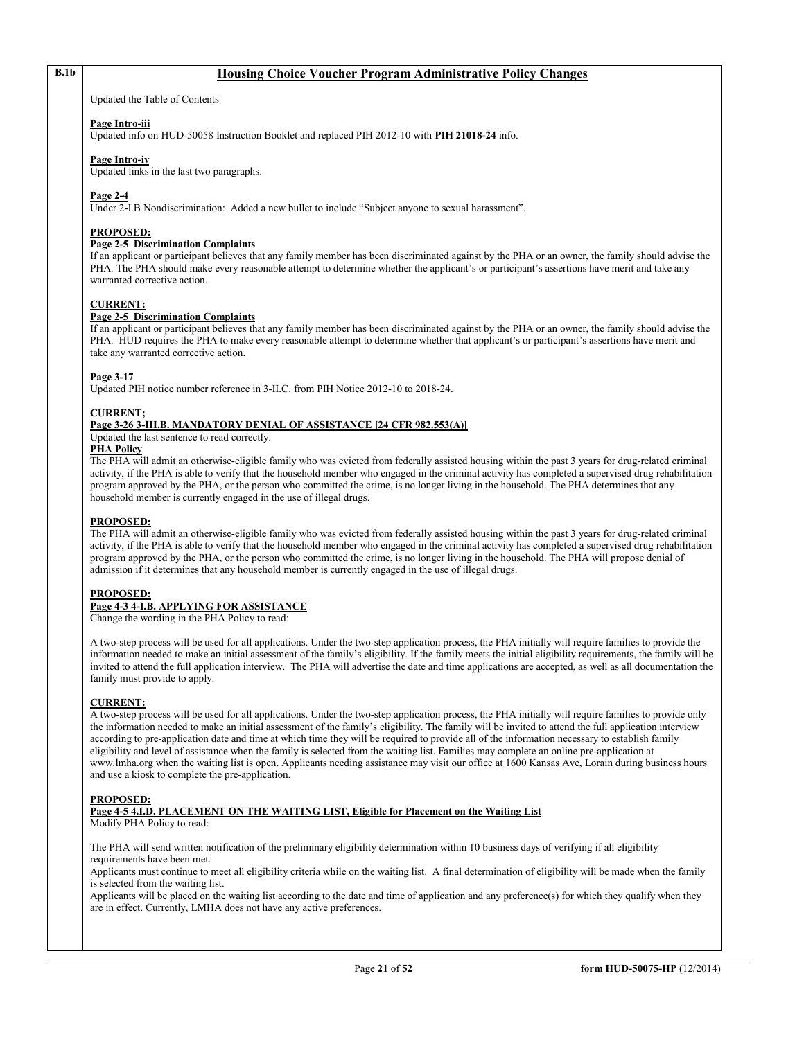# **B.1b Housing Choice Voucher Program Administrative Policy Changes**

Updated the Table of Contents

#### **Page Intro-iii**

Updated info on HUD-50058 Instruction Booklet and replaced PIH 2012-10 with **PIH 21018-24** info.

#### **Page Intro-iv**

Updated links in the last two paragraphs.

#### **Page 2-4**

Under 2-I.B Nondiscrimination: Added a new bullet to include "Subject anyone to sexual harassment".

#### **PROPOSED:**

#### **Page 2-5 Discrimination Complaints**

If an applicant or participant believes that any family member has been discriminated against by the PHA or an owner, the family should advise the PHA. The PHA should make every reasonable attempt to determine whether the applicant's or participant's assertions have merit and take any warranted corrective action.

#### **CURRENT:**

#### **Page 2-5 Discrimination Complaints**

If an applicant or participant believes that any family member has been discriminated against by the PHA or an owner, the family should advise the PHA. HUD requires the PHA to make every reasonable attempt to determine whether that applicant's or participant's assertions have merit and take any warranted corrective action.

#### **Page 3-17**

Updated PIH notice number reference in 3-II.C. from PIH Notice 2012-10 to 2018-24.

#### **CURRENT;**

#### **Page 3-26 3-III.B. MANDATORY DENIAL OF ASSISTANCE [24 CFR 982.553(A)]**

Updated the last sentence to read correctly.

## **PHA Policy**

The PHA will admit an otherwise-eligible family who was evicted from federally assisted housing within the past 3 years for drug-related criminal activity, if the PHA is able to verify that the household member who engaged in the criminal activity has completed a supervised drug rehabilitation program approved by the PHA, or the person who committed the crime, is no longer living in the household. The PHA determines that any household member is currently engaged in the use of illegal drugs.

#### **PROPOSED:**

The PHA will admit an otherwise-eligible family who was evicted from federally assisted housing within the past 3 years for drug-related criminal activity, if the PHA is able to verify that the household member who engaged in the criminal activity has completed a supervised drug rehabilitation program approved by the PHA, or the person who committed the crime, is no longer living in the household. The PHA will propose denial of admission if it determines that any household member is currently engaged in the use of illegal drugs.

#### **PROPOSED:**

# **Page 4-3 4-I.B. APPLYING FOR ASSISTANCE**

Change the wording in the PHA Policy to read:

A two-step process will be used for all applications. Under the two-step application process, the PHA initially will require families to provide the information needed to make an initial assessment of the family's eligibility. If the family meets the initial eligibility requirements, the family will be invited to attend the full application interview. The PHA will advertise the date and time applications are accepted, as well as all documentation the family must provide to apply.

#### **CURRENT:**

A two-step process will be used for all applications. Under the two-step application process, the PHA initially will require families to provide only the information needed to make an initial assessment of the family's eligibility. The family will be invited to attend the full application interview according to pre-application date and time at which time they will be required to provide all of the information necessary to establish family eligibility and level of assistance when the family is selected from the waiting list. Families may complete an online pre-application at www.lmha.org when the waiting list is open. Applicants needing assistance may visit our office at 1600 Kansas Ave, Lorain during business hours and use a kiosk to complete the pre-application.

#### **PROPOSED:**

**Page 4-5 4.I.D. PLACEMENT ON THE WAITING LIST, Eligible for Placement on the Waiting List** Modify PHA Policy to read:

The PHA will send written notification of the preliminary eligibility determination within 10 business days of verifying if all eligibility requirements have been met.

Applicants must continue to meet all eligibility criteria while on the waiting list. A final determination of eligibility will be made when the family is selected from the waiting list.

Applicants will be placed on the waiting list according to the date and time of application and any preference(s) for which they qualify when they are in effect. Currently, LMHA does not have any active preferences.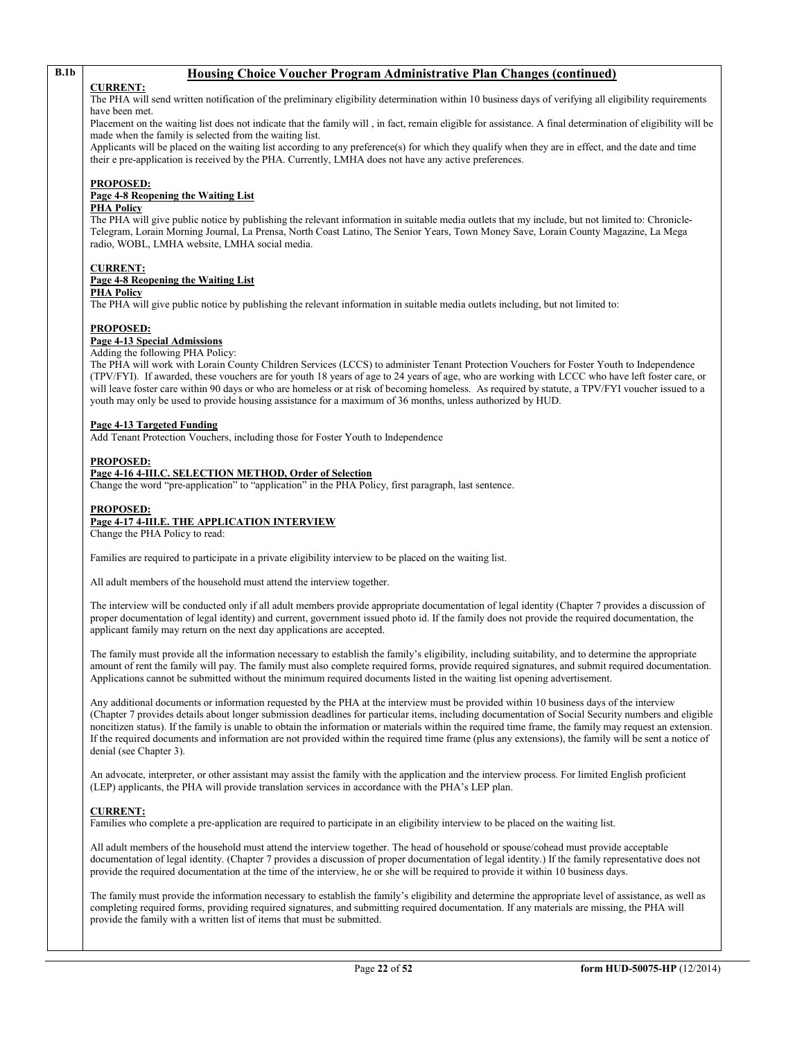# **B.1b Housing Choice Voucher Program Administrative Plan Changes (continued)**

#### **CURRENT:**

The PHA will send written notification of the preliminary eligibility determination within 10 business days of verifying all eligibility requirements have been met.

Placement on the waiting list does not indicate that the family will, in fact, remain eligible for assistance. A final determination of eligibility will be made when the family is selected from the waiting list.

Applicants will be placed on the waiting list according to any preference(s) for which they qualify when they are in effect, and the date and time their e pre-application is received by the PHA. Currently, LMHA does not have any active preferences.

#### **PROPOSED:**

### **Page 4-8 Reopening the Waiting List**

### **PHA Policy**

The PHA will give public notice by publishing the relevant information in suitable media outlets that my include, but not limited to: Chronicle-Telegram, Lorain Morning Journal, La Prensa, North Coast Latino, The Senior Years, Town Money Save, Lorain County Magazine, La Mega radio, WOBL, LMHA website, LMHA social media.

# **CURRENT:**

#### **Page 4-8 Reopening the Waiting List**

**PHA Policy**

The PHA will give public notice by publishing the relevant information in suitable media outlets including, but not limited to:

#### **PROPOSED:**

#### **Page 4-13 Special Admissions**

#### Adding the following PHA Policy:

The PHA will work with Lorain County Children Services (LCCS) to administer Tenant Protection Vouchers for Foster Youth to Independence (TPV/FYI). If awarded, these vouchers are for youth 18 years of age to 24 years of age, who are working with LCCC who have left foster care, or will leave foster care within 90 days or who are homeless or at risk of becoming homeless. As required by statute, a TPV/FYI voucher issued to a youth may only be used to provide housing assistance for a maximum of 36 months, unless authorized by HUD.

#### **Page 4-13 Targeted Funding**

Add Tenant Protection Vouchers, including those for Foster Youth to Independence

#### **PROPOSED:**

#### **Page 4-16 4-III.C. SELECTION METHOD, Order of Selection**

Change the word "pre-application" to "application" in the PHA Policy, first paragraph, last sentence.

#### **PROPOSED:**

#### **Page 4-17 4-III.E. THE APPLICATION INTERVIEW**

Change the PHA Policy to read:

Families are required to participate in a private eligibility interview to be placed on the waiting list.

All adult members of the household must attend the interview together.

The interview will be conducted only if all adult members provide appropriate documentation of legal identity (Chapter 7 provides a discussion of proper documentation of legal identity) and current, government issued photo id. If the family does not provide the required documentation, the applicant family may return on the next day applications are accepted.

The family must provide all the information necessary to establish the family's eligibility, including suitability, and to determine the appropriate amount of rent the family will pay. The family must also complete required forms, provide required signatures, and submit required documentation. Applications cannot be submitted without the minimum required documents listed in the waiting list opening advertisement.

Any additional documents or information requested by the PHA at the interview must be provided within 10 business days of the interview (Chapter 7 provides details about longer submission deadlines for particular items, including documentation of Social Security numbers and eligible noncitizen status). If the family is unable to obtain the information or materials within the required time frame, the family may request an extension. If the required documents and information are not provided within the required time frame (plus any extensions), the family will be sent a notice of denial (see Chapter 3).

An advocate, interpreter, or other assistant may assist the family with the application and the interview process. For limited English proficient (LEP) applicants, the PHA will provide translation services in accordance with the PHA's LEP plan.

#### **CURRENT:**

Families who complete a pre-application are required to participate in an eligibility interview to be placed on the waiting list.

All adult members of the household must attend the interview together. The head of household or spouse/cohead must provide acceptable documentation of legal identity. (Chapter 7 provides a discussion of proper documentation of legal identity.) If the family representative does not provide the required documentation at the time of the interview, he or she will be required to provide it within 10 business days.

The family must provide the information necessary to establish the family's eligibility and determine the appropriate level of assistance, as well as completing required forms, providing required signatures, and submitting required documentation. If any materials are missing, the PHA will provide the family with a written list of items that must be submitted.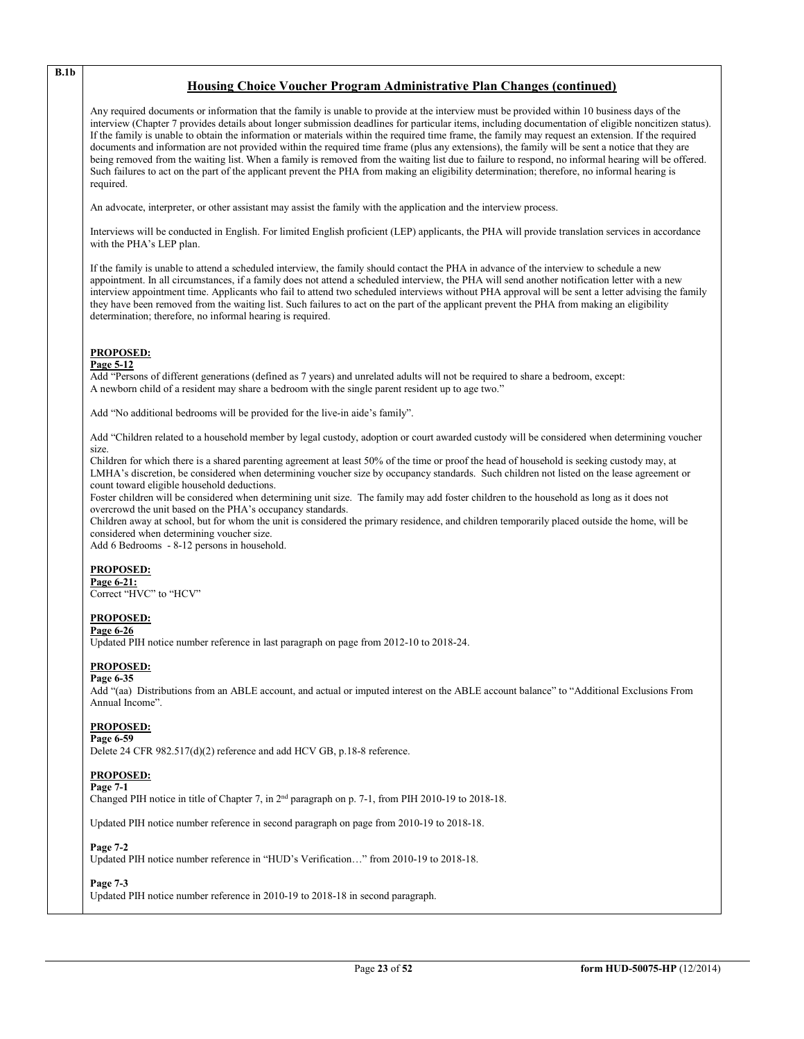# **Housing Choice Voucher Program Administrative Plan Changes (continued)**

Any required documents or information that the family is unable to provide at the interview must be provided within 10 business days of the interview (Chapter 7 provides details about longer submission deadlines for particular items, including documentation of eligible noncitizen status). If the family is unable to obtain the information or materials within the required time frame, the family may request an extension. If the required documents and information are not provided within the required time frame (plus any extensions), the family will be sent a notice that they are being removed from the waiting list. When a family is removed from the waiting list due to failure to respond, no informal hearing will be offered. Such failures to act on the part of the applicant prevent the PHA from making an eligibility determination; therefore, no informal hearing is required.

An advocate, interpreter, or other assistant may assist the family with the application and the interview process.

Interviews will be conducted in English. For limited English proficient (LEP) applicants, the PHA will provide translation services in accordance with the PHA's LEP plan.

If the family is unable to attend a scheduled interview, the family should contact the PHA in advance of the interview to schedule a new appointment. In all circumstances, if a family does not attend a scheduled interview, the PHA will send another notification letter with a new interview appointment time. Applicants who fail to attend two scheduled interviews without PHA approval will be sent a letter advising the family they have been removed from the waiting list. Such failures to act on the part of the applicant prevent the PHA from making an eligibility determination; therefore, no informal hearing is required.

#### **PROPOSED:**

#### **Page 5-12**

Add "Persons of different generations (defined as 7 years) and unrelated adults will not be required to share a bedroom, except: A newborn child of a resident may share a bedroom with the single parent resident up to age two."

Add "No additional bedrooms will be provided for the live-in aide's family".

Add "Children related to a household member by legal custody, adoption or court awarded custody will be considered when determining voucher size.

Children for which there is a shared parenting agreement at least 50% of the time or proof the head of household is seeking custody may, at LMHA's discretion, be considered when determining voucher size by occupancy standards. Such children not listed on the lease agreement or count toward eligible household deductions.

Foster children will be considered when determining unit size. The family may add foster children to the household as long as it does not overcrowd the unit based on the PHA's occupancy standards.

Children away at school, but for whom the unit is considered the primary residence, and children temporarily placed outside the home, will be considered when determining voucher size.

Add 6 Bedrooms - 8-12 persons in household.

#### **PROPOSED:**

**Page 6-21:** Correct "HVC" to "HCV"

# **PROPOSED:**

#### **Page 6-26**

Updated PIH notice number reference in last paragraph on page from 2012-10 to 2018-24.

#### **PROPOSED:**

#### **Page 6-35**

Add "(aa) Distributions from an ABLE account, and actual or imputed interest on the ABLE account balance" to "Additional Exclusions From Annual Income".

#### **PROPOSED:**

#### **Page 6-59**

Delete 24 CFR 982.517(d)(2) reference and add HCV GB, p.18-8 reference.

#### **PROPOSED:**

#### **Page 7-1**

Changed PIH notice in title of Chapter 7, in 2nd paragraph on p. 7-1, from PIH 2010-19 to 2018-18.

Updated PIH notice number reference in second paragraph on page from 2010-19 to 2018-18.

#### **Page 7-2**

Updated PIH notice number reference in "HUD's Verification…" from 2010-19 to 2018-18.

#### **Page 7-3**

Updated PIH notice number reference in 2010-19 to 2018-18 in second paragraph.

**B.1b**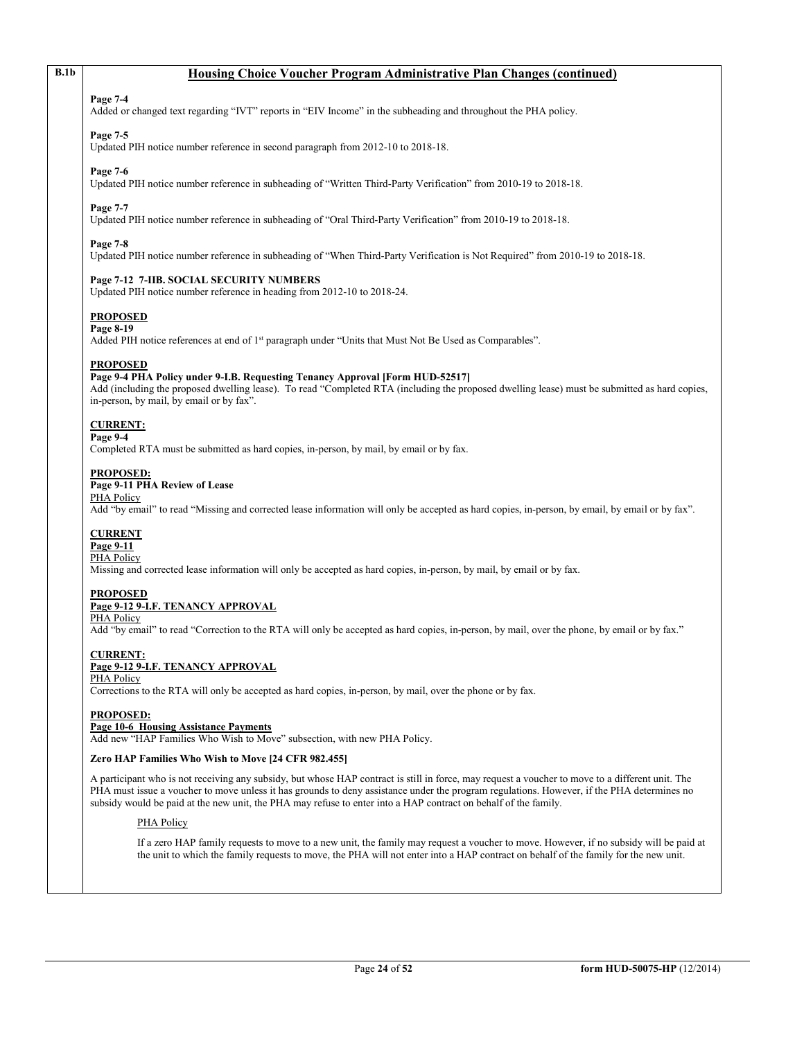# **B.1b Housing Choice Voucher Program Administrative Plan Changes (continued)**

### **Page 7-4**

Added or changed text regarding "IVT" reports in "EIV Income" in the subheading and throughout the PHA policy.

# **Page 7-5**

Updated PIH notice number reference in second paragraph from 2012-10 to 2018-18.

#### **Page 7-6**

Updated PIH notice number reference in subheading of "Written Third-Party Verification" from 2010-19 to 2018-18.

# **Page 7-7**

Updated PIH notice number reference in subheading of "Oral Third-Party Verification" from 2010-19 to 2018-18.

### **Page 7-8**

Updated PIH notice number reference in subheading of "When Third-Party Verification is Not Required" from 2010-19 to 2018-18.

#### **Page 7-12 7-IIB. SOCIAL SECURITY NUMBERS**

Updated PIH notice number reference in heading from 2012-10 to 2018-24.

# **PROPOSED**

#### **Page 8-19**

Added PIH notice references at end of 1<sup>st</sup> paragraph under "Units that Must Not Be Used as Comparables".

### **PROPOSED**

#### **Page 9-4 PHA Policy under 9-I.B. Requesting Tenancy Approval [Form HUD-52517]**

Add (including the proposed dwelling lease). To read "Completed RTA (including the proposed dwelling lease) must be submitted as hard copies, in-person, by mail, by email or by fax".

# **CURRENT:**

# **Page 9-4**

Completed RTA must be submitted as hard copies, in-person, by mail, by email or by fax.

#### **PROPOSED:**

### **Page 9-11 PHA Review of Lease**

# PHA Policy

Add "by email" to read "Missing and corrected lease information will only be accepted as hard copies, in-person, by email, by email or by fax".

#### **CURRENT**

#### **Page 9-11** PHA Policy

Missing and corrected lease information will only be accepted as hard copies, in-person, by mail, by email or by fax.

#### **PROPOSED**

# **Page 9-12 9-I.F. TENANCY APPROVAL**

PHA Policy

Add "by email" to read "Correction to the RTA will only be accepted as hard copies, in-person, by mail, over the phone, by email or by fax."

#### **CURRENT: Page 9-12 9-I.F. TENANCY APPROVAL**

# PHA Policy

Corrections to the RTA will only be accepted as hard copies, in-person, by mail, over the phone or by fax.

#### **PROPOSED:**

#### **Page 10-6 Housing Assistance Payments**

Add new "HAP Families Who Wish to Move" subsection, with new PHA Policy.

#### **Zero HAP Families Who Wish to Move [24 CFR 982.455]**

A participant who is not receiving any subsidy, but whose HAP contract is still in force, may request a voucher to move to a different unit. The PHA must issue a voucher to move unless it has grounds to deny assistance under the program regulations. However, if the PHA determines no subsidy would be paid at the new unit, the PHA may refuse to enter into a HAP contract on behalf of the family.

# PHA Policy

If a zero HAP family requests to move to a new unit, the family may request a voucher to move. However, if no subsidy will be paid at the unit to which the family requests to move, the PHA will not enter into a HAP contract on behalf of the family for the new unit.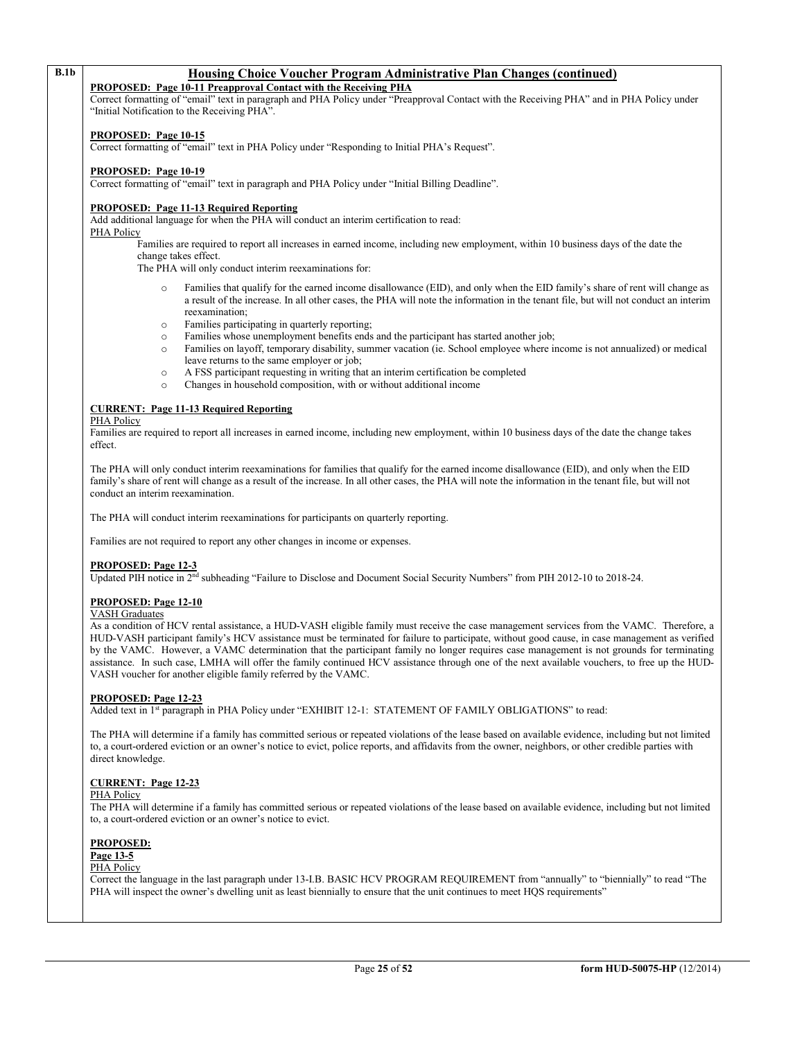# **B.1b Housing Choice Voucher Program Administrative Plan Changes (continued)**

**PROPOSED: Page 10-11 Preapproval Contact with the Receiving PHA**

Correct formatting of "email" text in paragraph and PHA Policy under "Preapproval Contact with the Receiving PHA" and in PHA Policy under "Initial Notification to the Receiving PHA".

#### **PROPOSED: Page 10-15**

Correct formatting of "email" text in PHA Policy under "Responding to Initial PHA's Request".

#### **PROPOSED: Page 10-19**

Correct formatting of "email" text in paragraph and PHA Policy under "Initial Billing Deadline".

#### **PROPOSED: Page 11-13 Required Reporting**

Add additional language for when the PHA will conduct an interim certification to read:

PHA Policy

Families are required to report all increases in earned income, including new employment, within 10 business days of the date the change takes effect.

The PHA will only conduct interim reexaminations for:

- Families that qualify for the earned income disallowance (EID), and only when the EID family's share of rent will change as a result of the increase. In all other cases, the PHA will note the information in the tenant file, but will not conduct an interim reexamination;
- o Families participating in quarterly reporting;
- Families whose unemployment benefits ends and the participant has started another job;
- o Families on layoff, temporary disability, summer vacation (ie. School employee where income is not annualized) or medical leave returns to the same employer or job;
- o A FSS participant requesting in writing that an interim certification be completed
- Changes in household composition, with or without additional income

### **CURRENT: Page 11-13 Required Reporting**

PHA Policy

Families are required to report all increases in earned income, including new employment, within 10 business days of the date the change takes effect.

The PHA will only conduct interim reexaminations for families that qualify for the earned income disallowance (EID), and only when the EID family's share of rent will change as a result of the increase. In all other cases, the PHA will note the information in the tenant file, but will not conduct an interim reexamination.

The PHA will conduct interim reexaminations for participants on quarterly reporting.

Families are not required to report any other changes in income or expenses.

# **PROPOSED: Page 12-3**

Updated PIH notice in 2nd subheading "Failure to Disclose and Document Social Security Numbers" from PIH 2012-10 to 2018-24.

# **PROPOSED: Page 12-10**

#### VASH Graduates

As a condition of HCV rental assistance, a HUD-VASH eligible family must receive the case management services from the VAMC. Therefore, a HUD-VASH participant family's HCV assistance must be terminated for failure to participate, without good cause, in case management as verified by the VAMC. However, a VAMC determination that the participant family no longer requires case management is not grounds for terminating assistance. In such case, LMHA will offer the family continued HCV assistance through one of the next available vouchers, to free up the HUD-VASH voucher for another eligible family referred by the VAMC.

#### **PROPOSED: Page 12-23**

Added text in 1<sup>st</sup> paragraph in PHA Policy under "EXHIBIT 12-1: STATEMENT OF FAMILY OBLIGATIONS" to read:

The PHA will determine if a family has committed serious or repeated violations of the lease based on available evidence, including but not limited to, a court-ordered eviction or an owner's notice to evict, police reports, and affidavits from the owner, neighbors, or other credible parties with direct knowledge.

#### **CURRENT: Page 12-23**

#### PHA Policy

The PHA will determine if a family has committed serious or repeated violations of the lease based on available evidence, including but not limited to, a court-ordered eviction or an owner's notice to evict.

#### **PROPOSED:**

**Page 13-5**

#### PHA Policy

Correct the language in the last paragraph under 13-I.B. BASIC HCV PROGRAM REQUIREMENT from "annually" to "biennially" to read "The PHA will inspect the owner's dwelling unit as least biennially to ensure that the unit continues to meet HQS requirements"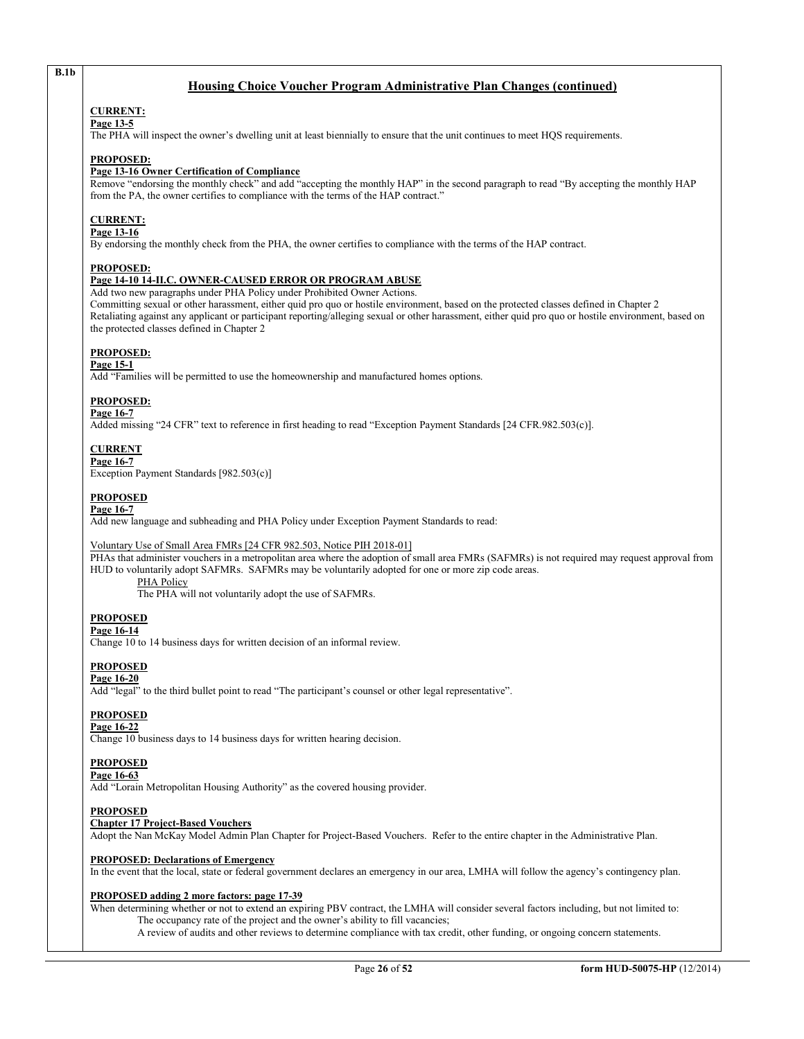# **Housing Choice Voucher Program Administrative Plan Changes (continued)**

#### **CURRENT: Page 13-5**

**B.1b**

The PHA will inspect the owner's dwelling unit at least biennially to ensure that the unit continues to meet HQS requirements.

#### **PROPOSED:**

#### **Page 13-16 Owner Certification of Compliance**

Remove "endorsing the monthly check" and add "accepting the monthly HAP" in the second paragraph to read "By accepting the monthly HAP from the PA, the owner certifies to compliance with the terms of the HAP contract."

# **CURRENT:**

#### **Page 13-16**

By endorsing the monthly check from the PHA, the owner certifies to compliance with the terms of the HAP contract.

#### **PROPOSED:**

# **Page 14-10 14-II.C. OWNER-CAUSED ERROR OR PROGRAM ABUSE**

Add two new paragraphs under PHA Policy under Prohibited Owner Actions. Committing sexual or other harassment, either quid pro quo or hostile environment, based on the protected classes defined in Chapter 2 Retaliating against any applicant or participant reporting/alleging sexual or other harassment, either quid pro quo or hostile environment, based on the protected classes defined in Chapter 2

### **PROPOSED:**

#### **Page 15-1**

Add "Families will be permitted to use the homeownership and manufactured homes options.

# **PROPOSED:**

#### **Page 16-7**

Added missing "24 CFR" text to reference in first heading to read "Exception Payment Standards [24 CFR.982.503(c)].

### **CURRENT**

**Page 16-7** Exception Payment Standards [982.503(c)]

### **PROPOSED**

#### **Page 16-7**

Add new language and subheading and PHA Policy under Exception Payment Standards to read:

Voluntary Use of Small Area FMRs [24 CFR 982.503, Notice PIH 2018-01]

PHAs that administer vouchers in a metropolitan area where the adoption of small area FMRs (SAFMRs) is not required may request approval from HUD to voluntarily adopt SAFMRs. SAFMRs may be voluntarily adopted for one or more zip code areas.

PHA Policy

The PHA will not voluntarily adopt the use of SAFMRs.

#### **PROPOSED**

#### **Page 16-14**

Change 10 to 14 business days for written decision of an informal review.

# **PROPOSED**

#### **Page 16-20**

Add "legal" to the third bullet point to read "The participant's counsel or other legal representative".

# **PROPOSED**

#### **Page 16-22**

Change 10 business days to 14 business days for written hearing decision.

#### **PROPOSED**

#### **Page 16-63**

Add "Lorain Metropolitan Housing Authority" as the covered housing provider.

# **PROPOSED**

# **Chapter 17 Project-Based Vouchers**

Adopt the Nan McKay Model Admin Plan Chapter for Project-Based Vouchers. Refer to the entire chapter in the Administrative Plan.

#### **PROPOSED: Declarations of Emergency**

In the event that the local, state or federal government declares an emergency in our area, LMHA will follow the agency's contingency plan.

#### **PROPOSED adding 2 more factors: page 17-39**

When determining whether or not to extend an expiring PBV contract, the LMHA will consider several factors including, but not limited to: The occupancy rate of the project and the owner's ability to fill vacancies;

A review of audits and other reviews to determine compliance with tax credit, other funding, or ongoing concern statements.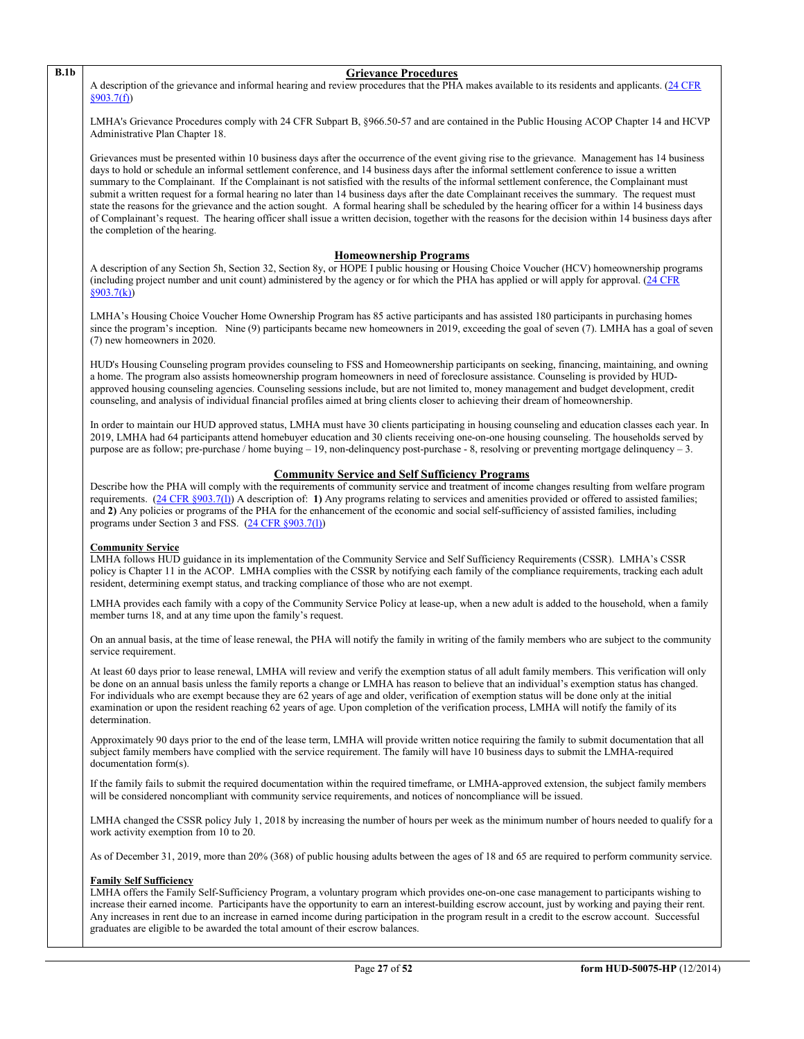#### **B.1b Grievance Procedures**

A description of the grievance and informal hearing and review procedures that the PHA makes available to its residents and applicants. (24 CFR [§903.7\(f\)\)](http://ecfr.gpoaccess.gov/cgi/t/text/text-idx?c=ecfr&sid=b44bf19bef93dd31287608d2c687e271&rgn=div5&view=text&node=24:4.0.3.1.3&idno=24#24:4.0.3.1.3.2.5.5)

LMHA's Grievance Procedures comply wit[h 24 CFR Subpart B, §966.50-57 and are contained in the Public Housing ACOP Chapter 14 and HCVP](http://ecfr.gpoaccess.gov/cgi/t/text/text-idx?c=ecfr&sid=b44bf19bef93dd31287608d2c687e271&rgn=div5&view=text&node=24:4.0.3.1.3&idno=24#24:4.0.3.1.3.2.5.5)  [Administrative Plan Chapter 18.](http://ecfr.gpoaccess.gov/cgi/t/text/text-idx?c=ecfr&sid=b44bf19bef93dd31287608d2c687e271&rgn=div5&view=text&node=24:4.0.3.1.3&idno=24#24:4.0.3.1.3.2.5.5)

Grievances must be presented within 10 business days after the occurrence of the event giving rise to the grievance. Management has 14 business days to hold or schedule an informal settlement conference, and 14 business days after the informal settlement conference to issue a written summary to the Complainant. If the Complainant is not satisfied with the results of the informal settlement conference, the Complainant must submit a written request for a formal hearing no later than 14 business days after the date Complainant receives the summary. The request must state the reasons for the grievance and the action sought. A formal hearing shall be scheduled by the hearing officer for a within 14 business days of Complainant's request. The hearing officer shall issue a written decision, together with the reasons for the decision within 14 business days after the completion of the hearing.

#### **Homeownership Programs**

A description of any Section 5h, Section 32, Section 8y, or HOPE I public housing or Housing Choice Voucher (HCV) homeownership programs (including project number and unit count) administered by the agency or for which the PHA has applied or will apply for approval. [\(24 CFR](http://ecfr.gpoaccess.gov/cgi/t/text/text-idx?c=ecfr&sid=b44bf19bef93dd31287608d2c687e271&rgn=div5&view=text&node=24:4.0.3.1.3&idno=24#24:4.0.3.1.3.2.5.5)   $\overline{\$903.7(k)}$ 

LMHA's Housing Choice Voucher Home Ownership Program has 85 active participants and has assisted 180 participants in purchasing homes since the program's inception. Nine (9) participants became new homeowners in 2019, exceeding the goal of seven (7). LMHA has a goal of seven (7) new homeowners in 2020.

HUD's Housing Counseling program provides counseling to FSS and Homeownership participants on seeking, financing, maintaining, and owning a home. The program also assists homeownership program homeowners in need of foreclosure assistance. Counseling is provided by HUDapproved housing counseling agencies. Counseling sessions include, but are not limited to, money management and budget development, credit counseling, and analysis of individual financial profiles aimed at bring clients closer to achieving their dream of homeownership.

In order to maintain our HUD approved status, LMHA must have 30 clients participating in housing counseling and education classes each year. In 2019, LMHA had 64 participants attend homebuyer education and 30 clients receiving one-on-one housing counseling. The households served by purpose are as follow; pre-purchase / home buying – 19, non-delinquency post-purchase - 8, resolving or preventing mortgage delinquency – 3.

# **Community Service and Self Sufficiency Programs**

Describe how the PHA will comply with the requirements of community service and treatment of income changes resulting from welfare program requirements. [\(24 CFR §903.7\(l\)\)](http://ecfr.gpoaccess.gov/cgi/t/text/text-idx?c=ecfr&sid=13734845220744370804c20da2294a03&rgn=div5&view=text&node=24:4.0.3.1.3&idno=24#24:4.0.3.1.3.2.5.5) A description of: **1)** Any programs relating to services and amenities provided or offered to assisted families; and **2)** Any policies or programs of the PHA for the enhancement of the economic and social self-sufficiency of assisted families, including programs under Section 3 and FSS. [\(24 CFR §903.7\(l\)\)](http://ecfr.gpoaccess.gov/cgi/t/text/text-idx?c=ecfr&sid=b44bf19bef93dd31287608d2c687e271&rgn=div5&view=text&node=24:4.0.3.1.3&idno=24#24:4.0.3.1.3.2.5.5) 

#### **Community Service**

LMHA follows HUD guidance in its implementation of the Community Service and Self Sufficiency Requirements (CSSR). LMHA's CSSR policy is Chapter 11 in the ACOP. LMHA complies with the CSSR by notifying each family of the compliance requirements, tracking each adult resident, determining exempt status, and tracking compliance of those who are not exempt.

LMHA provides each family with a copy of the Community Service Policy at lease-up, when a new adult is added to the household, when a family member turns 18, and at any time upon the family's request.

On an annual basis, at the time of lease renewal, the PHA will notify the family in writing of the family members who are subject to the community service requirement.

At least 60 days prior to lease renewal, LMHA will review and verify the exemption status of all adult family members. This verification will only be done on an annual basis unless the family reports a change or LMHA has reason to believe that an individual's exemption status has changed. For individuals who are exempt because they are 62 years of age and older, verification of exemption status will be done only at the initial examination or upon the resident reaching 62 years of age. Upon completion of the verification process, LMHA will notify the family of its determination.

Approximately 90 days prior to the end of the lease term, LMHA will provide written notice requiring the family to submit documentation that all subject family members have complied with the service requirement. The family will have 10 business days to submit the LMHA-required documentation form(s).

If the family fails to submit the required documentation within the required timeframe, or LMHA-approved extension, the subject family members will be considered noncompliant with community service requirements, and notices of noncompliance will be issued.

LMHA changed the CSSR policy July 1, 2018 by increasing the number of hours per week as the minimum number of hours needed to qualify for a work activity exemption from 10 to 20.

As of December 31, 2019, more than 20% (368) of public housing adults between the ages of 18 and 65 are required to perform community service.

#### **Family Self Sufficiency**

LMHA offers the Family Self-Sufficiency Program, a voluntary program which provides one-on-one case management to participants wishing to increase their earned income. Participants have the opportunity to earn an interest-building escrow account, just by working and paying their rent. Any increases in rent due to an increase in earned income during participation in the program result in a credit to the escrow account. Successful graduates are eligible to be awarded the total amount of their escrow balances.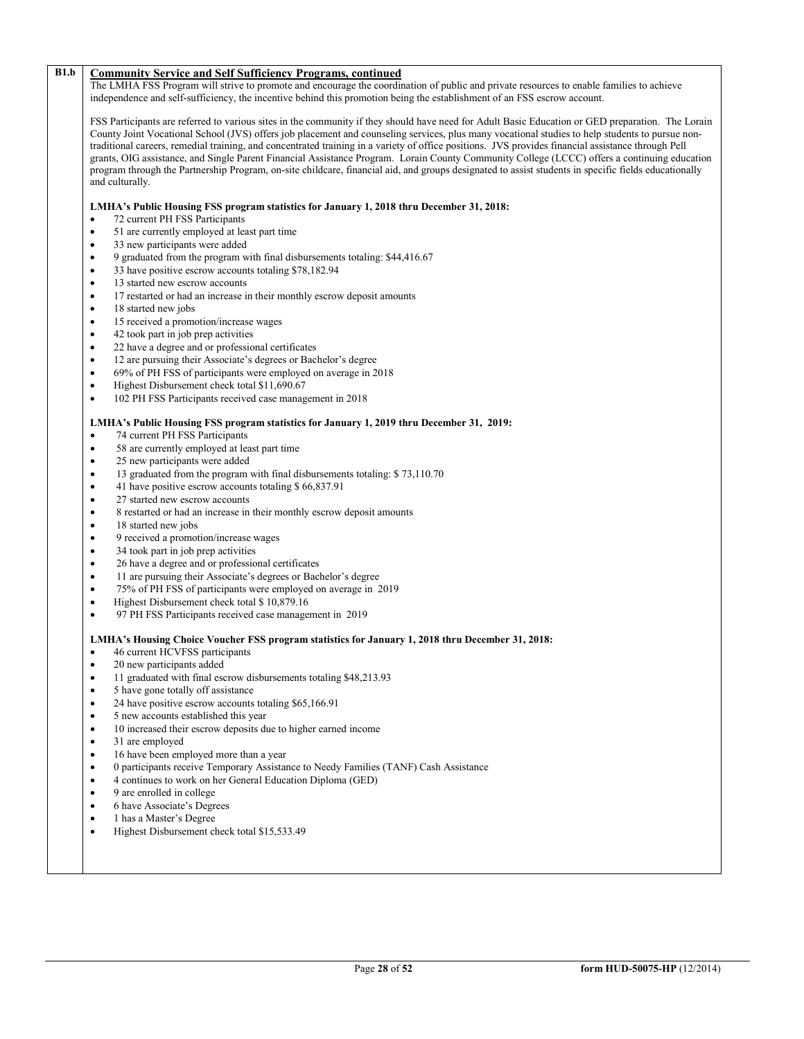# **B1.b Community Service and Self Sufficiency Programs, continued**

The LMHA FSS Program will strive to promote and encourage the coordination of public and private resources to enable families to achieve independence and self-sufficiency, the incentive behind this promotion being the establishment of an FSS escrow account.

FSS Participants are referred to various sites in the community if they should have need for Adult Basic Education or GED preparation. The Lorain County Joint Vocational School (JVS) offers job placement and counseling services, plus many vocational studies to help students to pursue nontraditional careers, remedial training, and concentrated training in a variety of office positions. JVS provides financial assistance through Pell grants, OIG assistance, and Single Parent Financial Assistance Program. Lorain County Community College (LCCC) offers a continuing education program through the Partnership Program, on-site childcare, financial aid, and groups designated to assist students in specific fields educationally and culturally.

#### **LMHA's Public Housing FSS program statistics for January 1, 2018 thru December 31, 2018:**

- 72 current PH FSS Participants
- 51 are currently employed at least part time
- 33 new participants were added
- 9 graduated from the program with final disbursements totaling: \$44,416.67
- 33 have positive escrow accounts totaling \$78,182.94
- 13 started new escrow accounts
- 17 restarted or had an increase in their monthly escrow deposit amounts
- 18 started new jobs
- 15 received a promotion/increase wages
- 42 took part in job prep activities
- 22 have a degree and or professional certificates
- 12 are pursuing their Associate's degrees or Bachelor's degree
- 69% of PH FSS of participants were employed on average in 2018
- Highest Disbursement check total \$11,690.67
- 102 PH FSS Participants received case management in 2018

#### **LMHA's Public Housing FSS program statistics for January 1, 2019 thru December 31, 2019:**

- 74 current PH FSS Participants
- 58 are currently employed at least part time
- 25 new participants were added
- 13 graduated from the program with final disbursements totaling: \$ 73,110.70
- 41 have positive escrow accounts totaling \$ 66,837.91
- 27 started new escrow accounts
- 8 restarted or had an increase in their monthly escrow deposit amounts
- 18 started new jobs
- 9 received a promotion/increase wages
- 34 took part in job prep activities
- 26 have a degree and or professional certificates
- 11 are pursuing their Associate's degrees or Bachelor's degree
- 75% of PH FSS of participants were employed on average in 2019
- Highest Disbursement check total \$ 10,879.16
- 97 PH FSS Participants received case management in 2019

#### **LMHA's Housing Choice Voucher FSS program statistics for January 1, 2018 thru December 31, 2018:**

- 46 current HCVFSS participants
- 20 new participants added
- 11 graduated with final escrow disbursements totaling \$48,213.93
- 5 have gone totally off assistance
- 24 have positive escrow accounts totaling \$65,166.91
- 5 new accounts established this year
- 10 increased their escrow deposits due to higher earned income
- 31 are employed
- 16 have been employed more than a year
- 0 participants receive Temporary Assistance to Needy Families (TANF) Cash Assistance
- 4 continues to work on her General Education Diploma (GED)
- 9 are enrolled in college
- 6 have Associate's Degrees
- 1 has a Master's Degree
- Highest Disbursement check total \$15,533.49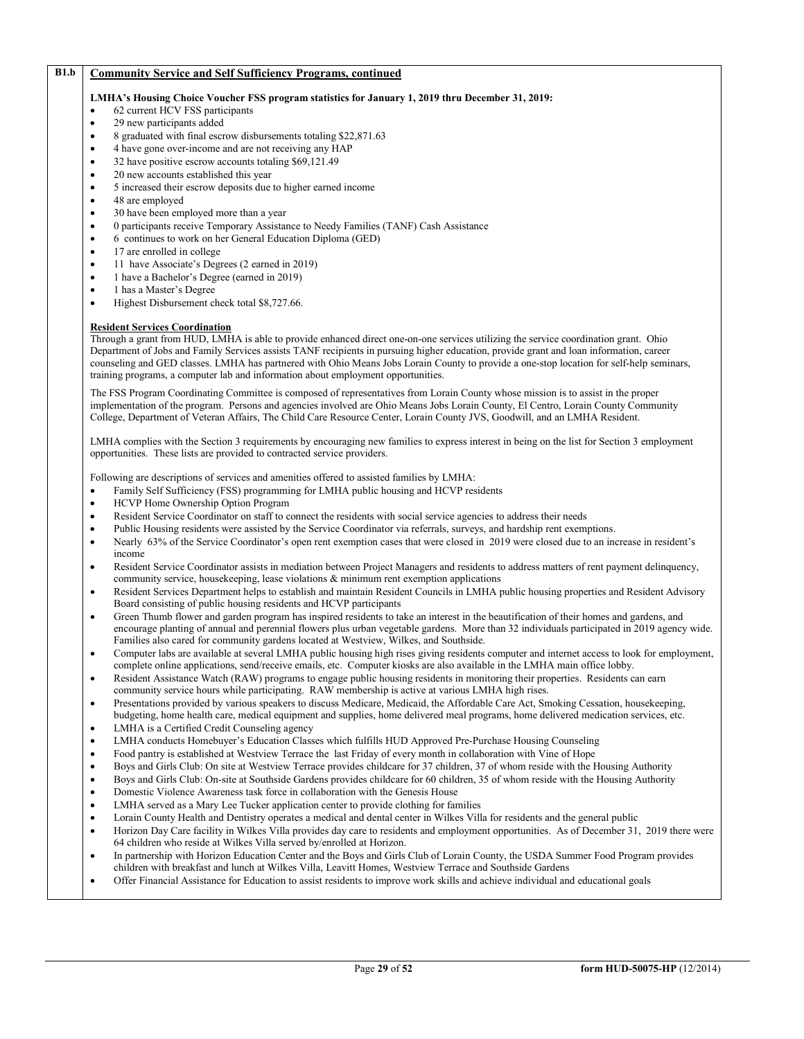# **B1.b Community Service and Self Sufficiency Programs, continued**

#### **LMHA's Housing Choice Voucher FSS program statistics for January 1, 2019 thru December 31, 2019:**

- 62 current HCV FSS participants
- 29 new participants added
- 8 graduated with final escrow disbursements totaling \$22,871.63
- 4 have gone over-income and are not receiving any HAP
- 32 have positive escrow accounts totaling \$69,121.49
- 20 new accounts established this year
- 5 increased their escrow deposits due to higher earned income
- 48 are employed
- 30 have been employed more than a year
- 0 participants receive Temporary Assistance to Needy Families (TANF) Cash Assistance
- 6 continues to work on her General Education Diploma (GED)
- 17 are enrolled in college
- 11 have Associate's Degrees (2 earned in 2019)
- 1 have a Bachelor's Degree (earned in 2019)
- 1 has a Master's Degree
- Highest Disbursement check total \$8,727.66.

#### **Resident Services Coordination**

Through a grant from HUD, LMHA is able to provide enhanced direct one-on-one services utilizing the service coordination grant. Ohio Department of Jobs and Family Services assists TANF recipients in pursuing higher education, provide grant and loan information, career counseling and GED classes. LMHA has partnered with Ohio Means Jobs Lorain County to provide a one-stop location for self-help seminars, training programs, a computer lab and information about employment opportunities.

The FSS Program Coordinating Committee is composed of representatives from Lorain County whose mission is to assist in the proper implementation of the program. Persons and agencies involved are Ohio Means Jobs Lorain County, El Centro, Lorain County Community College, Department of Veteran Affairs, The Child Care Resource Center, Lorain County JVS, Goodwill, and an LMHA Resident.

LMHA complies with the Section 3 requirements by encouraging new families to express interest in being on the list for Section 3 employment opportunities. These lists are provided to contracted service providers.

Following are descriptions of services and amenities offered to assisted families by LMHA:

- Family Self Sufficiency (FSS) programming for LMHA public housing and HCVP residents
- HCVP Home Ownership Option Program
- Resident Service Coordinator on staff to connect the residents with social service agencies to address their needs
- Public Housing residents were assisted by the Service Coordinator via referrals, surveys, and hardship rent exemptions.
- Nearly 63% of the Service Coordinator's open rent exemption cases that were closed in 2019 were closed due to an increase in resident's income
- Resident Service Coordinator assists in mediation between Project Managers and residents to address matters of rent payment delinquency, community service, housekeeping, lease violations & minimum rent exemption applications
- Resident Services Department helps to establish and maintain Resident Councils in LMHA public housing properties and Resident Advisory Board consisting of public housing residents and HCVP participants
- Green Thumb flower and garden program has inspired residents to take an interest in the beautification of their homes and gardens, and encourage planting of annual and perennial flowers plus urban vegetable gardens. More than 32 individuals participated in 2019 agency wide. Families also cared for community gardens located at Westview, Wilkes, and Southside.
- Computer labs are available at several LMHA public housing high rises giving residents computer and internet access to look for employment, complete online applications, send/receive emails, etc. Computer kiosks are also available in the LMHA main office lobby.
- Resident Assistance Watch (RAW) programs to engage public housing residents in monitoring their properties. Residents can earn community service hours while participating. RAW membership is active at various LMHA high rises.
- Presentations provided by various speakers to discuss Medicare, Medicaid, the Affordable Care Act, Smoking Cessation, housekeeping, budgeting, home health care, medical equipment and supplies, home delivered meal programs, home delivered medication services, etc.
- LMHA is a Certified Credit Counseling agency
- LMHA conducts Homebuyer's Education Classes which fulfills HUD Approved Pre-Purchase Housing Counseling
- Food pantry is established at Westview Terrace the last Friday of every month in collaboration with Vine of Hope
- Boys and Girls Club: On site at Westview Terrace provides childcare for 37 children, 37 of whom reside with the Housing Authority
- Boys and Girls Club: On-site at Southside Gardens provides childcare for 60 children, 35 of whom reside with the Housing Authority
- Domestic Violence Awareness task force in collaboration with the Genesis House
- LMHA served as a Mary Lee Tucker application center to provide clothing for families
- Lorain County Health and Dentistry operates a medical and dental center in Wilkes Villa for residents and the general public
- Horizon Day Care facility in Wilkes Villa provides day care to residents and employment opportunities. As of December 31, 2019 there were 64 children who reside at Wilkes Villa served by/enrolled at Horizon.
- In partnership with Horizon Education Center and the Boys and Girls Club of Lorain County, the USDA Summer Food Program provides children with breakfast and lunch at Wilkes Villa, Leavitt Homes, Westview Terrace and Southside Gardens
- Offer Financial Assistance for Education to assist residents to improve work skills and achieve individual and educational goals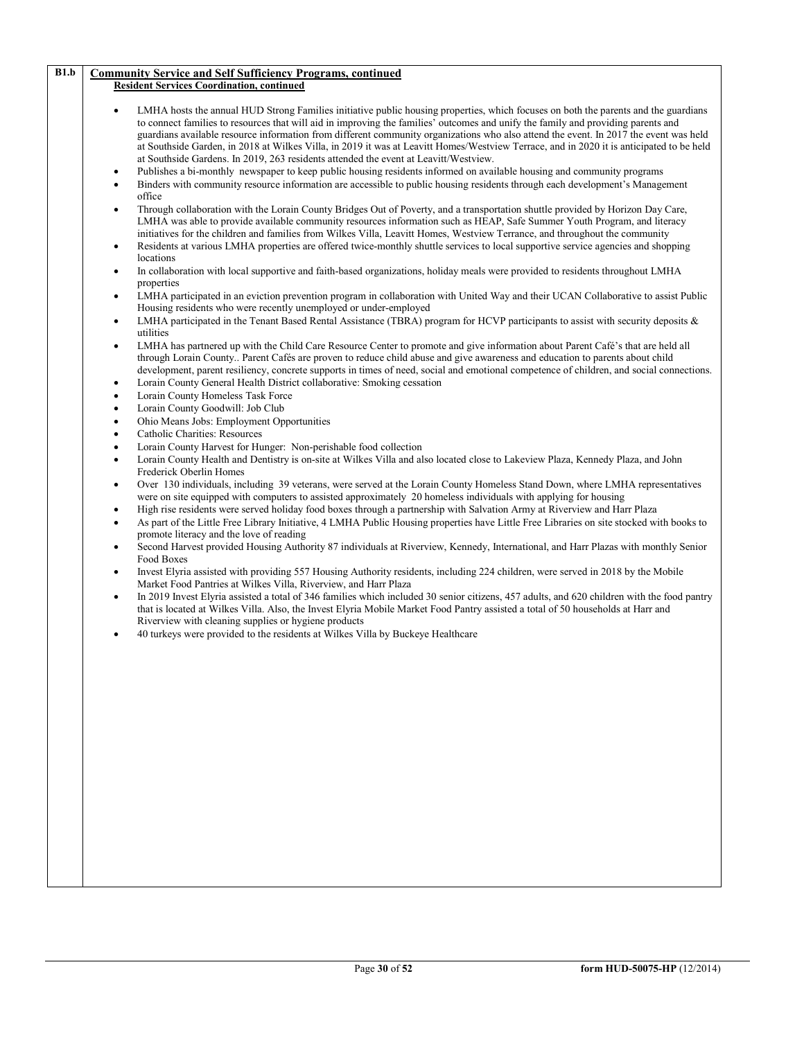| B1.b | <b>Community Service and Self Sufficiency Programs, continued</b>                                                                                                                                                                                                                                                                                                                                                                                                                                                                                                                                                                                                                                                                                                                                 |
|------|---------------------------------------------------------------------------------------------------------------------------------------------------------------------------------------------------------------------------------------------------------------------------------------------------------------------------------------------------------------------------------------------------------------------------------------------------------------------------------------------------------------------------------------------------------------------------------------------------------------------------------------------------------------------------------------------------------------------------------------------------------------------------------------------------|
|      | <b>Resident Services Coordination, continued</b>                                                                                                                                                                                                                                                                                                                                                                                                                                                                                                                                                                                                                                                                                                                                                  |
|      |                                                                                                                                                                                                                                                                                                                                                                                                                                                                                                                                                                                                                                                                                                                                                                                                   |
|      | LMHA hosts the annual HUD Strong Families initiative public housing properties, which focuses on both the parents and the guardians<br>٠<br>to connect families to resources that will aid in improving the families' outcomes and unify the family and providing parents and<br>guardians available resource information from different community organizations who also attend the event. In 2017 the event was held<br>at Southside Garden, in 2018 at Wilkes Villa, in 2019 it was at Leavitt Homes/Westview Terrace, and in 2020 it is anticipated to be held<br>at Southside Gardens. In 2019, 263 residents attended the event at Leavitt/Westview.<br>Publishes a bi-monthly newspaper to keep public housing residents informed on available housing and community programs<br>$\bullet$ |
|      | Binders with community resource information are accessible to public housing residents through each development's Management<br>$\bullet$<br>office                                                                                                                                                                                                                                                                                                                                                                                                                                                                                                                                                                                                                                               |
|      | Through collaboration with the Lorain County Bridges Out of Poverty, and a transportation shuttle provided by Horizon Day Care,<br>٠<br>LMHA was able to provide available community resources information such as HEAP, Safe Summer Youth Program, and literacy<br>initiatives for the children and families from Wilkes Villa, Leavitt Homes, Westview Terrance, and throughout the community<br>Residents at various LMHA properties are offered twice-monthly shuttle services to local supportive service agencies and shopping<br>$\bullet$                                                                                                                                                                                                                                                 |
|      | locations                                                                                                                                                                                                                                                                                                                                                                                                                                                                                                                                                                                                                                                                                                                                                                                         |
|      | In collaboration with local supportive and faith-based organizations, holiday meals were provided to residents throughout LMHA<br>$\bullet$<br>properties                                                                                                                                                                                                                                                                                                                                                                                                                                                                                                                                                                                                                                         |
|      | LMHA participated in an eviction prevention program in collaboration with United Way and their UCAN Collaborative to assist Public<br>٠<br>Housing residents who were recently unemployed or under-employed<br>LMHA participated in the Tenant Based Rental Assistance (TBRA) program for HCVP participants to assist with security deposits &<br>$\bullet$                                                                                                                                                                                                                                                                                                                                                                                                                                       |
|      | utilities                                                                                                                                                                                                                                                                                                                                                                                                                                                                                                                                                                                                                                                                                                                                                                                         |
|      | LMHA has partnered up with the Child Care Resource Center to promote and give information about Parent Café's that are held all<br>٠<br>through Lorain County Parent Cafés are proven to reduce child abuse and give awareness and education to parents about child<br>development, parent resiliency, concrete supports in times of need, social and emotional competence of children, and social connections.<br>Lorain County General Health District collaborative: Smoking cessation<br>$\bullet$                                                                                                                                                                                                                                                                                            |
|      | Lorain County Homeless Task Force<br>$\bullet$                                                                                                                                                                                                                                                                                                                                                                                                                                                                                                                                                                                                                                                                                                                                                    |
|      | Lorain County Goodwill: Job Club<br>$\bullet$                                                                                                                                                                                                                                                                                                                                                                                                                                                                                                                                                                                                                                                                                                                                                     |
|      | Ohio Means Jobs: Employment Opportunities<br>$\bullet$                                                                                                                                                                                                                                                                                                                                                                                                                                                                                                                                                                                                                                                                                                                                            |
|      | Catholic Charities: Resources<br>$\bullet$                                                                                                                                                                                                                                                                                                                                                                                                                                                                                                                                                                                                                                                                                                                                                        |
|      | Lorain County Harvest for Hunger: Non-perishable food collection<br>$\bullet$                                                                                                                                                                                                                                                                                                                                                                                                                                                                                                                                                                                                                                                                                                                     |
|      | Lorain County Health and Dentistry is on-site at Wilkes Villa and also located close to Lakeview Plaza, Kennedy Plaza, and John<br>$\bullet$<br>Frederick Oberlin Homes                                                                                                                                                                                                                                                                                                                                                                                                                                                                                                                                                                                                                           |
|      | Over 130 individuals, including 39 veterans, were served at the Lorain County Homeless Stand Down, where LMHA representatives<br>$\bullet$<br>were on site equipped with computers to assisted approximately 20 homeless individuals with applying for housing<br>High rise residents were served holiday food boxes through a partnership with Salvation Army at Riverview and Harr Plaza<br>$\bullet$                                                                                                                                                                                                                                                                                                                                                                                           |
|      | As part of the Little Free Library Initiative, 4 LMHA Public Housing properties have Little Free Libraries on site stocked with books to<br>$\bullet$<br>promote literacy and the love of reading                                                                                                                                                                                                                                                                                                                                                                                                                                                                                                                                                                                                 |
|      | Second Harvest provided Housing Authority 87 individuals at Riverview, Kennedy, International, and Harr Plazas with monthly Senior<br>٠<br>Food Boxes                                                                                                                                                                                                                                                                                                                                                                                                                                                                                                                                                                                                                                             |
|      | Invest Elyria assisted with providing 557 Housing Authority residents, including 224 children, were served in 2018 by the Mobile<br>$\bullet$<br>Market Food Pantries at Wilkes Villa, Riverview, and Harr Plaza                                                                                                                                                                                                                                                                                                                                                                                                                                                                                                                                                                                  |
|      | In 2019 Invest Elyria assisted a total of 346 families which included 30 senior citizens, 457 adults, and 620 children with the food pantry<br>$\bullet$<br>that is located at Wilkes Villa. Also, the Invest Elyria Mobile Market Food Pantry assisted a total of 50 households at Harr and<br>Riverview with cleaning supplies or hygiene products                                                                                                                                                                                                                                                                                                                                                                                                                                              |
|      | 40 turkeys were provided to the residents at Wilkes Villa by Buckeye Healthcare<br>٠                                                                                                                                                                                                                                                                                                                                                                                                                                                                                                                                                                                                                                                                                                              |
|      |                                                                                                                                                                                                                                                                                                                                                                                                                                                                                                                                                                                                                                                                                                                                                                                                   |
|      |                                                                                                                                                                                                                                                                                                                                                                                                                                                                                                                                                                                                                                                                                                                                                                                                   |
|      |                                                                                                                                                                                                                                                                                                                                                                                                                                                                                                                                                                                                                                                                                                                                                                                                   |
|      |                                                                                                                                                                                                                                                                                                                                                                                                                                                                                                                                                                                                                                                                                                                                                                                                   |
|      |                                                                                                                                                                                                                                                                                                                                                                                                                                                                                                                                                                                                                                                                                                                                                                                                   |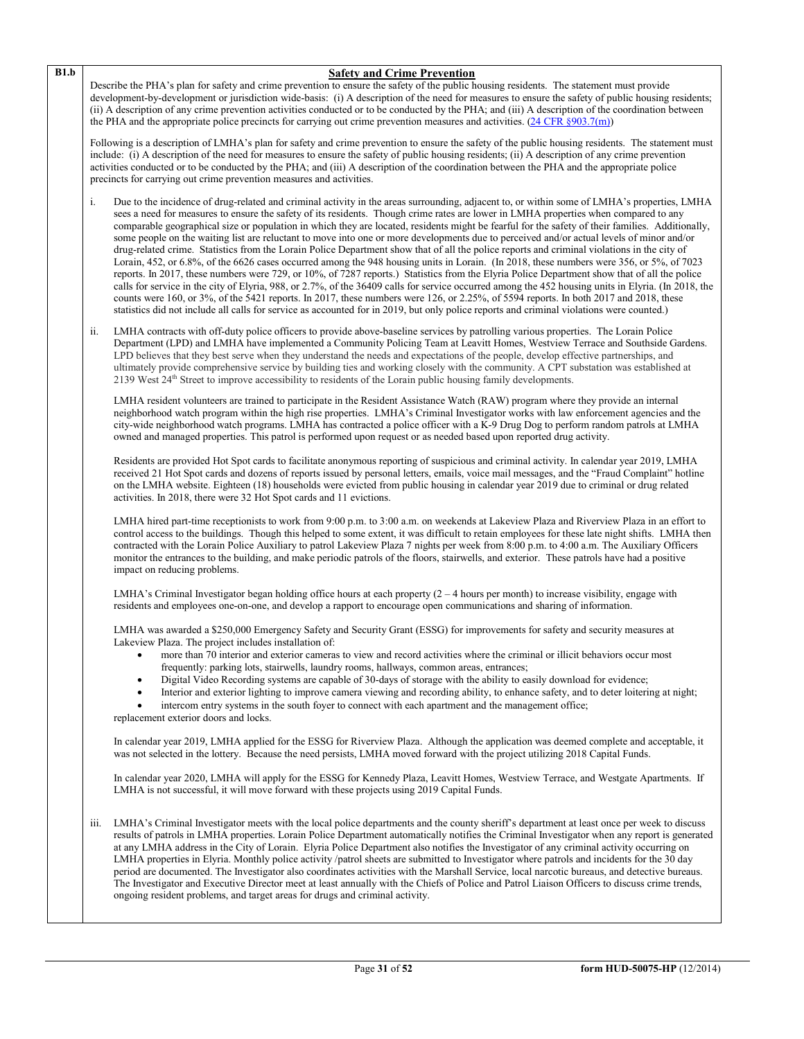activities conducted or to be conducted by the PHA; and (iii) A description of the coordination between the PHA and the appropriate police precincts for carrying out crime prevention measures and activities. i. Due to the incidence of drug-related and criminal activity in the areas surrounding, adjacent to, or within some of LMHA's properties, LMHA sees a need for measures to ensure the safety of its residents. Though crime rates are lower in LMHA properties when compared to any comparable geographical size or population in which they are located, residents might be fearful for the safety of their families. Additionally, some people on the waiting list are reluctant to move into one or more developments due to perceived and/or actual levels of minor and/or drug-related crime. Statistics from the Lorain Police Department show that of all the police reports and criminal violations in the city of Lorain, 452, or 6.8%, of the 6626 cases occurred among the 948 housing units in Lorain. (In 2018, these numbers were 356, or 5%, of 7023 reports. In 2017, these numbers were 729, or 10%, of 7287 reports.) Statistics from the Elyria Police Department show that of all the police calls for service in the city of Elyria, 988, or 2.7%, of the 36409 calls for service occurred among the 452 housing units in Elyria. (In 2018, the counts were 160, or 3%, of the 5421 reports. In 2017, these numbers were 126, or 2.25%, of 5594 reports. In both 2017 and 2018, these statistics did not include all calls for service as accounted for in 2019, but only police reports and criminal violations were counted.) ii. LMHA contracts with off-duty police officers to provide above-baseline services by patrolling various properties. The Lorain Police Department (LPD) and LMHA have implemented a Community Policing Team at Leavitt Homes, Westview Terrace and Southside Gardens. LPD believes that they best serve when they understand the needs and expectations of the people, develop effective partnerships, and ultimately provide comprehensive service by building ties and working closely with the community. A CPT substation was established at 2139 West 24th Street to improve accessibility to residents of the Lorain public housing family developments. LMHA resident volunteers are trained to participate in the Resident Assistance Watch (RAW) program where they provide an internal neighborhood watch program within the high rise properties. LMHA's Criminal Investigator works with law enforcement agencies and the city-wide neighborhood watch programs. LMHA has contracted a police officer with a K-9 Drug Dog to perform random patrols at LMHA owned and managed properties. This patrol is performed upon request or as needed based upon reported drug activity. Residents are provided Hot Spot cards to facilitate anonymous reporting of suspicious and criminal activity. In calendar year 2019, LMHA received 21 Hot Spot cards and dozens of reports issued by personal letters, emails, voice mail messages, and the "Fraud Complaint" hotline on the LMHA website. Eighteen (18) households were evicted from public housing in calendar year 2019 due to criminal or drug related activities. In 2018, there were 32 Hot Spot cards and 11 evictions. LMHA hired part-time receptionists to work from 9:00 p.m. to 3:00 a.m. on weekends at Lakeview Plaza and Riverview Plaza in an effort to control access to the buildings. Though this helped to some extent, it was difficult to retain employees for these late night shifts. LMHA then contracted with the Lorain Police Auxiliary to patrol Lakeview Plaza 7 nights per week from 8:00 p.m. to 4:00 a.m. The Auxiliary Officers monitor the entrances to the building, and make periodic patrols of the floors, stairwells, and exterior. These patrols have had a positive impact on reducing problems. LMHA's Criminal Investigator began holding office hours at each property (2 – 4 hours per month) to increase visibility, engage with residents and employees one-on-one, and develop a rapport to encourage open communications and sharing of information. LMHA was awarded a \$250,000 Emergency Safety and Security Grant (ESSG) for improvements for safety and security measures at Lakeview Plaza. The project includes installation of: • more than 70 interior and exterior cameras to view and record activities where the criminal or illicit behaviors occur most frequently: parking lots, stairwells, laundry rooms, hallways, common areas, entrances; • Digital Video Recording systems are capable of 30-days of storage with the ability to easily download for evidence; • Interior and exterior lighting to improve camera viewing and recording ability, to enhance safety, and to deter loitering at night; intercom entry systems in the south foyer to connect with each apartment and the management office; replacement exterior doors and locks. In calendar year 2019, LMHA applied for the ESSG for Riverview Plaza. Although the application was deemed complete and acceptable, it was not selected in the lottery. Because the need persists, LMHA moved forward with the project utilizing 2018 Capital Funds. In calendar year 2020, LMHA will apply for the ESSG for Kennedy Plaza, Leavitt Homes, Westview Terrace, and Westgate Apartments. If LMHA is not successful, it will move forward with these projects using 2019 Capital Funds. iii. LMHA's Criminal Investigator meets with the local police departments and the county sheriff's department at least once per week to discuss

**B1.b Safety and Crime Prevention**

Describe the PHA's plan for safety and crime prevention to ensure the safety of the public housing residents. The statement must provide development-by-development or jurisdiction wide-basis: (i) A description of the need for measures to ensure the safety of public housing residents; (ii) A description of any crime prevention activities conducted or to be conducted by the PHA; and (iii) A description of the coordination between

Following is a description of LMHA's plan for safety and crime prevention to ensure the safety of the public housing residents. The statement must include: (i) A description of the need for measures to ensure the safety of public housing residents; (ii) A description of any crime prevention

the PHA and the appropriate police precincts for carrying out crime prevention measures and activities. [\(24 CFR §903.7\(m\)\)](http://ecfr.gpoaccess.gov/cgi/t/text/text-idx?c=ecfr&sid=13734845220744370804c20da2294a03&rgn=div5&view=text&node=24:4.0.3.1.3&idno=24#24:4.0.3.1.3.2.5.5)

results of patrols in LMHA properties. Lorain Police Department automatically notifies the Criminal Investigator when any report is generated at any LMHA address in the City of Lorain. Elyria Police Department also notifies the Investigator of any criminal activity occurring on LMHA properties in Elyria. Monthly police activity /patrol sheets are submitted to Investigator where patrols and incidents for the 30 day period are documented. The Investigator also coordinates activities with the Marshall Service, local narcotic bureaus, and detective bureaus. The Investigator and Executive Director meet at least annually with the Chiefs of Police and Patrol Liaison Officers to discuss crime trends, ongoing resident problems, and target areas for drugs and criminal activity.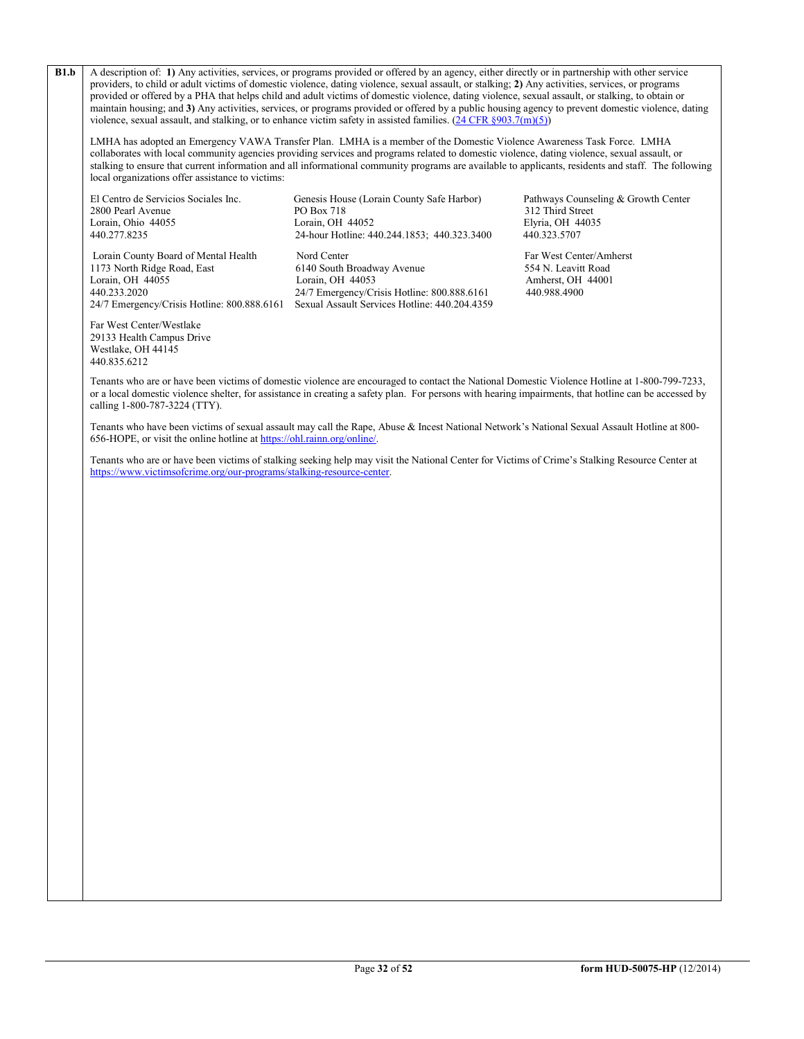**B1.b** A description of: 1) Any activities, services, or programs provided or offered by an agency, either directly or in partnership with other service providers, to child or adult victims of domestic violence, dating violence, sexual assault, or stalking; **2)** Any activities, services, or programs provided or offered by a PHA that helps child and adult victims of domestic violence, dating violence, sexual assault, or stalking, to obtain or maintain housing; and **3)** Any activities, services, or programs provided or offered by a public housing agency to prevent domestic violence, dating violence, sexual assault, and stalking, or to enhance victim safety in assisted families.  $(24 \text{ CFR } \text{\textless} 903.7 \text{(m)(5)})$ 

LMHA has adopted an Emergency VAWA Transfer Plan. LMHA is a member of the Domestic Violence Awareness Task Force. LMHA collaborates with local community agencies providing services and programs related to domestic violence, dating violence, sexual assault, or stalking to ensure that current information and all informational community programs are available to applicants, residents and staff. The following local organizations offer assistance to victims:

1173 North Ridge Road, East 6140 South Broadway Avenue<br>
Lorain, OH 44055 Lorain, OH 44053

El Centro de Servicios Sociales Inc. Genesis House (Lorain County Safe Harbor) Pathways Counseling & Growth Center<br>
PO Box 718 312 Third Street 2800 Pearl Avenue PO Box 718 312 Third Street<br>
Lorain. Ohio 44055 12 Third Street<br>
Lorain. OH 44052 2 Lorain, Ohio 44055 Lorain, OH 44052 Elyria, OH 44052 Elyria, OH 440<br>
24-hour Hotline: 440 244 1853: 440 323 3400 440 323 5707 440.277.8235 24-hour Hotline: 440.244.1853; 440.323.3400 440.323.5707

Lorain County Board of Mental Health Nord Center Far West Center/Amherst 1173 North Ridge Road, East 6140 South Broadway Avenue 554 N. Leavitt Road Lorain, OH 44055 Lorain, OH 44053 Amherst, OH 44001<br>440.233.2020 24/7 Emergency/Crisis Hotline: 800.888.6161 440.988.4900 24/7 Emergency/Crisis Hotline: 800.888.6161 24/7 Emergency/Crisis Hotline: 800.888.6161 Sexual Assault Services Hotline: 440.204.4359

Far West Center/Westlake 29133 Health Campus Drive Westlake, OH 44145 440.835.6212

Tenants who are or have been victims of domestic violence are encouraged to contact the National Domestic Violence Hotline at 1-800-799-7233, or a local domestic violence shelter, for assistance in creating a safety plan. For persons with hearing impairments, that hotline can be accessed by calling 1-800-787-3224 (TTY).

Tenants who have been victims of sexual assault may call the Rape, Abuse & Incest National Network's National Sexual Assault Hotline at 800- 656-HOPE, or visit the online hotline a[t https://ohl.rainn.org/online/.](https://ohl.rainn.org/online/)

Tenants who are or have been victims of stalking seeking help may visit the National Center for Victims of Crime's Stalking Resource Center at [https://www.victimsofcrime.org/our-programs/stalking-resource-center.](https://www.victimsofcrime.org/our-programs/stalking-resource-center)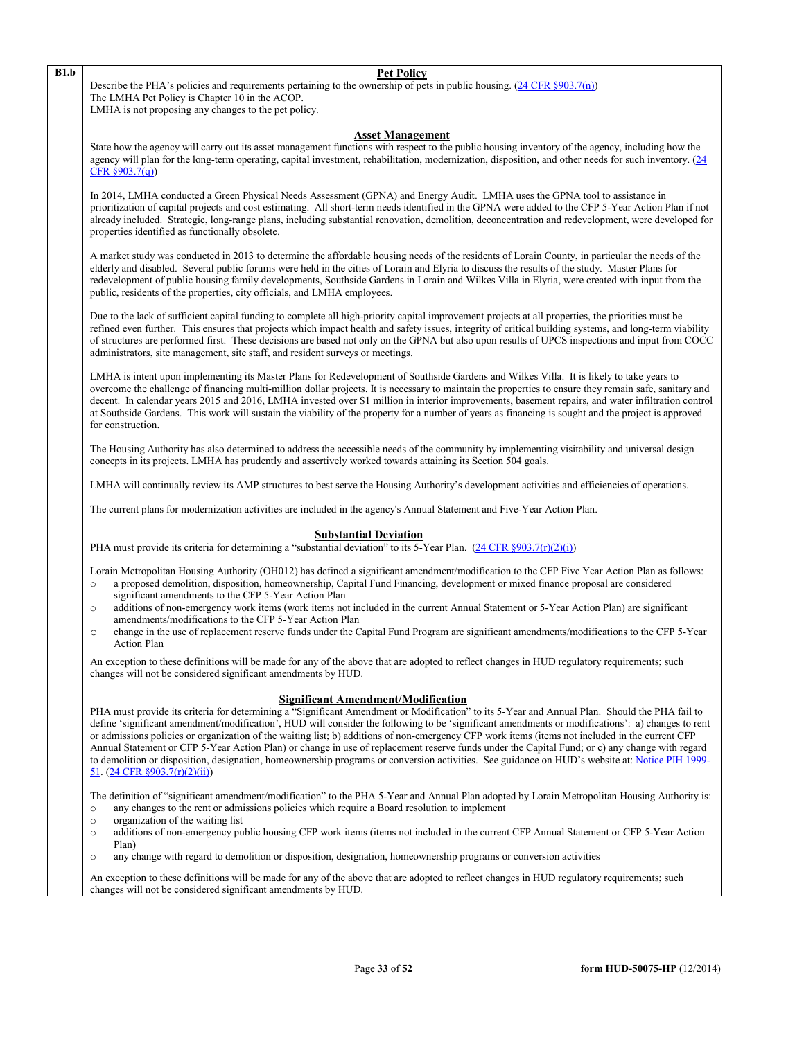### **B1.b Pet Policy**

Describe the PHA's policies and requirements pertaining to the ownership of pets in public housing. [\(24 CFR §903.7\(n\)\)](http://ecfr.gpoaccess.gov/cgi/t/text/text-idx?c=ecfr&sid=13734845220744370804c20da2294a03&rgn=div5&view=text&node=24:4.0.3.1.3&idno=24#24:4.0.3.1.3.2.5.5) The LMHA Pet Policy is Chapter 10 in the ACOP. LMHA is not proposing any changes to the pet policy.

#### **Asset Management**

State how the agency will carry out its asset management functions with respect to the public housing inventory of the agency, including how the agency will plan for the long-term operating, capital investment, rehabilitation, modernization, disposition, and other needs for such inventory. [\(24](http://ecfr.gpoaccess.gov/cgi/t/text/text-idx?c=ecfr&sid=13734845220744370804c20da2294a03&rgn=div5&view=text&node=24:4.0.3.1.3&idno=24#24:4.0.3.1.3.2.5.5)  [CFR §903.7\(q\)\)](http://ecfr.gpoaccess.gov/cgi/t/text/text-idx?c=ecfr&sid=13734845220744370804c20da2294a03&rgn=div5&view=text&node=24:4.0.3.1.3&idno=24#24:4.0.3.1.3.2.5.5)

In 2014, LMHA conducted a Green Physical Needs Assessment (GPNA) and Energy Audit. LMHA uses the GPNA tool to assistance in prioritization of capital projects and cost estimating. All short-term needs identified in the GPNA were added to the CFP 5-Year Action Plan if not already included. Strategic, long-range plans, including substantial renovation, demolition, deconcentration and redevelopment, were developed for properties identified as functionally obsolete.

A market study was conducted in 2013 to determine the affordable housing needs of the residents of Lorain County, in particular the needs of the elderly and disabled. Several public forums were held in the cities of Lorain and Elyria to discuss the results of the study. Master Plans for redevelopment of public housing family developments, Southside Gardens in Lorain and Wilkes Villa in Elyria, were created with input from the public, residents of the properties, city officials, and LMHA employees.

Due to the lack of sufficient capital funding to complete all high-priority capital improvement projects at all properties, the priorities must be refined even further. This ensures that projects which impact health and safety issues, integrity of critical building systems, and long-term viability of structures are performed first. These decisions are based not only on the GPNA but also upon results of UPCS inspections and input from COCC administrators, site management, site staff, and resident surveys or meetings.

LMHA is intent upon implementing its Master Plans for Redevelopment of Southside Gardens and Wilkes Villa. It is likely to take years to overcome the challenge of financing multi-million dollar projects. It is necessary to maintain the properties to ensure they remain safe, sanitary and decent. In calendar years 2015 and 2016, LMHA invested over \$1 million in interior improvements, basement repairs, and water infiltration control at Southside Gardens. This work will sustain the viability of the property for a number of years as financing is sought and the project is approved for construction.

The Housing Authority has also determined to address the accessible needs of the community by implementing visitability and universal design concepts in its projects. LMHA has prudently and assertively worked towards attaining its Section 504 goals.

LMHA will continually review its AMP structures to best serve the Housing Authority's development activities and efficiencies of operations.

The current plans for modernization activities are included in the agency's Annual Statement and Five-Year Action Plan.

# **Substantial Deviation**

PHA must provide its criteria for determining a "substantial deviation" to its 5-Year Plan.  $(24 \text{ CFR } \text{S}903.7(\text{r})(2)(i))$ 

Lorain Metropolitan Housing Authority (OH012) has defined a significant amendment/modification to the CFP Five Year Action Plan as follows: o a proposed demolition, disposition, homeownership, Capital Fund Financing, development or mixed finance proposal are considered

- significant amendments to the CFP 5-Year Action Plan o additions of non-emergency work items (work items not included in the current Annual Statement or 5-Year Action Plan) are significant
- amendments/modifications to the CFP 5-Year Action Plan
- o change in the use of replacement reserve funds under the Capital Fund Program are significant amendments/modifications to the CFP 5-Year Action Plan

An exception to these definitions will be made for any of the above that are adopted to reflect changes in HUD regulatory requirements; such changes will not be considered significant amendments by HUD.

# **Significant Amendment/Modification**

PHA must provide its criteria for determining a "Significant Amendment or Modification" to its 5-Year and Annual Plan. Should the PHA fail to define 'significant amendment/modification', HUD will consider the following to be 'significant amendments or modifications': a) changes to rent or admissions policies or organization of the waiting list; b) additions of non-emergency CFP work items (items not included in the current CFP Annual Statement or CFP 5-Year Action Plan) or change in use of replacement reserve funds under the Capital Fund; or c) any change with regard to demolition or disposition, designation, homeownership programs or conversion activities. See guidance on HUD's website at[: Notice PIH 1999-](http://portal.hud.gov/hudportal/HUD?src=/program_offices/administration/hudclips/notices/pih) [51.](http://portal.hud.gov/hudportal/HUD?src=/program_offices/administration/hudclips/notices/pih) [\(24 CFR §903.7\(r\)\(2\)\(ii\)\)](http://ecfr.gpoaccess.gov/cgi/t/text/text-idx?c=ecfr&sid=13734845220744370804c20da2294a03&rgn=div5&view=text&node=24:4.0.3.1.3&idno=24#24:4.0.3.1.3.2.5.5)

The definition of "significant amendment/modification" to the PHA 5-Year and Annual Plan adopted by Lorain Metropolitan Housing Authority is:

- $\circ$  any changes to the rent or admissions policies which require a Board resolution to implement  $\circ$
- organization of the waiting list
- o additions of non-emergency public housing CFP work items (items not included in the current CFP Annual Statement or CFP 5-Year Action Plan)
- o any change with regard to demolition or disposition, designation, homeownership programs or conversion activities

An exception to these definitions will be made for any of the above that are adopted to reflect changes in HUD regulatory requirements; such changes will not be considered significant amendments by HUD.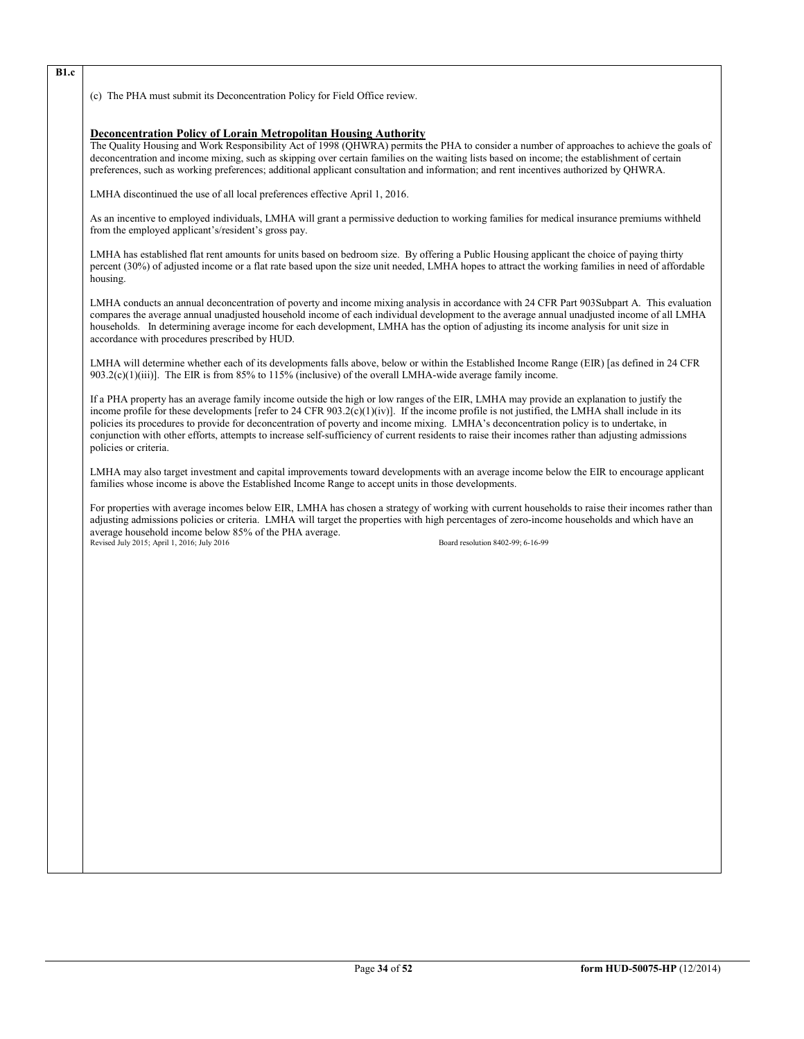**B1.c**

(c) The PHA must submit its Deconcentration Policy for Field Office review.

#### **Deconcentration Policy of Lorain Metropolitan Housing Authority**

The Quality Housing and Work Responsibility Act of 1998 (QHWRA) permits the PHA to consider a number of approaches to achieve the goals of deconcentration and income mixing, such as skipping over certain families on the waiting lists based on income; the establishment of certain preferences, such as working preferences; additional applicant consultation and information; and rent incentives authorized by QHWRA.

LMHA discontinued the use of all local preferences effective April 1, 2016.

As an incentive to employed individuals, LMHA will grant a permissive deduction to working families for medical insurance premiums withheld from the employed applicant's/resident's gross pay.

LMHA has established flat rent amounts for units based on bedroom size. By offering a Public Housing applicant the choice of paying thirty percent (30%) of adjusted income or a flat rate based upon the size unit needed, LMHA hopes to attract the working families in need of affordable housing.

LMHA conducts an annual deconcentration of poverty and income mixing analysis in accordance with 24 CFR Part 903Subpart A. This evaluation compares the average annual unadjusted household income of each individual development to the average annual unadjusted income of all LMHA households. In determining average income for each development, LMHA has the option of adjusting its income analysis for unit size in accordance with procedures prescribed by HUD.

LMHA will determine whether each of its developments falls above, below or within the Established Income Range (EIR) [as defined in 24 CFR 903.2(c)(1)(iii)]. The EIR is from 85% to 115% (inclusive) of the overall LMHA-wide average family income.

If a PHA property has an average family income outside the high or low ranges of the EIR, LMHA may provide an explanation to justify the income profile for these developments [refer to 24 CFR 903.2(c)(1)(iv)]. If the income profile is not justified, the LMHA shall include in its policies its procedures to provide for deconcentration of poverty and income mixing. LMHA's deconcentration policy is to undertake, in conjunction with other efforts, attempts to increase self-sufficiency of current residents to raise their incomes rather than adjusting admissions policies or criteria.

LMHA may also target investment and capital improvements toward developments with an average income below the EIR to encourage applicant families whose income is above the Established Income Range to accept units in those developments.

For properties with average incomes below EIR, LMHA has chosen a strategy of working with current households to raise their incomes rather than adjusting admissions policies or criteria. LMHA will target the properties with high percentages of zero-income households and which have an average household income below 85% of the PHA average. Revised July 2015; April 1, 2016; July 2016 Board resolution 8402-99; 6-16-99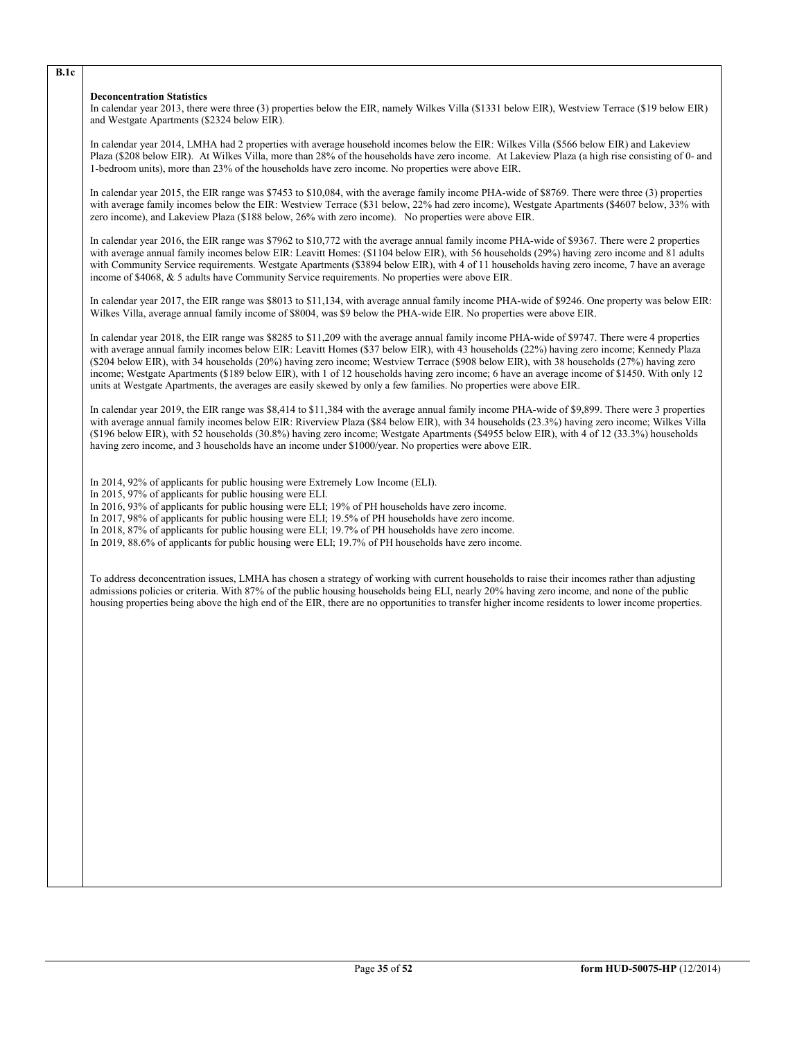#### **Deconcentration Statistics**

In calendar year 2013, there were three (3) properties below the EIR, namely Wilkes Villa (\$1331 below EIR), Westview Terrace (\$19 below EIR) and Westgate Apartments (\$2324 below EIR).

In calendar year 2014, LMHA had 2 properties with average household incomes below the EIR: Wilkes Villa (\$566 below EIR) and Lakeview Plaza (\$208 below EIR). At Wilkes Villa, more than 28% of the households have zero income. At Lakeview Plaza (a high rise consisting of 0- and 1-bedroom units), more than 23% of the households have zero income. No properties were above EIR.

In calendar year 2015, the EIR range was \$7453 to \$10,084, with the average family income PHA-wide of \$8769. There were three (3) properties with average family incomes below the EIR: Westview Terrace (\$31 below, 22% had zero income), Westgate Apartments (\$4607 below, 33% with zero income), and Lakeview Plaza (\$188 below, 26% with zero income). No properties were above EIR.

In calendar year 2016, the EIR range was \$7962 to \$10,772 with the average annual family income PHA-wide of \$9367. There were 2 properties with average annual family incomes below EIR: Leavitt Homes: (\$1104 below EIR), with 56 households (29%) having zero income and 81 adults with Community Service requirements. Westgate Apartments (\$3894 below EIR), with 4 of 11 households having zero income, 7 have an average income of \$4068, & 5 adults have Community Service requirements. No properties were above EIR.

In calendar year 2017, the EIR range was \$8013 to \$11,134, with average annual family income PHA-wide of \$9246. One property was below EIR: Wilkes Villa, average annual family income of \$8004, was \$9 below the PHA-wide EIR. No properties were above EIR.

In calendar year 2018, the EIR range was \$8285 to \$11,209 with the average annual family income PHA-wide of \$9747. There were 4 properties with average annual family incomes below EIR: Leavitt Homes (\$37 below EIR), with 43 households (22%) having zero income; Kennedy Plaza (\$204 below EIR), with 34 households (20%) having zero income; Westview Terrace (\$908 below EIR), with 38 households (27%) having zero income; Westgate Apartments (\$189 below EIR), with 1 of 12 households having zero income; 6 have an average income of \$1450. With only 12 units at Westgate Apartments, the averages are easily skewed by only a few families. No properties were above EIR.

In calendar year 2019, the EIR range was \$8,414 to \$11,384 with the average annual family income PHA-wide of \$9,899. There were 3 properties with average annual family incomes below EIR: Riverview Plaza (\$84 below EIR), with 34 households (23.3%) having zero income; Wilkes Villa (\$196 below EIR), with 52 households (30.8%) having zero income; Westgate Apartments (\$4955 below EIR), with 4 of 12 (33.3%) households having zero income, and 3 households have an income under \$1000/year. No properties were above EIR.

In 2014, 92% of applicants for public housing were Extremely Low Income (ELI).

In 2015, 97% of applicants for public housing were ELI.

In 2016, 93% of applicants for public housing were ELI; 19% of PH households have zero income.

In 2017, 98% of applicants for public housing were ELI; 19.5% of PH households have zero income.

In 2018, 87% of applicants for public housing were ELI; 19.7% of PH households have zero income.

In 2019, 88.6% of applicants for public housing were ELI; 19.7% of PH households have zero income.

To address deconcentration issues, LMHA has chosen a strategy of working with current households to raise their incomes rather than adjusting admissions policies or criteria. With 87% of the public housing households being ELI, nearly 20% having zero income, and none of the public housing properties being above the high end of the EIR, there are no opportunities to transfer higher income residents to lower income properties.

**B.1c**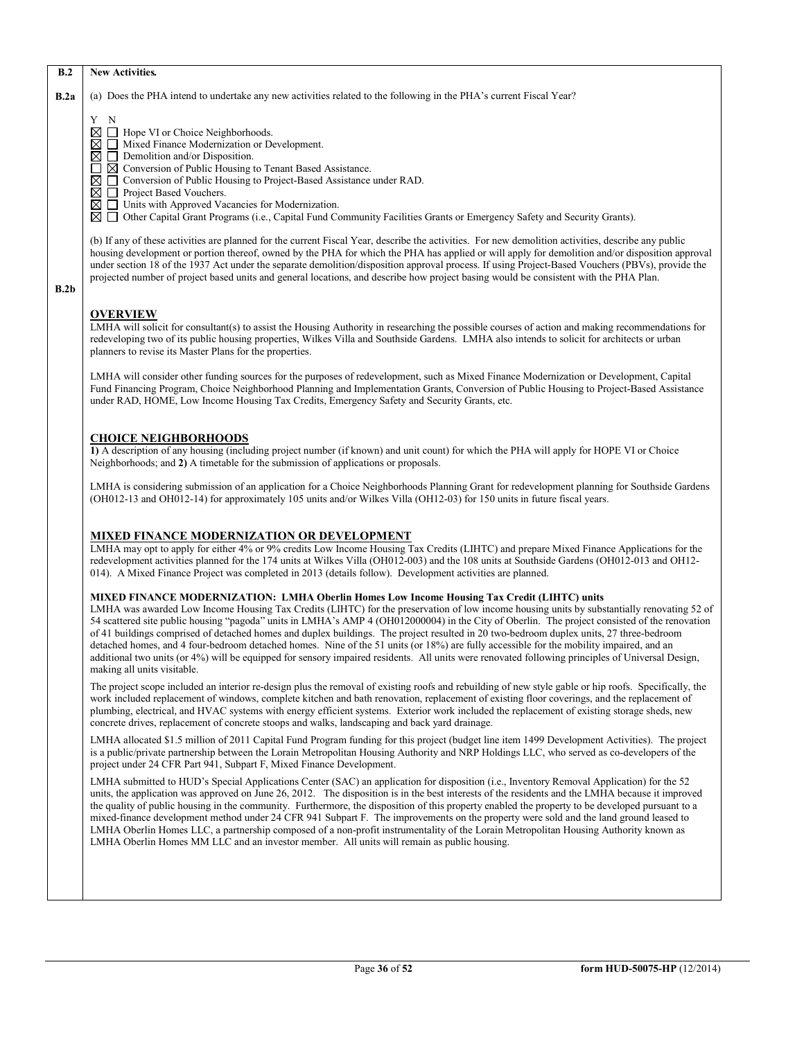#### **B.2 New Activities***.*

**B.2a** (a) Does the PHA intend to undertake any new activities related to the following in the PHA's current Fiscal Year?

Y N

Hope VI or Choice Neighborhoods.  $\overline{\boxtimes}$   $\overline{\Box}$  Mixed Finance Modernization or Development.

Conversion of Public Housing to Tenant Based Assistance.

- $\boxtimes$   $\Box$  Demolition and/or Disposition.<br> $\Box$   $\boxtimes$  Conversion of Public Housing to  $\boxtimes$   $\Box$  Project Based Vouchers. □ Conversion of Public Housing to Project-Based Assistance under RAD.
- Project Based Vouchers.
- $\boxtimes$   $\Box$  Units with Approved Vacancies for Modernization.

Other Capital Grant Programs (i.e., Capital Fund Community Facilities Grants or Emergency Safety and Security Grants).

(b) If any of these activities are planned for the current Fiscal Year, describe the activities. For new demolition activities, describe any public housing development or portion thereof, owned by the PHA for which the PHA has applied or will apply for demolition and/or disposition approval under section 18 of the 1937 Act under the separate demolition/disposition approval process. If using Project-Based Vouchers (PBVs), provide the projected number of project based units and general locations, and describe how project basing would be consistent with the PHA Plan.

**B.2b**

# **OVERVIEW**

LMHA will solicit for consultant(s) to assist the Housing Authority in researching the possible courses of action and making recommendations for redeveloping two of its public housing properties, Wilkes Villa and Southside Gardens. LMHA also intends to solicit for architects or urban planners to revise its Master Plans for the properties.

LMHA will consider other funding sources for the purposes of redevelopment, such as Mixed Finance Modernization or Development, Capital Fund Financing Program, Choice Neighborhood Planning and Implementation Grants, Conversion of Public Housing to Project-Based Assistance under RAD, HOME, Low Income Housing Tax Credits, Emergency Safety and Security Grants, etc.

# **CHOICE NEIGHBORHOODS**

**1)** A description of any housing (including project number (if known) and unit count) for which the PHA will apply for HOPE VI or Choice Neighborhoods; and **2)** A timetable for the submission of applications or proposals.

LMHA is considering submission of an application for a Choice Neighborhoods Planning Grant for redevelopment planning for Southside Gardens (OH012-13 and OH012-14) for approximately 105 units and/or Wilkes Villa (OH12-03) for 150 units in future fiscal years.

# **MIXED FINANCE MODERNIZATION OR DEVELOPMENT**

LMHA may opt to apply for either 4% or 9% credits Low Income Housing Tax Credits (LIHTC) and prepare Mixed Finance Applications for the redevelopment activities planned for the 174 units at Wilkes Villa (OH012-003) and the 108 units at Southside Gardens (OH012-013 and OH12- 014). A Mixed Finance Project was completed in 2013 (details follow). Development activities are planned.

# **MIXED FINANCE MODERNIZATION: LMHA Oberlin Homes Low Income Housing Tax Credit (LIHTC) units**

LMHA was awarded Low Income Housing Tax Credits (LIHTC) for the preservation of low income housing units by substantially renovating 52 of 54 scattered site public housing "pagoda" units in LMHA's AMP 4 (OH012000004) in the City of Oberlin. The project consisted of the renovation of 41 buildings comprised of detached homes and duplex buildings. The project resulted in 20 two-bedroom duplex units, 27 three-bedroom detached homes, and 4 four-bedroom detached homes. Nine of the 51 units (or 18%) are fully accessible for the mobility impaired, and an additional two units (or 4%) will be equipped for sensory impaired residents. All units were renovated following principles of Universal Design, making all units visitable.

The project scope included an interior re-design plus the removal of existing roofs and rebuilding of new style gable or hip roofs. Specifically, the work included replacement of windows, complete kitchen and bath renovation, replacement of existing floor coverings, and the replacement of plumbing, electrical, and HVAC systems with energy efficient systems. Exterior work included the replacement of existing storage sheds, new concrete drives, replacement of concrete stoops and walks, landscaping and back yard drainage.

LMHA allocated \$1.5 million of 2011 Capital Fund Program funding for this project (budget line item 1499 Development Activities). The project is a public/private partnership between the Lorain Metropolitan Housing Authority and NRP Holdings LLC, who served as co-developers of the project under 24 CFR Part 941, Subpart F, Mixed Finance Development.

LMHA submitted to HUD's Special Applications Center (SAC) an application for disposition (i.e., Inventory Removal Application) for the 52 units, the application was approved on June 26, 2012. The disposition is in the best interests of the residents and the LMHA because it improved the quality of public housing in the community. Furthermore, the disposition of this property enabled the property to be developed pursuant to a mixed-finance development method under 24 CFR 941 Subpart F. The improvements on the property were sold and the land ground leased to LMHA Oberlin Homes LLC, a partnership composed of a non-profit instrumentality of the Lorain Metropolitan Housing Authority known as LMHA Oberlin Homes MM LLC and an investor member. All units will remain as public housing.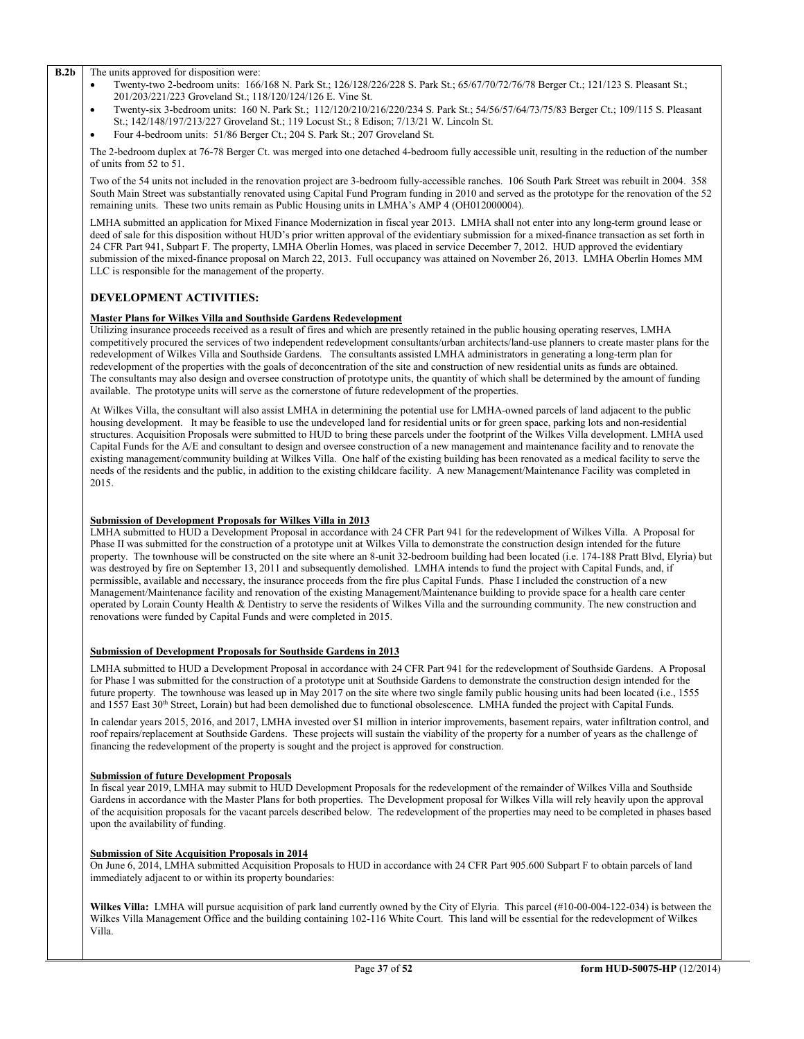#### **B.2b** The units approved for disposition were:

- Twenty-two 2-bedroom units: 166/168 N. Park St.; 126/128/226/228 S. Park St.; 65/67/70/72/76/78 Berger Ct.; 121/123 S. Pleasant St.; 201/203/221/223 Groveland St.; 118/120/124/126 E. Vine St.
- Twenty-six 3-bedroom units: 160 N. Park St.; 112/120/210/216/220/234 S. Park St.; 54/56/57/64/73/75/83 Berger Ct.; 109/115 S. Pleasant St.; 142/148/197/213/227 Groveland St.; 119 Locust St.; 8 Edison; 7/13/21 W. Lincoln St.
- Four 4-bedroom units: 51/86 Berger Ct.; 204 S. Park St.; 207 Groveland St.

The 2-bedroom duplex at 76-78 Berger Ct. was merged into one detached 4-bedroom fully accessible unit, resulting in the reduction of the number of units from 52 to 51.

Two of the 54 units not included in the renovation project are 3-bedroom fully-accessible ranches. 106 South Park Street was rebuilt in 2004. 358 South Main Street was substantially renovated using Capital Fund Program funding in 2010 and served as the prototype for the renovation of the 52 remaining units. These two units remain as Public Housing units in LMHA's AMP 4 (OH012000004).

LMHA submitted an application for Mixed Finance Modernization in fiscal year 2013. LMHA shall not enter into any long-term ground lease or deed of sale for this disposition without HUD's prior written approval of the evidentiary submission for a mixed-finance transaction as set forth in 24 CFR Part 941, Subpart F. The property, LMHA Oberlin Homes, was placed in service December 7, 2012. HUD approved the evidentiary submission of the mixed-finance proposal on March 22, 2013. Full occupancy was attained on November 26, 2013. LMHA Oberlin Homes MM LLC is responsible for the management of the property.

# **DEVELOPMENT ACTIVITIES:**

### **Master Plans for Wilkes Villa and Southside Gardens Redevelopment**

Utilizing insurance proceeds received as a result of fires and which are presently retained in the public housing operating reserves, LMHA competitively procured the services of two independent redevelopment consultants/urban architects/land-use planners to create master plans for the redevelopment of Wilkes Villa and Southside Gardens. The consultants assisted LMHA administrators in generating a long-term plan for redevelopment of the properties with the goals of deconcentration of the site and construction of new residential units as funds are obtained. The consultants may also design and oversee construction of prototype units, the quantity of which shall be determined by the amount of funding available. The prototype units will serve as the cornerstone of future redevelopment of the properties.

At Wilkes Villa, the consultant will also assist LMHA in determining the potential use for LMHA-owned parcels of land adjacent to the public housing development. It may be feasible to use the undeveloped land for residential units or for green space, parking lots and non-residential structures. Acquisition Proposals were submitted to HUD to bring these parcels under the footprint of the Wilkes Villa development. LMHA used Capital Funds for the A/E and consultant to design and oversee construction of a new management and maintenance facility and to renovate the existing management/community building at Wilkes Villa. One half of the existing building has been renovated as a medical facility to serve the needs of the residents and the public, in addition to the existing childcare facility. A new Management/Maintenance Facility was completed in 2015.

#### **Submission of Development Proposals for Wilkes Villa in 2013**

LMHA submitted to HUD a Development Proposal in accordance with 24 CFR Part 941 for the redevelopment of Wilkes Villa. A Proposal for Phase II was submitted for the construction of a prototype unit at Wilkes Villa to demonstrate the construction design intended for the future property. The townhouse will be constructed on the site where an 8-unit 32-bedroom building had been located (i.e. 174-188 Pratt Blvd, Elyria) but was destroyed by fire on September 13, 2011 and subsequently demolished. LMHA intends to fund the project with Capital Funds, and, if permissible, available and necessary, the insurance proceeds from the fire plus Capital Funds. Phase I included the construction of a new Management/Maintenance facility and renovation of the existing Management/Maintenance building to provide space for a health care center operated by Lorain County Health & Dentistry to serve the residents of Wilkes Villa and the surrounding community. The new construction and renovations were funded by Capital Funds and were completed in 2015.

#### **Submission of Development Proposals for Southside Gardens in 2013**

LMHA submitted to HUD a Development Proposal in accordance with 24 CFR Part 941 for the redevelopment of Southside Gardens. A Proposal for Phase I was submitted for the construction of a prototype unit at Southside Gardens to demonstrate the construction design intended for the future property. The townhouse was leased up in May 2017 on the site where two single family public housing units had been located (i.e., 1555 and 1557 East 30<sup>th</sup> Street, Lorain) but had been demolished due to functional obsolescence. LMHA funded the project with Capital Funds.

In calendar years 2015, 2016, and 2017, LMHA invested over \$1 million in interior improvements, basement repairs, water infiltration control, and roof repairs/replacement at Southside Gardens. These projects will sustain the viability of the property for a number of years as the challenge of financing the redevelopment of the property is sought and the project is approved for construction.

#### **Submission of future Development Proposals**

In fiscal year 2019, LMHA may submit to HUD Development Proposals for the redevelopment of the remainder of Wilkes Villa and Southside Gardens in accordance with the Master Plans for both properties. The Development proposal for Wilkes Villa will rely heavily upon the approval of the acquisition proposals for the vacant parcels described below. The redevelopment of the properties may need to be completed in phases based upon the availability of funding.

#### **Submission of Site Acquisition Proposals in 2014**

On June 6, 2014, LMHA submitted Acquisition Proposals to HUD in accordance with 24 CFR Part 905.600 Subpart F to obtain parcels of land immediately adjacent to or within its property boundaries:

**Wilkes Villa:** LMHA will pursue acquisition of park land currently owned by the City of Elyria. This parcel (#10-00-004-122-034) is between the Wilkes Villa Management Office and the building containing 102-116 White Court. This land will be essential for the redevelopment of Wilkes Villa.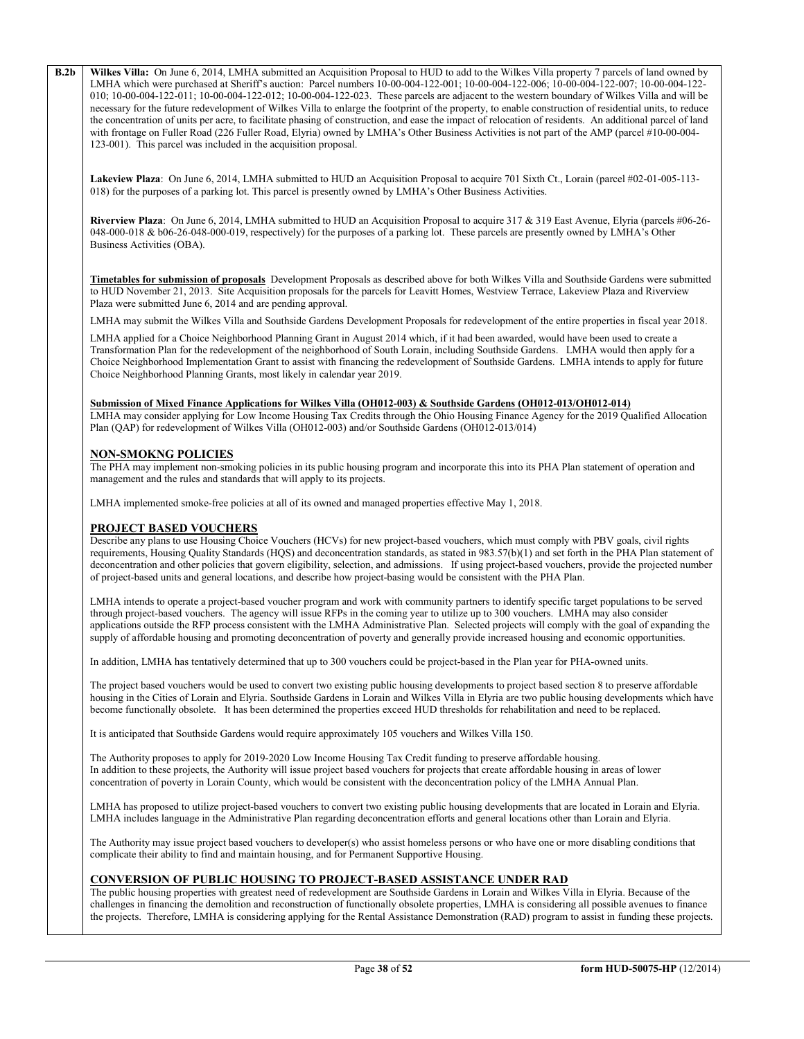**B.2b Wilkes Villa:** On June 6, 2014, LMHA submitted an Acquisition Proposal to HUD to add to the Wilkes Villa property 7 parcels of land owned by LMHA which were purchased at Sheriff's auction: Parcel numbers 10-00-004-122-001; 10-00-004-122-006; 10-00-004-122-007; 10-00-004-122- 010; 10-00-004-122-011; 10-00-004-122-012; 10-00-004-122-023. These parcels are adjacent to the western boundary of Wilkes Villa and will be necessary for the future redevelopment of Wilkes Villa to enlarge the footprint of the property, to enable construction of residential units, to reduce the concentration of units per acre, to facilitate phasing of construction, and ease the impact of relocation of residents. An additional parcel of land with frontage on Fuller Road (226 Fuller Road, Elyria) owned by LMHA's Other Business Activities is not part of the AMP (parcel #10-00-004-123-001). This parcel was included in the acquisition proposal.

**Lakeview Plaza**: On June 6, 2014, LMHA submitted to HUD an Acquisition Proposal to acquire 701 Sixth Ct., Lorain (parcel #02-01-005-113- 018) for the purposes of a parking lot. This parcel is presently owned by LMHA's Other Business Activities.

**Riverview Plaza**: On June 6, 2014, LMHA submitted to HUD an Acquisition Proposal to acquire 317 & 319 East Avenue, Elyria (parcels #06-26- 048-000-018 & b06-26-048-000-019, respectively) for the purposes of a parking lot. These parcels are presently owned by LMHA's Other Business Activities (OBA).

**Timetables for submission of proposals** Development Proposals as described above for both Wilkes Villa and Southside Gardens were submitted to HUD November 21, 2013. Site Acquisition proposals for the parcels for Leavitt Homes, Westview Terrace, Lakeview Plaza and Riverview Plaza were submitted June 6, 2014 and are pending approval.

LMHA may submit the Wilkes Villa and Southside Gardens Development Proposals for redevelopment of the entire properties in fiscal year 2018.

LMHA applied for a Choice Neighborhood Planning Grant in August 2014 which, if it had been awarded, would have been used to create a Transformation Plan for the redevelopment of the neighborhood of South Lorain, including Southside Gardens. LMHA would then apply for a Choice Neighborhood Implementation Grant to assist with financing the redevelopment of Southside Gardens. LMHA intends to apply for future Choice Neighborhood Planning Grants, most likely in calendar year 2019.

## **Submission of Mixed Finance Applications for Wilkes Villa (OH012-003) & Southside Gardens (OH012-013/OH012-014)**

LMHA may consider applying for Low Income Housing Tax Credits through the Ohio Housing Finance Agency for the 2019 Qualified Allocation Plan (QAP) for redevelopment of Wilkes Villa (OH012-003) and/or Southside Gardens (OH012-013/014)

# **NON-SMOKNG POLICIES**

The PHA may implement non-smoking policies in its public housing program and incorporate this into its PHA Plan statement of operation and management and the rules and standards that will apply to its projects.

LMHA implemented smoke-free policies at all of its owned and managed properties effective May 1, 2018.

#### **PROJECT BASED VOUCHERS**

Describe any plans to use Housing Choice Vouchers (HCVs) for new project-based vouchers, which must comply with PBV goals, civil rights requirements, Housing Quality Standards (HQS) and deconcentration standards, as stated in 983.57(b)(1) and set forth in the PHA Plan statement of deconcentration and other policies that govern eligibility, selection, and admissions. If using project-based vouchers, provide the projected number of project-based units and general locations, and describe how project-basing would be consistent with the PHA Plan.

LMHA intends to operate a project-based voucher program and work with community partners to identify specific target populations to be served through project-based vouchers. The agency will issue RFPs in the coming year to utilize up to 300 vouchers. LMHA may also consider applications outside the RFP process consistent with the LMHA Administrative Plan. Selected projects will comply with the goal of expanding the supply of affordable housing and promoting deconcentration of poverty and generally provide increased housing and economic opportunities.

In addition, LMHA has tentatively determined that up to 300 vouchers could be project-based in the Plan year for PHA-owned units.

The project based vouchers would be used to convert two existing public housing developments to project based section 8 to preserve affordable housing in the Cities of Lorain and Elyria. Southside Gardens in Lorain and Wilkes Villa in Elyria are two public housing developments which have become functionally obsolete. It has been determined the properties exceed HUD thresholds for rehabilitation and need to be replaced.

It is anticipated that Southside Gardens would require approximately 105 vouchers and Wilkes Villa 150.

The Authority proposes to apply for 2019-2020 Low Income Housing Tax Credit funding to preserve affordable housing. In addition to these projects, the Authority will issue project based vouchers for projects that create affordable housing in areas of lower concentration of poverty in Lorain County, which would be consistent with the deconcentration policy of the LMHA Annual Plan.

LMHA has proposed to utilize project-based vouchers to convert two existing public housing developments that are located in Lorain and Elyria. LMHA includes language in the Administrative Plan regarding deconcentration efforts and general locations other than Lorain and Elyria.

The Authority may issue project based vouchers to developer(s) who assist homeless persons or who have one or more disabling conditions that complicate their ability to find and maintain housing, and for Permanent Supportive Housing.

# **CONVERSION OF PUBLIC HOUSING TO PROJECT-BASED ASSISTANCE UNDER RAD**

The public housing properties with greatest need of redevelopment are Southside Gardens in Lorain and Wilkes Villa in Elyria. Because of the challenges in financing the demolition and reconstruction of functionally obsolete properties, LMHA is considering all possible avenues to finance the projects. Therefore, LMHA is considering applying for the Rental Assistance Demonstration (RAD) program to assist in funding these projects.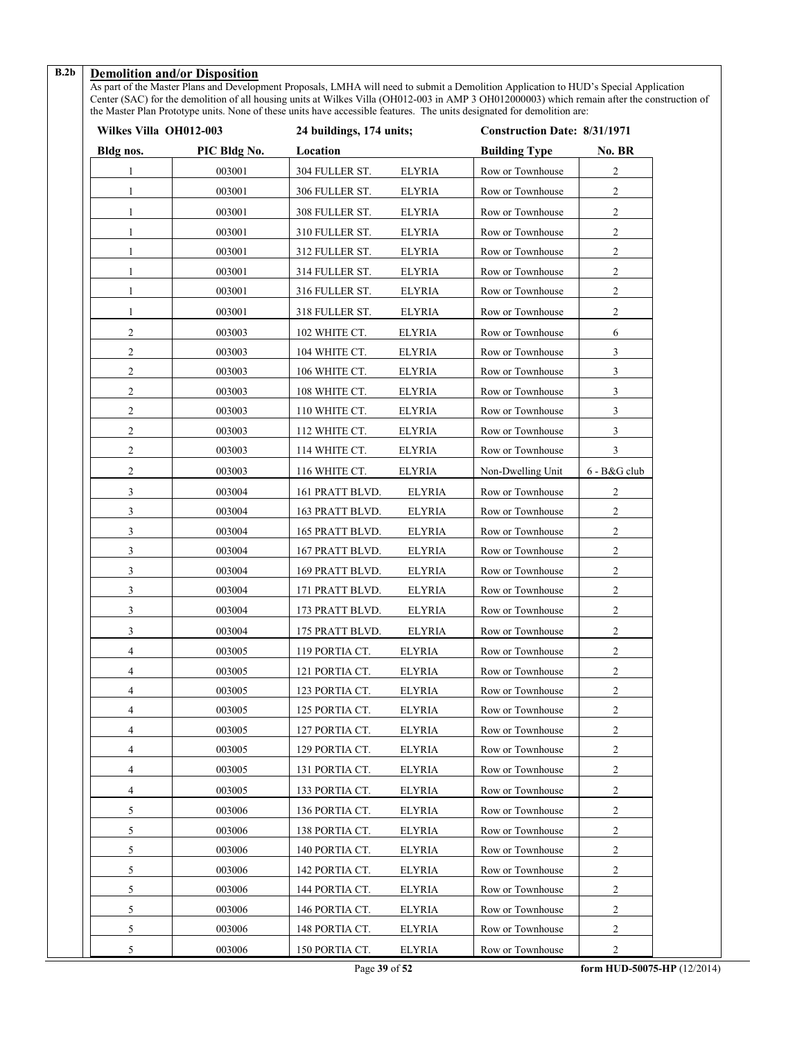# **B.2b Demolition and/or Disposition**

As part of the Master Plans and Development Proposals, LMHA will need to submit a Demolition Application to HUD's Special Application Center (SAC) for the demolition of all housing units at Wilkes Villa (OH012-003 in AMP 3 OH012000003) which remain after the construction of the Master Plan Prototype units. None of these units have accessible features. The units designated for demolition are:

| Wilkes Villa OH012-003 |              | 24 buildings, 174 units; |               | <b>Construction Date: 8/31/1971</b> |                |
|------------------------|--------------|--------------------------|---------------|-------------------------------------|----------------|
| Bldg nos.              | PIC Bldg No. | Location                 |               | <b>Building Type</b>                | No. BR         |
|                        | 003001       | 304 FULLER ST.           | <b>ELYRIA</b> | Row or Townhouse                    | $\overline{c}$ |
| $\mathbf{1}$           | 003001       | 306 FULLER ST.           | <b>ELYRIA</b> | Row or Townhouse                    | 2              |
| 1                      | 003001       | 308 FULLER ST.           | <b>ELYRIA</b> | Row or Townhouse                    | 2              |
| 1                      | 003001       | 310 FULLER ST.           | <b>ELYRIA</b> | Row or Townhouse                    | 2              |
| 1                      | 003001       | 312 FULLER ST.           | <b>ELYRIA</b> | Row or Townhouse                    | 2              |
| 1                      | 003001       | 314 FULLER ST.           | <b>ELYRIA</b> | Row or Townhouse                    | 2              |
| $\mathbf{1}$           | 003001       | 316 FULLER ST.           | <b>ELYRIA</b> | Row or Townhouse                    | 2              |
| 1                      | 003001       | 318 FULLER ST.           | <b>ELYRIA</b> | Row or Townhouse                    | 2              |
| $\mathfrak{2}$         | 003003       | 102 WHITE CT.            | <b>ELYRIA</b> | Row or Townhouse                    | 6              |
| 2                      | 003003       | 104 WHITE CT.            | <b>ELYRIA</b> | Row or Townhouse                    | 3              |
| 2                      | 003003       | 106 WHITE CT.            | <b>ELYRIA</b> | Row or Townhouse                    | 3              |
| 2                      | 003003       | 108 WHITE CT.            | <b>ELYRIA</b> | Row or Townhouse                    | $\mathfrak{Z}$ |
| $\mathbf{2}$           | 003003       | 110 WHITE CT.            | <b>ELYRIA</b> | Row or Townhouse                    | 3              |
| 2                      | 003003       | 112 WHITE CT.            | <b>ELYRIA</b> | Row or Townhouse                    | 3              |
| 2                      | 003003       | 114 WHITE CT.            | <b>ELYRIA</b> | Row or Townhouse                    | 3              |
| 2                      | 003003       | 116 WHITE CT.            | <b>ELYRIA</b> | Non-Dwelling Unit                   | 6 - B&G club   |
| 3                      | 003004       | 161 PRATT BLVD.          | <b>ELYRIA</b> | Row or Townhouse                    | 2              |
| 3                      | 003004       | 163 PRATT BLVD.          | <b>ELYRIA</b> | Row or Townhouse                    | 2              |
| 3                      | 003004       | 165 PRATT BLVD.          | <b>ELYRIA</b> | Row or Townhouse                    | 2              |
| 3                      | 003004       | 167 PRATT BLVD.          | <b>ELYRIA</b> | Row or Townhouse                    | 2              |
| 3                      | 003004       | 169 PRATT BLVD.          | <b>ELYRIA</b> | Row or Townhouse                    | $\overline{2}$ |
| 3                      | 003004       | 171 PRATT BLVD.          | <b>ELYRIA</b> | Row or Townhouse                    | 2              |
| 3                      | 003004       | 173 PRATT BLVD.          | <b>ELYRIA</b> | Row or Townhouse                    | $\overline{c}$ |
| 3                      | 003004       | 175 PRATT BLVD.          | <b>ELYRIA</b> | Row or Townhouse                    | 2              |
| 4                      | 003005       | 119 PORTIA CT.           | <b>ELYRIA</b> | Row or Townhouse                    | $\sqrt{2}$     |
| 4                      | 003005       | 121 PORTIA CT.           | <b>ELYRIA</b> | Row or Townhouse                    | 2              |
| 4                      | 003005       | 123 PORTIA CT.           | <b>ELYRIA</b> | Row or Townhouse                    | 2              |
| 4                      | 003005       | 125 PORTIA CT.           | <b>ELYRIA</b> | Row or Townhouse                    | $\overline{c}$ |
| 4                      | 003005       | 127 PORTIA CT.           | <b>ELYRIA</b> | Row or Townhouse                    | 2              |
| 4                      | 003005       | 129 PORTIA CT.           | <b>ELYRIA</b> | Row or Townhouse                    | 2              |
| 4                      | 003005       | 131 PORTIA CT.           | <b>ELYRIA</b> | Row or Townhouse                    | 2              |
| 4                      | 003005       | 133 PORTIA CT.           | <b>ELYRIA</b> | Row or Townhouse                    | 2              |
| 5                      | 003006       | 136 PORTIA CT.           | ELYRIA        | Row or Townhouse                    | 2              |
| 5                      | 003006       | 138 PORTIA CT.           | ELYRIA        | Row or Townhouse                    | $\overline{c}$ |
| 5                      | 003006       | 140 PORTIA CT.           | ELYRIA        | Row or Townhouse                    | 2              |
| 5                      | 003006       | 142 PORTIA CT.           | <b>ELYRIA</b> | Row or Townhouse                    | 2              |
| 5                      | 003006       | 144 PORTIA CT.           | <b>ELYRIA</b> | Row or Townhouse                    | $\overline{c}$ |
| 5                      | 003006       | 146 PORTIA CT.           | ELYRIA        | Row or Townhouse                    | 2              |
| 5                      | 003006       | 148 PORTIA CT.           | <b>ELYRIA</b> | Row or Townhouse                    | 2              |
| 5                      | 003006       | 150 PORTIA CT.           | <b>ELYRIA</b> | Row or Townhouse                    | $\sqrt{2}$     |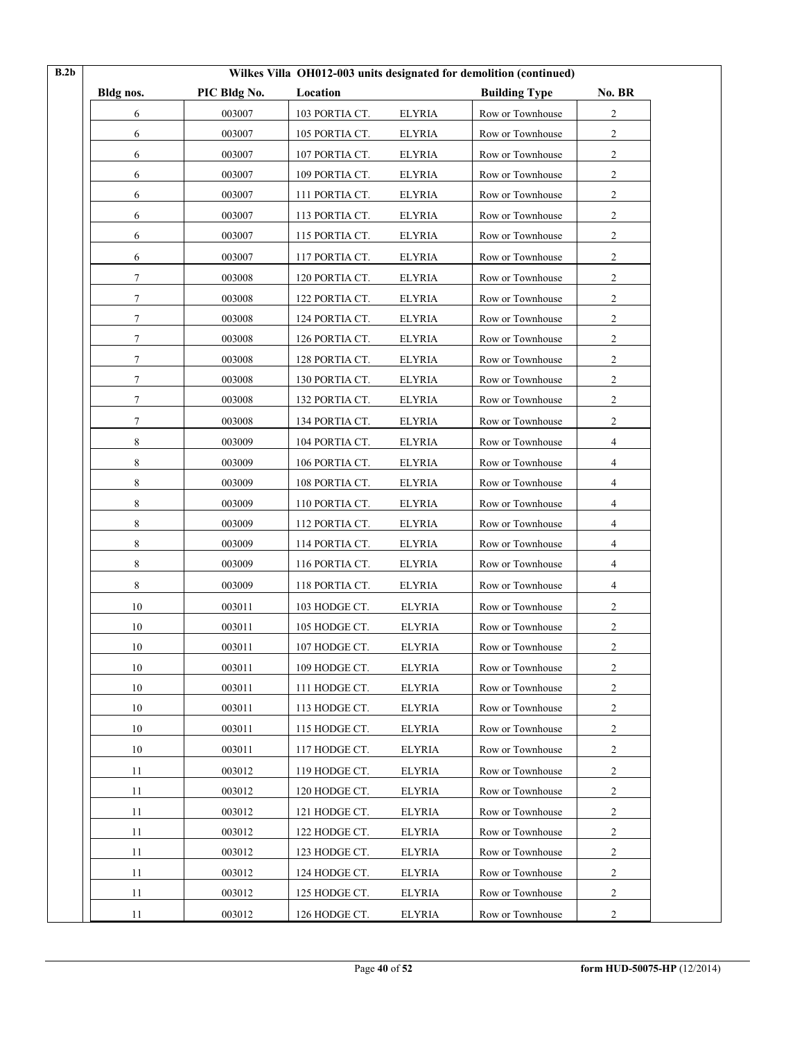| B.2b |           |              |                |               | Wilkes Villa OH012-003 units designated for demolition (continued) |                |  |
|------|-----------|--------------|----------------|---------------|--------------------------------------------------------------------|----------------|--|
|      | Bldg nos. | PIC Bldg No. | Location       |               | <b>Building Type</b>                                               | No. BR         |  |
|      | 6         | 003007       | 103 PORTIA CT. | <b>ELYRIA</b> | Row or Townhouse                                                   | 2              |  |
|      | 6         | 003007       | 105 PORTIA CT. | <b>ELYRIA</b> | Row or Townhouse                                                   | $\overline{c}$ |  |
|      | 6         | 003007       | 107 PORTIA CT. | <b>ELYRIA</b> | Row or Townhouse                                                   | 2              |  |
|      | 6         | 003007       | 109 PORTIA CT. | <b>ELYRIA</b> | Row or Townhouse                                                   | 2              |  |
|      | 6         | 003007       | 111 PORTIA CT. | <b>ELYRIA</b> | Row or Townhouse                                                   | 2              |  |
|      | 6         | 003007       | 113 PORTIA CT. | <b>ELYRIA</b> | Row or Townhouse                                                   | 2              |  |
|      | 6         | 003007       | 115 PORTIA CT. | <b>ELYRIA</b> | Row or Townhouse                                                   | $\overline{c}$ |  |
|      | 6         | 003007       | 117 PORTIA CT. | <b>ELYRIA</b> | Row or Townhouse                                                   | 2              |  |
|      | 7         | 003008       | 120 PORTIA CT. | <b>ELYRIA</b> | Row or Townhouse                                                   | 2              |  |
|      | 7         | 003008       | 122 PORTIA CT. | <b>ELYRIA</b> | Row or Townhouse                                                   | 2              |  |
|      | $\tau$    | 003008       | 124 PORTIA CT. | <b>ELYRIA</b> | Row or Townhouse                                                   | $\overline{c}$ |  |
|      | $\tau$    | 003008       | 126 PORTIA CT. | <b>ELYRIA</b> | Row or Townhouse                                                   | $\overline{c}$ |  |
|      | $\tau$    | 003008       | 128 PORTIA CT. | <b>ELYRIA</b> | Row or Townhouse                                                   | 2              |  |
|      | $\tau$    | 003008       | 130 PORTIA CT. | <b>ELYRIA</b> | Row or Townhouse                                                   | $\overline{2}$ |  |
|      | 7         | 003008       | 132 PORTIA CT. | <b>ELYRIA</b> | Row or Townhouse                                                   | $\overline{2}$ |  |
|      | 7         | 003008       | 134 PORTIA CT. | <b>ELYRIA</b> | Row or Townhouse                                                   | 2              |  |
|      | 8         | 003009       | 104 PORTIA CT. | <b>ELYRIA</b> | Row or Townhouse                                                   | 4              |  |
|      | 8         | 003009       | 106 PORTIA CT. | <b>ELYRIA</b> | Row or Townhouse                                                   | 4              |  |
|      | 8         | 003009       | 108 PORTIA CT. | <b>ELYRIA</b> | Row or Townhouse                                                   | 4              |  |
|      | 8         | 003009       | 110 PORTIA CT. | <b>ELYRIA</b> | Row or Townhouse                                                   | 4              |  |
|      | $\,8\,$   | 003009       | 112 PORTIA CT. | <b>ELYRIA</b> | Row or Townhouse                                                   | 4              |  |
|      | 8         | 003009       | 114 PORTIA CT. | <b>ELYRIA</b> | Row or Townhouse                                                   | 4              |  |
|      | 8         | 003009       | 116 PORTIA CT. | <b>ELYRIA</b> | Row or Townhouse                                                   | 4              |  |
|      | 8         | 003009       | 118 PORTIA CT. | <b>ELYRIA</b> | Row or Townhouse                                                   | 4              |  |
|      | 10        | 003011       | 103 HODGE CT.  | <b>ELYRIA</b> | Row or Townhouse                                                   | 2              |  |
|      | 10        | 003011       | 105 HODGE CT.  | <b>ELYRIA</b> | Row or Townhouse                                                   | 2              |  |
|      | 10        | 003011       | 107 HODGE CT.  | <b>ELYRIA</b> | Row or Townhouse                                                   | 2              |  |
|      | 10        | 003011       | 109 HODGE CT.  | <b>ELYRIA</b> | Row or Townhouse                                                   | 2              |  |
|      | 10        | 003011       | 111 HODGE CT.  | <b>ELYRIA</b> | Row or Townhouse                                                   | $\overline{c}$ |  |
|      | 10        | 003011       | 113 HODGE CT.  | <b>ELYRIA</b> | Row or Townhouse                                                   | $\sqrt{2}$     |  |
|      | 10        | 003011       | 115 HODGE CT.  | <b>ELYRIA</b> | Row or Townhouse                                                   | $\overline{2}$ |  |
|      | 10        | 003011       | 117 HODGE CT.  | <b>ELYRIA</b> | Row or Townhouse                                                   | 2              |  |
|      | 11        | 003012       | 119 HODGE CT.  | <b>ELYRIA</b> | Row or Townhouse                                                   | $\sqrt{2}$     |  |
|      | 11        | 003012       | 120 HODGE CT.  | <b>ELYRIA</b> | Row or Townhouse                                                   | 2              |  |
|      | 11        | 003012       | 121 HODGE CT.  | <b>ELYRIA</b> | Row or Townhouse                                                   | $\overline{2}$ |  |
|      | 11        | 003012       | 122 HODGE CT.  | ELYRIA        | Row or Townhouse                                                   | $\overline{2}$ |  |
|      | 11        | 003012       | 123 HODGE CT.  | <b>ELYRIA</b> | Row or Townhouse                                                   | 2              |  |
|      | 11        | 003012       | 124 HODGE CT.  | <b>ELYRIA</b> | Row or Townhouse                                                   | 2              |  |
|      | 11        | 003012       | 125 HODGE CT.  | <b>ELYRIA</b> | Row or Townhouse                                                   | $\overline{c}$ |  |
|      | 11        | 003012       | 126 HODGE CT.  | <b>ELYRIA</b> | Row or Townhouse                                                   | 2              |  |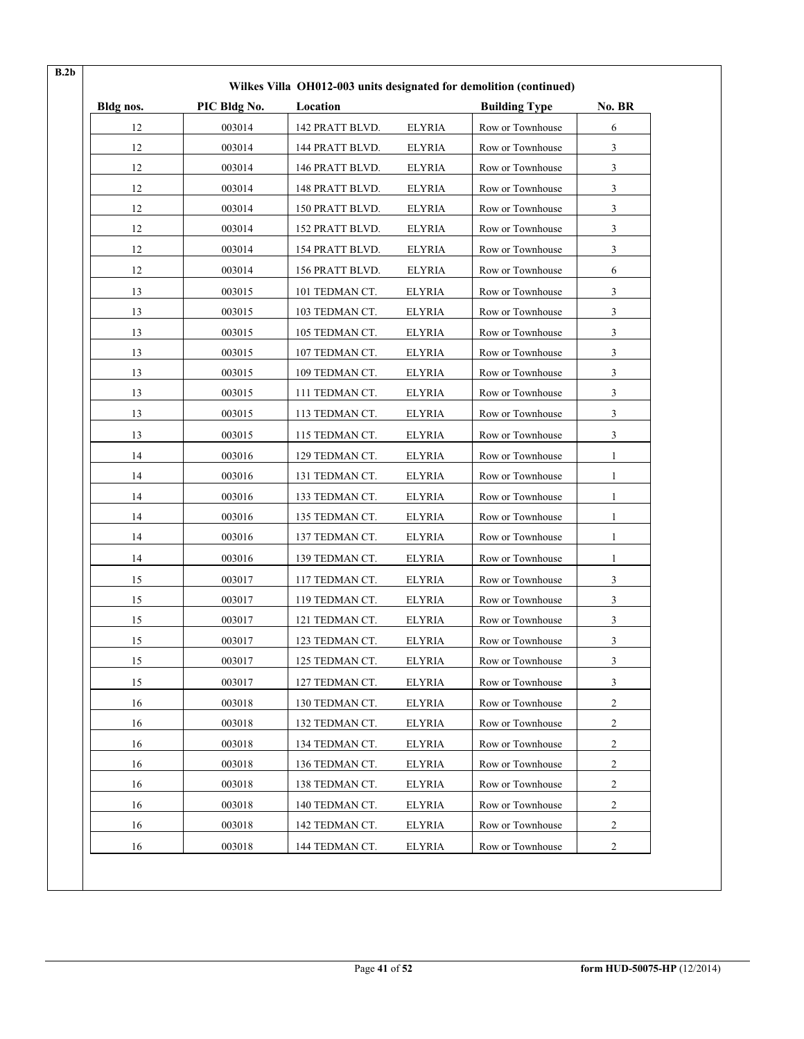| Bldg nos. | PIC Bldg No. | Location        |               | <b>Building Type</b> | No. BR         |
|-----------|--------------|-----------------|---------------|----------------------|----------------|
| 12        | 003014       | 142 PRATT BLVD. | <b>ELYRIA</b> | Row or Townhouse     | 6              |
| 12        | 003014       | 144 PRATT BLVD. | <b>ELYRIA</b> | Row or Townhouse     | 3              |
| 12        | 003014       | 146 PRATT BLVD. | <b>ELYRIA</b> | Row or Townhouse     | 3              |
| 12        | 003014       | 148 PRATT BLVD. | <b>ELYRIA</b> | Row or Townhouse     | 3              |
| 12        | 003014       | 150 PRATT BLVD. | <b>ELYRIA</b> | Row or Townhouse     | 3              |
| 12        | 003014       | 152 PRATT BLVD. | <b>ELYRIA</b> | Row or Townhouse     | 3              |
| 12        | 003014       | 154 PRATT BLVD. | <b>ELYRIA</b> | Row or Townhouse     | 3              |
| 12        | 003014       | 156 PRATT BLVD. | <b>ELYRIA</b> | Row or Townhouse     | 6              |
| 13        | 003015       | 101 TEDMAN CT.  | <b>ELYRIA</b> | Row or Townhouse     | 3              |
| 13        | 003015       | 103 TEDMAN CT.  | <b>ELYRIA</b> | Row or Townhouse     | 3              |
| 13        | 003015       | 105 TEDMAN CT.  | <b>ELYRIA</b> | Row or Townhouse     | 3              |
| 13        | 003015       | 107 TEDMAN CT.  | <b>ELYRIA</b> | Row or Townhouse     | 3              |
| 13        | 003015       | 109 TEDMAN CT.  | <b>ELYRIA</b> | Row or Townhouse     | $\mathfrak{Z}$ |
| 13        | 003015       | 111 TEDMAN CT.  | <b>ELYRIA</b> | Row or Townhouse     | 3              |
| 13        | 003015       | 113 TEDMAN CT.  | <b>ELYRIA</b> | Row or Townhouse     | $\mathfrak{Z}$ |
| 13        | 003015       | 115 TEDMAN CT.  | <b>ELYRIA</b> | Row or Townhouse     | 3              |
| 14        | 003016       | 129 TEDMAN CT.  | <b>ELYRIA</b> | Row or Townhouse     | 1              |
| 14        | 003016       | 131 TEDMAN CT.  | <b>ELYRIA</b> | Row or Townhouse     | 1              |
| 14        | 003016       | 133 TEDMAN CT.  | <b>ELYRIA</b> | Row or Townhouse     | 1              |
| 14        | 003016       | 135 TEDMAN CT.  | <b>ELYRIA</b> | Row or Townhouse     | 1              |
| 14        | 003016       | 137 TEDMAN CT.  | <b>ELYRIA</b> | Row or Townhouse     | $\mathbf{1}$   |
| 14        | 003016       | 139 TEDMAN CT.  | <b>ELYRIA</b> | Row or Townhouse     | 1              |
| 15        | 003017       | 117 TEDMAN CT.  | <b>ELYRIA</b> | Row or Townhouse     | 3              |
| 15        | 003017       | 119 TEDMAN CT.  | <b>ELYRIA</b> | Row or Townhouse     | 3              |
| 15        | 003017       | 121 TEDMAN CT.  | <b>ELYRIA</b> | Row or Townhouse     | 3              |
| 15        | 003017       | 123 TEDMAN CT.  | <b>ELYRIA</b> | Row or Townhouse     | 3              |
| 15        | 003017       | 125 TEDMAN CT.  | <b>ELYRIA</b> | Row or Townhouse     | 3              |
| 15        | 003017       | 127 TEDMAN CT.  | <b>ELYRIA</b> | Row or Townhouse     | 3              |
| 16        | 003018       | 130 TEDMAN CT.  | <b>ELYRIA</b> | Row or Townhouse     | 2              |
| 16        | 003018       | 132 TEDMAN CT.  | <b>ELYRIA</b> | Row or Townhouse     | $\overline{c}$ |
| 16        | 003018       | 134 TEDMAN CT.  | <b>ELYRIA</b> | Row or Townhouse     | $\overline{c}$ |
| 16        | 003018       | 136 TEDMAN CT.  | <b>ELYRIA</b> | Row or Townhouse     | 2              |
| 16        | 003018       | 138 TEDMAN CT.  | <b>ELYRIA</b> | Row or Townhouse     | 2              |
| 16        | 003018       | 140 TEDMAN CT.  | <b>ELYRIA</b> | Row or Townhouse     | 2              |
| 16        | 003018       | 142 TEDMAN CT.  | <b>ELYRIA</b> | Row or Townhouse     | 2              |
| 16        | 003018       | 144 TEDMAN CT.  | <b>ELYRIA</b> | Row or Townhouse     | $\overline{c}$ |

**B.2b**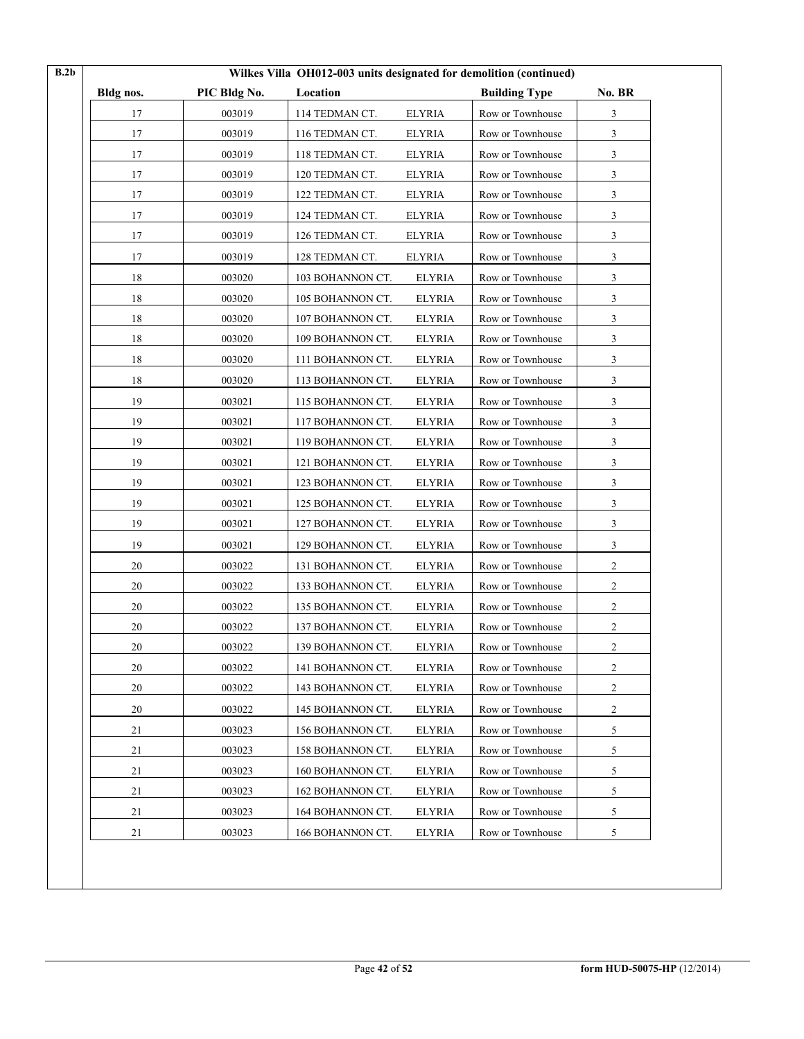| Bldg nos. | PIC Bldg No. | Location         |               | <b>Building Type</b> | No. BR         |
|-----------|--------------|------------------|---------------|----------------------|----------------|
| 17        | 003019       | 114 TEDMAN CT.   | <b>ELYRIA</b> | Row or Townhouse     | 3              |
| 17        | 003019       | 116 TEDMAN CT.   | ELYRIA        | Row or Townhouse     | 3              |
| 17        | 003019       | 118 TEDMAN CT.   | <b>ELYRIA</b> | Row or Townhouse     | 3              |
| 17        | 003019       | 120 TEDMAN CT.   | <b>ELYRIA</b> | Row or Townhouse     | 3              |
| 17        | 003019       | 122 TEDMAN CT.   | <b>ELYRIA</b> | Row or Townhouse     | 3              |
| 17        | 003019       | 124 TEDMAN CT.   | <b>ELYRIA</b> | Row or Townhouse     | 3              |
| 17        | 003019       | 126 TEDMAN CT.   | <b>ELYRIA</b> | Row or Townhouse     | 3              |
| 17        | 003019       | 128 TEDMAN CT.   | <b>ELYRIA</b> | Row or Townhouse     | 3              |
| 18        | 003020       | 103 BOHANNON CT. | <b>ELYRIA</b> | Row or Townhouse     | 3              |
| 18        | 003020       | 105 BOHANNON CT. | <b>ELYRIA</b> | Row or Townhouse     | 3              |
| 18        | 003020       | 107 BOHANNON CT. | <b>ELYRIA</b> | Row or Townhouse     | 3              |
| 18        | 003020       | 109 BOHANNON CT. | <b>ELYRIA</b> | Row or Townhouse     | 3              |
| 18        | 003020       | 111 BOHANNON CT. | <b>ELYRIA</b> | Row or Townhouse     | 3              |
| 18        | 003020       | 113 BOHANNON CT. | <b>ELYRIA</b> | Row or Townhouse     | 3              |
| 19        | 003021       | 115 BOHANNON CT. | <b>ELYRIA</b> | Row or Townhouse     | 3              |
| 19        | 003021       | 117 BOHANNON CT. | <b>ELYRIA</b> | Row or Townhouse     | 3              |
| 19        | 003021       | 119 BOHANNON CT. | <b>ELYRIA</b> | Row or Townhouse     | 3              |
| 19        | 003021       | 121 BOHANNON CT. | <b>ELYRIA</b> | Row or Townhouse     | 3              |
| 19        | 003021       | 123 BOHANNON CT. | <b>ELYRIA</b> | Row or Townhouse     | 3              |
| 19        | 003021       | 125 BOHANNON CT. | <b>ELYRIA</b> | Row or Townhouse     | 3              |
| 19        | 003021       | 127 BOHANNON CT. | <b>ELYRIA</b> | Row or Townhouse     | 3              |
| 19        | 003021       | 129 BOHANNON CT. | <b>ELYRIA</b> | Row or Townhouse     | 3              |
| 20        | 003022       | 131 BOHANNON CT. | <b>ELYRIA</b> | Row or Townhouse     | 2              |
| 20        | 003022       | 133 BOHANNON CT. | <b>ELYRIA</b> | Row or Townhouse     | 2              |
| 20        | 003022       | 135 BOHANNON CT. | <b>ELYRIA</b> | Row or Townhouse     | $\overline{c}$ |
| 20        | 003022       | 137 BOHANNON CT. | <b>ELYRIA</b> | Row or Townhouse     | 2              |
| 20        | 003022       | 139 BOHANNON CT. | <b>ELYRIA</b> | Row or Townhouse     | 2              |
| 20        | 003022       | 141 BOHANNON CT. | <b>ELYRIA</b> | Row or Townhouse     | 2              |
| $20\,$    | 003022       | 143 BOHANNON CT. | <b>ELYRIA</b> | Row or Townhouse     | 2              |
| 20        | 003022       | 145 BOHANNON CT. | <b>ELYRIA</b> | Row or Townhouse     | $\overline{c}$ |
| 21        | 003023       | 156 BOHANNON CT. | <b>ELYRIA</b> | Row or Townhouse     | 5              |
| 21        | 003023       | 158 BOHANNON CT. | <b>ELYRIA</b> | Row or Townhouse     | 5              |
| 21        | 003023       | 160 BOHANNON CT. | <b>ELYRIA</b> | Row or Townhouse     | 5              |
| 21        | 003023       | 162 BOHANNON CT. | <b>ELYRIA</b> | Row or Townhouse     | 5              |
| 21        | 003023       | 164 BOHANNON CT. | <b>ELYRIA</b> | Row or Townhouse     | 5              |
| 21        | 003023       | 166 BOHANNON CT. | <b>ELYRIA</b> | Row or Townhouse     | 5              |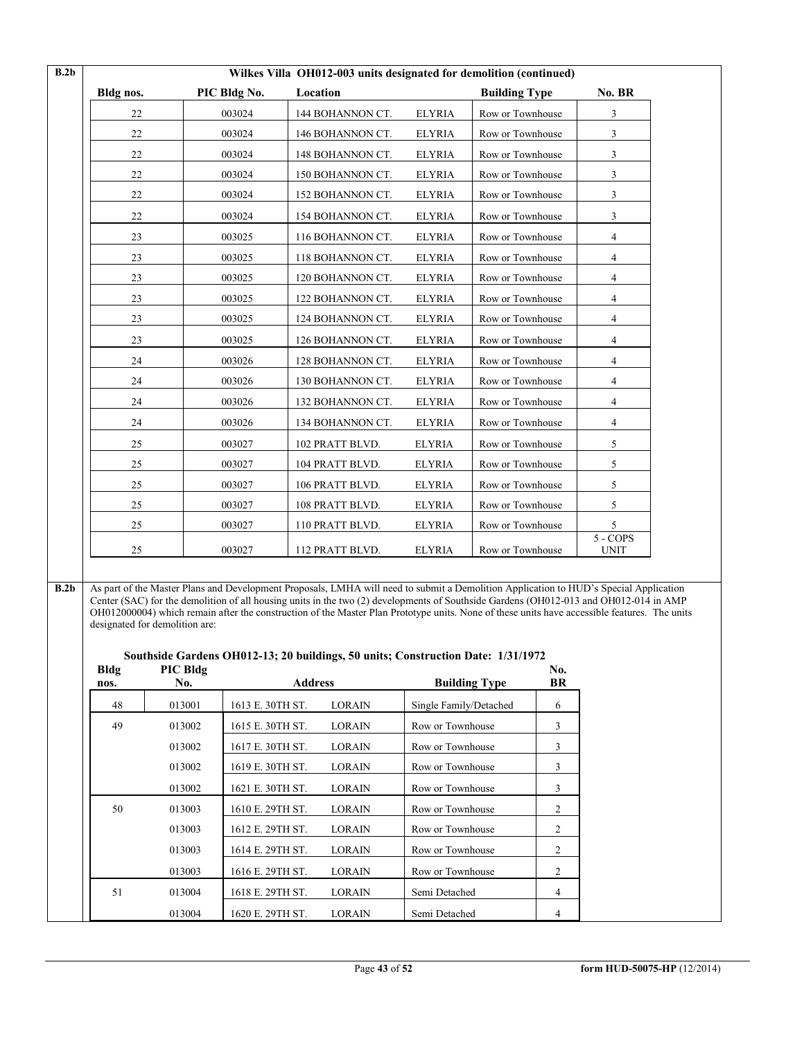|           |              | Wilkes Villa OH012-003 units designated for demolition (continued) |               |                      |                           |
|-----------|--------------|--------------------------------------------------------------------|---------------|----------------------|---------------------------|
| Bldg nos. | PIC Bldg No. | Location                                                           |               | <b>Building Type</b> | No. BR                    |
| 22        | 003024       | 144 BOHANNON CT.                                                   | <b>ELYRIA</b> | Row or Townhouse     | 3                         |
| 22        | 003024       | 146 BOHANNON CT.                                                   | <b>ELYRIA</b> | Row or Townhouse     | 3                         |
| 22        | 003024       | 148 BOHANNON CT.                                                   | <b>ELYRIA</b> | Row or Townhouse     | 3                         |
| 22        | 003024       | 150 BOHANNON CT.                                                   | <b>ELYRIA</b> | Row or Townhouse     | $\mathbf{3}$              |
| 22        | 003024       | 152 BOHANNON CT.                                                   | <b>ELYRIA</b> | Row or Townhouse     | $\mathbf{3}$              |
| 22        | 003024       | 154 BOHANNON CT.                                                   | <b>ELYRIA</b> | Row or Townhouse     | 3                         |
| 23        | 003025       | 116 BOHANNON CT.                                                   | <b>ELYRIA</b> | Row or Townhouse     | 4                         |
| 23        | 003025       | 118 BOHANNON CT.                                                   | <b>ELYRIA</b> | Row or Townhouse     | 4                         |
| 23        | 003025       | 120 BOHANNON CT.                                                   | <b>ELYRIA</b> | Row or Townhouse     | 4                         |
| 23        | 003025       | 122 BOHANNON CT.                                                   | <b>ELYRIA</b> | Row or Townhouse     | 4                         |
| 23        | 003025       | 124 BOHANNON CT.                                                   | <b>ELYRIA</b> | Row or Townhouse     | 4                         |
| 23        | 003025       | 126 BOHANNON CT.                                                   | <b>ELYRIA</b> | Row or Townhouse     | $\overline{4}$            |
| 24        | 003026       | 128 BOHANNON CT.                                                   | <b>ELYRIA</b> | Row or Townhouse     | $\overline{4}$            |
| 24        | 003026       | 130 BOHANNON CT.                                                   | <b>ELYRIA</b> | Row or Townhouse     | 4                         |
| 24        | 003026       | 132 BOHANNON CT.                                                   | <b>ELYRIA</b> | Row or Townhouse     | 4                         |
| 24        | 003026       | 134 BOHANNON CT.                                                   | <b>ELYRIA</b> | Row or Townhouse     | 4                         |
| 25        | 003027       | 102 PRATT BLVD.                                                    | <b>ELYRIA</b> | Row or Townhouse     | 5                         |
| 25        | 003027       | 104 PRATT BLVD.                                                    | <b>ELYRIA</b> | Row or Townhouse     | 5                         |
| 25        | 003027       | 106 PRATT BLVD.                                                    | <b>ELYRIA</b> | Row or Townhouse     | 5                         |
| 25        | 003027       | 108 PRATT BLVD.                                                    | <b>ELYRIA</b> | Row or Townhouse     | 5                         |
| 25        | 003027       | 110 PRATT BLVD.                                                    | <b>ELYRIA</b> | Row or Townhouse     | 5                         |
| 25        | 003027       | 112 PRATT BLVD.                                                    | <b>ELYRIA</b> | Row or Townhouse     | $5 - COPS$<br><b>UNIT</b> |

**B.2b** As part of the Master Plans and Development Proposals, LMHA will need to submit a Demolition Application to HUD's Special Application Center (SAC) for the demolition of all housing units in the two (2) developments of Southside Gardens (OH012-013 and OH012-014 in AMP OH012000004) which remain after the construction of the Master Plan Prototype units. None of these units have accessible features. The units designated for demolition are:

|                                                                  | Southside Gardens OH012-13; 20 buildings, 50 units; Construction Date: 1/31/1972 |  |
|------------------------------------------------------------------|----------------------------------------------------------------------------------|--|
| $\mathbf{D}$ $\mathbf{D}$ $\mathbf{D}$ $\mathbf{D}$ $\mathbf{L}$ |                                                                                  |  |

| Bldg<br>nos. | PIC Bldg<br>No. | <b>Address</b>   |               | <b>Building Type</b>   | No.<br>BR |
|--------------|-----------------|------------------|---------------|------------------------|-----------|
| 48           | 013001          | 1613 E. 30TH ST. | <b>LORAIN</b> | Single Family/Detached | 6         |
| 49           | 013002          | 1615 E. 30TH ST. | <b>LORAIN</b> | Row or Townhouse       | 3         |
|              | 013002          | 1617 E. 30TH ST. | <b>LORAIN</b> | Row or Townhouse       | 3         |
|              | 013002          | 1619 E. 30TH ST. | <b>LORAIN</b> | Row or Townhouse       | 3         |
|              | 013002          | 1621 E. 30TH ST. | <b>LORAIN</b> | Row or Townhouse       | 3         |
| 50           | 013003          | 1610 E. 29TH ST. | <b>LORAIN</b> | Row or Townhouse       | 2         |
|              | 013003          | 1612 E. 29TH ST. | <b>LORAIN</b> | Row or Townhouse       | 2         |
|              | 013003          | 1614 E. 29TH ST. | <b>LORAIN</b> | Row or Townhouse       | 2         |
|              | 013003          | 1616 E. 29TH ST. | <b>LORAIN</b> | Row or Townhouse       | 2         |
| 51           | 013004          | 1618 E. 29TH ST. | <b>LORAIN</b> | Semi Detached          | 4         |
|              | 013004          | 1620 E. 29TH ST. | <b>LORAIN</b> | Semi Detached          | 4         |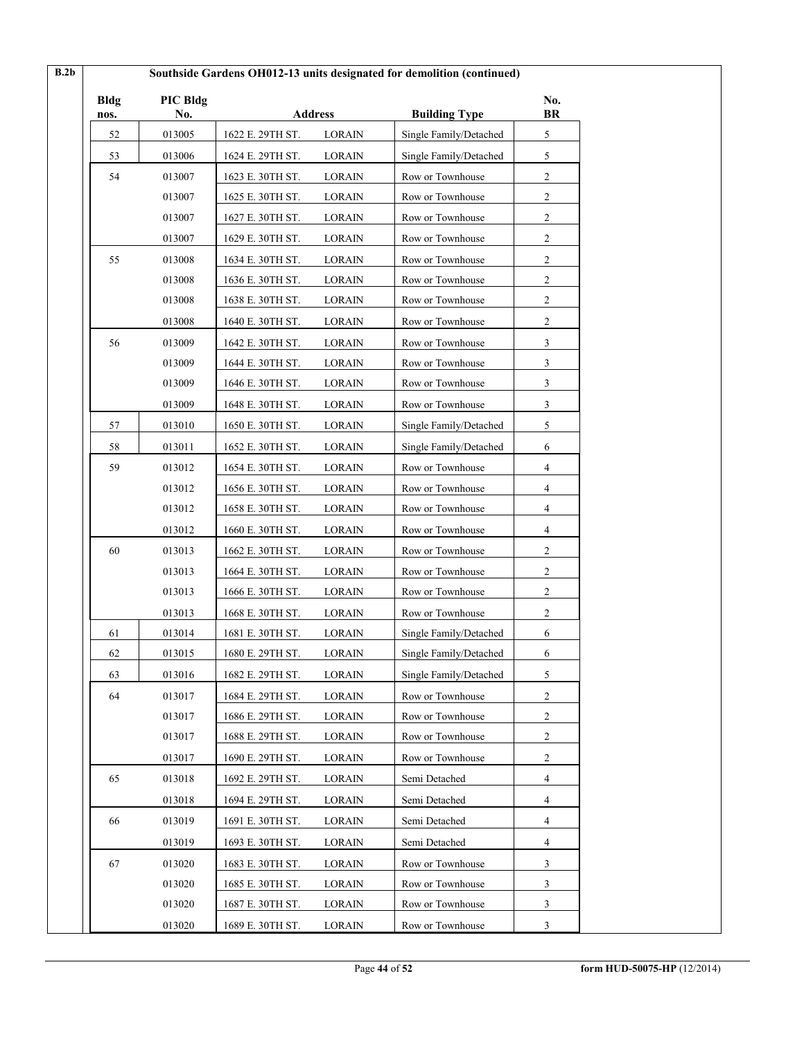| <b>Bldg</b> | PIC Bldg |                  |                |                        | No.              |
|-------------|----------|------------------|----------------|------------------------|------------------|
| nos.        | No.      |                  | <b>Address</b> | <b>Building Type</b>   | <b>BR</b>        |
| 52          | 013005   | 1622 E. 29TH ST. | <b>LORAIN</b>  | Single Family/Detached | 5                |
| 53          | 013006   | 1624 E. 29TH ST. | <b>LORAIN</b>  | Single Family/Detached | 5                |
| 54          | 013007   | 1623 E. 30TH ST. | <b>LORAIN</b>  | Row or Townhouse       | $\overline{c}$   |
|             | 013007   | 1625 E. 30TH ST. | <b>LORAIN</b>  | Row or Townhouse       | $\boldsymbol{2}$ |
|             | 013007   | 1627 E. 30TH ST. | <b>LORAIN</b>  | Row or Townhouse       | $\overline{c}$   |
|             | 013007   | 1629 E. 30TH ST. | <b>LORAIN</b>  | Row or Townhouse       | $\overline{2}$   |
| 55          | 013008   | 1634 E. 30TH ST. | <b>LORAIN</b>  | Row or Townhouse       | $\boldsymbol{2}$ |
|             | 013008   | 1636 E. 30TH ST. | LORAIN         | Row or Townhouse       | 2                |
|             | 013008   | 1638 E. 30TH ST. | <b>LORAIN</b>  | Row or Townhouse       | $\overline{c}$   |
|             | 013008   | 1640 E. 30TH ST. | <b>LORAIN</b>  | Row or Townhouse       | $\overline{c}$   |
| 56          | 013009   | 1642 E. 30TH ST. | <b>LORAIN</b>  | Row or Townhouse       | 3                |
|             | 013009   | 1644 E. 30TH ST. | <b>LORAIN</b>  | Row or Townhouse       | 3                |
|             | 013009   | 1646 E. 30TH ST. | <b>LORAIN</b>  | Row or Townhouse       | 3                |
|             | 013009   | 1648 E. 30TH ST. | <b>LORAIN</b>  | Row or Townhouse       | 3                |
| 57          | 013010   | 1650 E. 30TH ST. | LORAIN         | Single Family/Detached | 5                |
| 58          | 013011   | 1652 E. 30TH ST. | <b>LORAIN</b>  | Single Family/Detached | 6                |
| 59          | 013012   | 1654 E. 30TH ST. | LORAIN         | Row or Townhouse       | 4                |
|             | 013012   | 1656 E. 30TH ST. | <b>LORAIN</b>  | Row or Townhouse       | 4                |
|             | 013012   | 1658 E. 30TH ST. | <b>LORAIN</b>  | Row or Townhouse       | 4                |
|             | 013012   | 1660 E. 30TH ST. | <b>LORAIN</b>  | Row or Townhouse       | 4                |
| 60          | 013013   | 1662 E. 30TH ST. | LORAIN         | Row or Townhouse       | $\overline{c}$   |
|             | 013013   | 1664 E. 30TH ST. | <b>LORAIN</b>  | Row or Townhouse       | 2                |
|             | 013013   | 1666 E. 30TH ST. | LORAIN         | Row or Townhouse       | $\boldsymbol{2}$ |
|             | 013013   | 1668 E. 30TH ST. | <b>LORAIN</b>  | Row or Townhouse       | 2                |
| 61          | 013014   | 1681 E. 30TH ST. | <b>LORAIN</b>  | Single Family/Detached | 6                |
| 62          | 013015   | 1680 E. 29TH ST. | <b>LORAIN</b>  | Single Family/Detached | 6                |
| 63          | 013016   | 1682 E. 29TH ST. | <b>LORAIN</b>  | Single Family/Detached | 5                |
| 64          | 013017   | 1684 E. 29TH ST. | <b>LORAIN</b>  | Row or Townhouse       | $\boldsymbol{2}$ |
|             | 013017   | 1686 E. 29TH ST. | <b>LORAIN</b>  | Row or Townhouse       | 2                |
|             | 013017   | 1688 E. 29TH ST. | <b>LORAIN</b>  | Row or Townhouse       | 2                |
|             | 013017   | 1690 E. 29TH ST. | <b>LORAIN</b>  | Row or Townhouse       | $\overline{c}$   |
| 65          | 013018   | 1692 E. 29TH ST. | <b>LORAIN</b>  | Semi Detached          | 4                |
|             | 013018   | 1694 E. 29TH ST. | <b>LORAIN</b>  | Semi Detached          | 4                |
| 66          | 013019   | 1691 E. 30TH ST. | <b>LORAIN</b>  | Semi Detached          | 4                |
|             | 013019   | 1693 E. 30TH ST. | <b>LORAIN</b>  | Semi Detached          | 4                |
| 67          | 013020   | 1683 E. 30TH ST. | <b>LORAIN</b>  | Row or Townhouse       | 3                |
|             | 013020   | 1685 E. 30TH ST. | <b>LORAIN</b>  | Row or Townhouse       | 3                |
|             | 013020   | 1687 E. 30TH ST. | LORAIN         | Row or Townhouse       | 3                |
|             | 013020   | 1689 E. 30TH ST. | <b>LORAIN</b>  | Row or Townhouse       | 3                |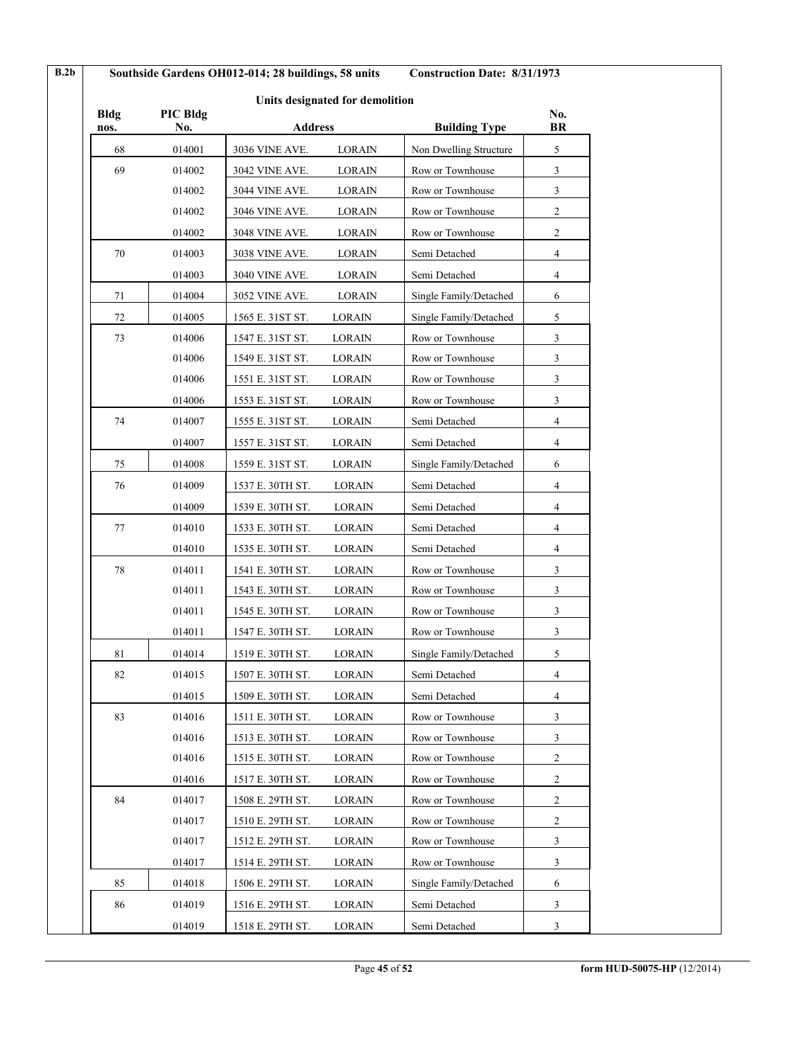| B.2b        | Southside Gardens OH012-014; 28 buildings, 58 units |                                            | <b>Construction Date: 8/31/1973</b>            |           |  |
|-------------|-----------------------------------------------------|--------------------------------------------|------------------------------------------------|-----------|--|
|             |                                                     | Units designated for demolition            |                                                |           |  |
| <b>Bldg</b> | PIC Bldg                                            |                                            |                                                | No.<br>BR |  |
| nos.<br>68  | No.<br>014001                                       | <b>Address</b><br>3036 VINE AVE.<br>LORAIN | <b>Building Type</b><br>Non Dwelling Structure | 5         |  |
| 69          | 014002                                              | 3042 VINE AVE.<br><b>LORAIN</b>            | Row or Townhouse                               | 3         |  |
|             | 014002                                              | 3044 VINE AVE.<br>LORAIN                   | Row or Townhouse                               | 3         |  |
|             | 014002                                              | 3046 VINE AVE.<br><b>LORAIN</b>            | Row or Townhouse                               | 2         |  |
|             |                                                     | 3048 VINE AVE.                             | Row or Townhouse                               | 2         |  |
| 70          | 014002<br>014003                                    | <b>LORAIN</b><br><b>LORAIN</b>             | Semi Detached                                  |           |  |
|             |                                                     | 3038 VINE AVE.                             |                                                | 4         |  |
|             | 014003                                              | 3040 VINE AVE.<br><b>LORAIN</b>            | Semi Detached                                  | 4         |  |
| 71          | 014004                                              | 3052 VINE AVE.<br>LORAIN                   | Single Family/Detached                         | 6         |  |
| 72          | 014005                                              | 1565 E. 31ST ST.<br><b>LORAIN</b>          | Single Family/Detached                         | 5         |  |
| 73          | 014006                                              | 1547 E. 31ST ST.<br><b>LORAIN</b>          | Row or Townhouse                               | 3         |  |
|             | 014006                                              | 1549 E. 31ST ST.<br><b>LORAIN</b>          | Row or Townhouse                               | 3         |  |
|             | 014006                                              | 1551 E. 31ST ST.<br><b>LORAIN</b>          | Row or Townhouse                               | 3         |  |
|             | 014006                                              | 1553 E. 31ST ST.<br><b>LORAIN</b>          | Row or Townhouse                               | 3         |  |
| 74          | 014007                                              | 1555 E. 31ST ST.<br><b>LORAIN</b>          | Semi Detached                                  | 4         |  |
|             | 014007                                              | <b>LORAIN</b><br>1557 E. 31ST ST.          | Semi Detached                                  | 4         |  |
| 75          | 014008                                              | 1559 E. 31ST ST.<br>LORAIN                 | Single Family/Detached                         | 6         |  |
| 76          | 014009                                              | 1537 E. 30TH ST.<br><b>LORAIN</b>          | Semi Detached                                  | 4         |  |
|             | 014009                                              | 1539 E. 30TH ST.<br>LORAIN                 | Semi Detached                                  | 4         |  |
| 77          | 014010                                              | 1533 E. 30TH ST.<br>LORAIN                 | Semi Detached                                  | 4         |  |
|             | 014010                                              | 1535 E. 30TH ST.<br><b>LORAIN</b>          | Semi Detached                                  | 4         |  |
| 78          | 014011                                              | 1541 E. 30TH ST.<br>LORAIN                 | Row or Townhouse                               | 3         |  |
|             | 014011                                              | 1543 E. 30TH ST.<br>LORAIN                 | Row or Townhouse                               | 3         |  |
|             | 014011                                              | 1545 E. 30TH ST.<br>LORAIN                 | Row or Townhouse                               | 3         |  |
|             | 014011                                              | 1547 E. 30TH ST.<br>LORAIN                 | Row or Townhouse                               | 3         |  |
| $8\sqrt{1}$ | 014014                                              | 1519 E. 30TH ST.<br><b>LORAIN</b>          | Single Family/Detached                         | 5         |  |
| 82          | 014015                                              | 1507 E. 30TH ST.<br>LORAIN                 | Semi Detached                                  | 4         |  |
|             | 014015                                              | 1509 E. 30TH ST.<br>LORAIN                 | Semi Detached                                  | 4         |  |
| 83          | 014016                                              | 1511 E. 30TH ST.<br>LORAIN                 | Row or Townhouse                               | 3         |  |
|             | 014016                                              | 1513 E. 30TH ST.<br>LORAIN                 | Row or Townhouse                               | 3         |  |
|             | 014016                                              | <b>LORAIN</b><br>1515 E. 30TH ST.          | Row or Townhouse                               | 2         |  |
|             | 014016                                              | 1517 E. 30TH ST.<br><b>LORAIN</b>          | Row or Townhouse                               | 2         |  |
| 84          | 014017                                              | 1508 E. 29TH ST.<br>LORAIN                 | Row or Townhouse                               | 2         |  |
|             | 014017                                              | 1510 E. 29TH ST.<br>LORAIN                 | Row or Townhouse                               | 2         |  |
|             | 014017                                              | 1512 E. 29TH ST.<br>LORAIN                 | Row or Townhouse                               | 3         |  |
|             | 014017                                              | 1514 E. 29TH ST.<br>LORAIN                 | Row or Townhouse                               | 3         |  |
| 85          | 014018                                              | 1506 E. 29TH ST.<br>LORAIN                 | Single Family/Detached                         | 6         |  |
| 86          | 014019                                              | 1516 E. 29TH ST.<br>LORAIN                 | Semi Detached                                  | 3         |  |
|             | 014019                                              | 1518 E. 29TH ST.<br>LORAIN                 | Semi Detached                                  | 3         |  |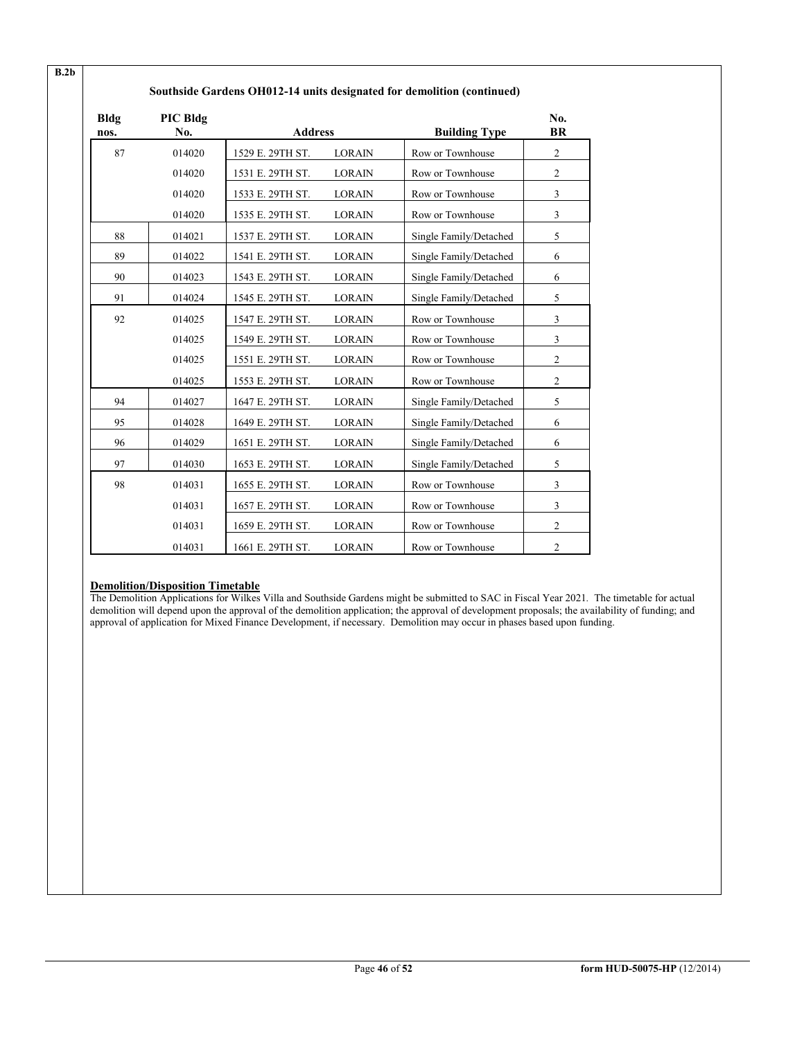| <b>Bldg</b><br>nos. | PIC Bldg<br>No. | <b>Address</b>   |               | <b>Building Type</b>   | No.<br><b>BR</b> |
|---------------------|-----------------|------------------|---------------|------------------------|------------------|
| 87                  | 014020          | 1529 E. 29TH ST. | <b>LORAIN</b> | Row or Townhouse       | $\overline{c}$   |
|                     | 014020          | 1531 E. 29TH ST. | <b>LORAIN</b> | Row or Townhouse       | $\mathfrak{2}$   |
|                     | 014020          | 1533 E. 29TH ST. | <b>LORAIN</b> | Row or Townhouse       | 3                |
|                     | 014020          | 1535 E. 29TH ST. | <b>LORAIN</b> | Row or Townhouse       | 3                |
| 88                  | 014021          | 1537 E. 29TH ST. | <b>LORAIN</b> | Single Family/Detached | 5                |
| 89                  | 014022          | 1541 E. 29TH ST. | <b>LORAIN</b> | Single Family/Detached | 6                |
| 90                  | 014023          | 1543 E. 29TH ST. | <b>LORAIN</b> | Single Family/Detached | 6                |
| 91                  | 014024          | 1545 E. 29TH ST. | <b>LORAIN</b> | Single Family/Detached | 5                |
| 92                  | 014025          | 1547 E. 29TH ST. | <b>LORAIN</b> | Row or Townhouse       | 3                |
|                     | 014025          | 1549 E. 29TH ST. | <b>LORAIN</b> | Row or Townhouse       | 3                |
|                     | 014025          | 1551 E. 29TH ST. | <b>LORAIN</b> | Row or Townhouse       | $\overline{c}$   |
|                     | 014025          | 1553 E. 29TH ST. | <b>LORAIN</b> | Row or Townhouse       | $\overline{c}$   |
| 94                  | 014027          | 1647 E. 29TH ST. | <b>LORAIN</b> | Single Family/Detached | 5                |
| 95                  | 014028          | 1649 E. 29TH ST. | <b>LORAIN</b> | Single Family/Detached | 6                |
| 96                  | 014029          | 1651 E. 29TH ST. | <b>LORAIN</b> | Single Family/Detached | 6                |
| 97                  | 014030          | 1653 E. 29TH ST. | <b>LORAIN</b> | Single Family/Detached | 5                |
| 98                  | 014031          | 1655 E. 29TH ST. | <b>LORAIN</b> | Row or Townhouse       | 3                |
|                     | 014031          | 1657 E. 29TH ST. | <b>LORAIN</b> | Row or Townhouse       | 3                |
|                     | 014031          | 1659 E. 29TH ST. | <b>LORAIN</b> | Row or Townhouse       | $\overline{c}$   |
|                     | 014031          | 1661 E. 29TH ST. | <b>LORAIN</b> | Row or Townhouse       | $\overline{c}$   |

# **Southside Gardens OH012-14 units designated for demolition (continued)**

# **Demolition/Disposition Timetable**

The Demolition Applications for Wilkes Villa and Southside Gardens might be submitted to SAC in Fiscal Year 2021*.* The timetable for actual demolition will depend upon the approval of the demolition application; the approval of development proposals; the availability of funding; and approval of application for Mixed Finance Development, if necessary. Demolition may occur in phases based upon funding.

**B.2b**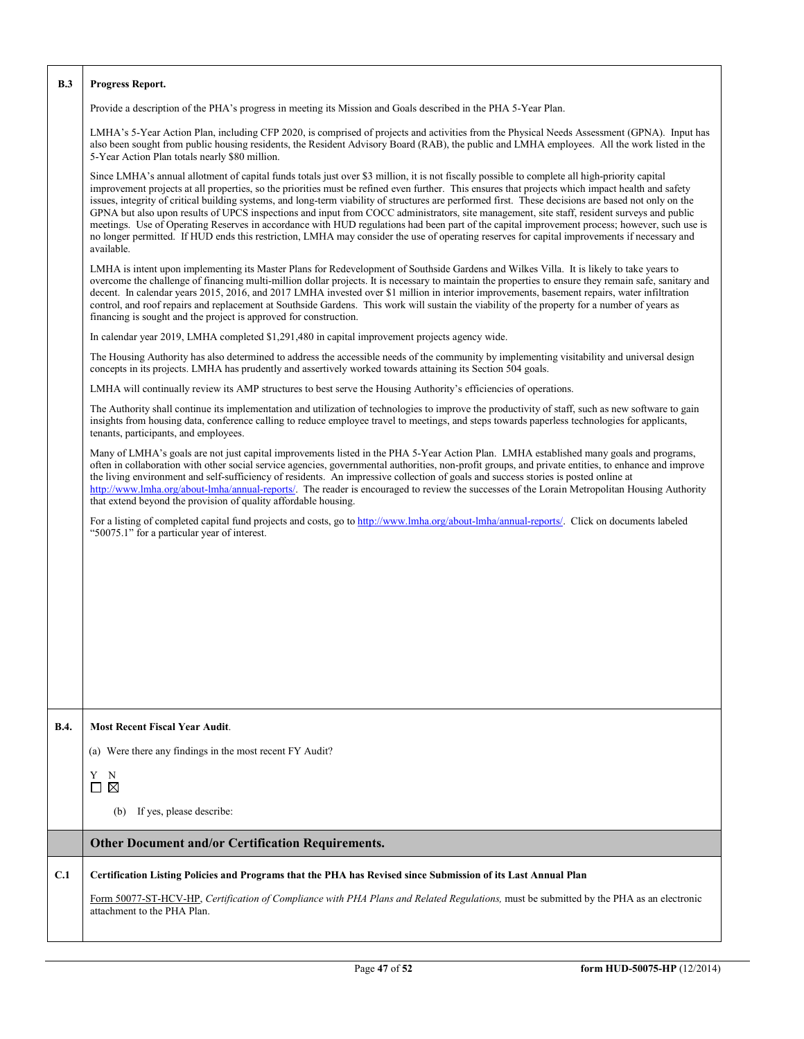| B.3         | Progress Report.                                                                                                                                                                                                                                                                                                                                                                                                                                                                                                                                                                                                                                                                                                                                                                                                                                                                                                          |  |  |  |  |  |
|-------------|---------------------------------------------------------------------------------------------------------------------------------------------------------------------------------------------------------------------------------------------------------------------------------------------------------------------------------------------------------------------------------------------------------------------------------------------------------------------------------------------------------------------------------------------------------------------------------------------------------------------------------------------------------------------------------------------------------------------------------------------------------------------------------------------------------------------------------------------------------------------------------------------------------------------------|--|--|--|--|--|
|             | Provide a description of the PHA's progress in meeting its Mission and Goals described in the PHA 5-Year Plan.                                                                                                                                                                                                                                                                                                                                                                                                                                                                                                                                                                                                                                                                                                                                                                                                            |  |  |  |  |  |
|             | LMHA's 5-Year Action Plan, including CFP 2020, is comprised of projects and activities from the Physical Needs Assessment (GPNA). Input has<br>also been sought from public housing residents, the Resident Advisory Board (RAB), the public and LMHA employees. All the work listed in the<br>5-Year Action Plan totals nearly \$80 million.                                                                                                                                                                                                                                                                                                                                                                                                                                                                                                                                                                             |  |  |  |  |  |
|             | Since LMHA's annual allotment of capital funds totals just over \$3 million, it is not fiscally possible to complete all high-priority capital<br>improvement projects at all properties, so the priorities must be refined even further. This ensures that projects which impact health and safety<br>issues, integrity of critical building systems, and long-term viability of structures are performed first. These decisions are based not only on the<br>GPNA but also upon results of UPCS inspections and input from COCC administrators, site management, site staff, resident surveys and public<br>meetings. Use of Operating Reserves in accordance with HUD regulations had been part of the capital improvement process; however, such use is<br>no longer permitted. If HUD ends this restriction, LMHA may consider the use of operating reserves for capital improvements if necessary and<br>available. |  |  |  |  |  |
|             | LMHA is intent upon implementing its Master Plans for Redevelopment of Southside Gardens and Wilkes Villa. It is likely to take years to<br>overcome the challenge of financing multi-million dollar projects. It is necessary to maintain the properties to ensure they remain safe, sanitary and<br>decent. In calendar years 2015, 2016, and 2017 LMHA invested over \$1 million in interior improvements, basement repairs, water infiltration<br>control, and roof repairs and replacement at Southside Gardens. This work will sustain the viability of the property for a number of years as<br>financing is sought and the project is approved for construction.                                                                                                                                                                                                                                                  |  |  |  |  |  |
|             | In calendar year 2019, LMHA completed \$1,291,480 in capital improvement projects agency wide.                                                                                                                                                                                                                                                                                                                                                                                                                                                                                                                                                                                                                                                                                                                                                                                                                            |  |  |  |  |  |
|             | The Housing Authority has also determined to address the accessible needs of the community by implementing visitability and universal design<br>concepts in its projects. LMHA has prudently and assertively worked towards attaining its Section 504 goals.                                                                                                                                                                                                                                                                                                                                                                                                                                                                                                                                                                                                                                                              |  |  |  |  |  |
|             | LMHA will continually review its AMP structures to best serve the Housing Authority's efficiencies of operations.                                                                                                                                                                                                                                                                                                                                                                                                                                                                                                                                                                                                                                                                                                                                                                                                         |  |  |  |  |  |
|             | The Authority shall continue its implementation and utilization of technologies to improve the productivity of staff, such as new software to gain<br>insights from housing data, conference calling to reduce employee travel to meetings, and steps towards paperless technologies for applicants,<br>tenants, participants, and employees.                                                                                                                                                                                                                                                                                                                                                                                                                                                                                                                                                                             |  |  |  |  |  |
|             | Many of LMHA's goals are not just capital improvements listed in the PHA 5-Year Action Plan. LMHA established many goals and programs,<br>often in collaboration with other social service agencies, governmental authorities, non-profit groups, and private entities, to enhance and improve<br>the living environment and self-sufficiency of residents. An impressive collection of goals and success stories is posted online at<br>http://www.lmha.org/about-lmha/annual-reports/. The reader is encouraged to review the successes of the Lorain Metropolitan Housing Authority<br>that extend beyond the provision of quality affordable housing.                                                                                                                                                                                                                                                                 |  |  |  |  |  |
|             | For a listing of completed capital fund projects and costs, go to http://www.lmha.org/about-lmha/annual-reports/. Click on documents labeled<br>"50075.1" for a particular year of interest.                                                                                                                                                                                                                                                                                                                                                                                                                                                                                                                                                                                                                                                                                                                              |  |  |  |  |  |
|             |                                                                                                                                                                                                                                                                                                                                                                                                                                                                                                                                                                                                                                                                                                                                                                                                                                                                                                                           |  |  |  |  |  |
|             |                                                                                                                                                                                                                                                                                                                                                                                                                                                                                                                                                                                                                                                                                                                                                                                                                                                                                                                           |  |  |  |  |  |
|             |                                                                                                                                                                                                                                                                                                                                                                                                                                                                                                                                                                                                                                                                                                                                                                                                                                                                                                                           |  |  |  |  |  |
|             |                                                                                                                                                                                                                                                                                                                                                                                                                                                                                                                                                                                                                                                                                                                                                                                                                                                                                                                           |  |  |  |  |  |
| <b>B.4.</b> | <b>Most Recent Fiscal Year Audit.</b>                                                                                                                                                                                                                                                                                                                                                                                                                                                                                                                                                                                                                                                                                                                                                                                                                                                                                     |  |  |  |  |  |
|             | (a) Were there any findings in the most recent FY Audit?                                                                                                                                                                                                                                                                                                                                                                                                                                                                                                                                                                                                                                                                                                                                                                                                                                                                  |  |  |  |  |  |
|             | Y<br>N<br>⊠<br>□                                                                                                                                                                                                                                                                                                                                                                                                                                                                                                                                                                                                                                                                                                                                                                                                                                                                                                          |  |  |  |  |  |
|             | If yes, please describe:<br>(b)                                                                                                                                                                                                                                                                                                                                                                                                                                                                                                                                                                                                                                                                                                                                                                                                                                                                                           |  |  |  |  |  |
|             | Other Document and/or Certification Requirements.                                                                                                                                                                                                                                                                                                                                                                                                                                                                                                                                                                                                                                                                                                                                                                                                                                                                         |  |  |  |  |  |
| C.1         | Certification Listing Policies and Programs that the PHA has Revised since Submission of its Last Annual Plan                                                                                                                                                                                                                                                                                                                                                                                                                                                                                                                                                                                                                                                                                                                                                                                                             |  |  |  |  |  |
|             | Form 50077-ST-HCV-HP, Certification of Compliance with PHA Plans and Related Regulations, must be submitted by the PHA as an electronic<br>attachment to the PHA Plan.                                                                                                                                                                                                                                                                                                                                                                                                                                                                                                                                                                                                                                                                                                                                                    |  |  |  |  |  |
|             |                                                                                                                                                                                                                                                                                                                                                                                                                                                                                                                                                                                                                                                                                                                                                                                                                                                                                                                           |  |  |  |  |  |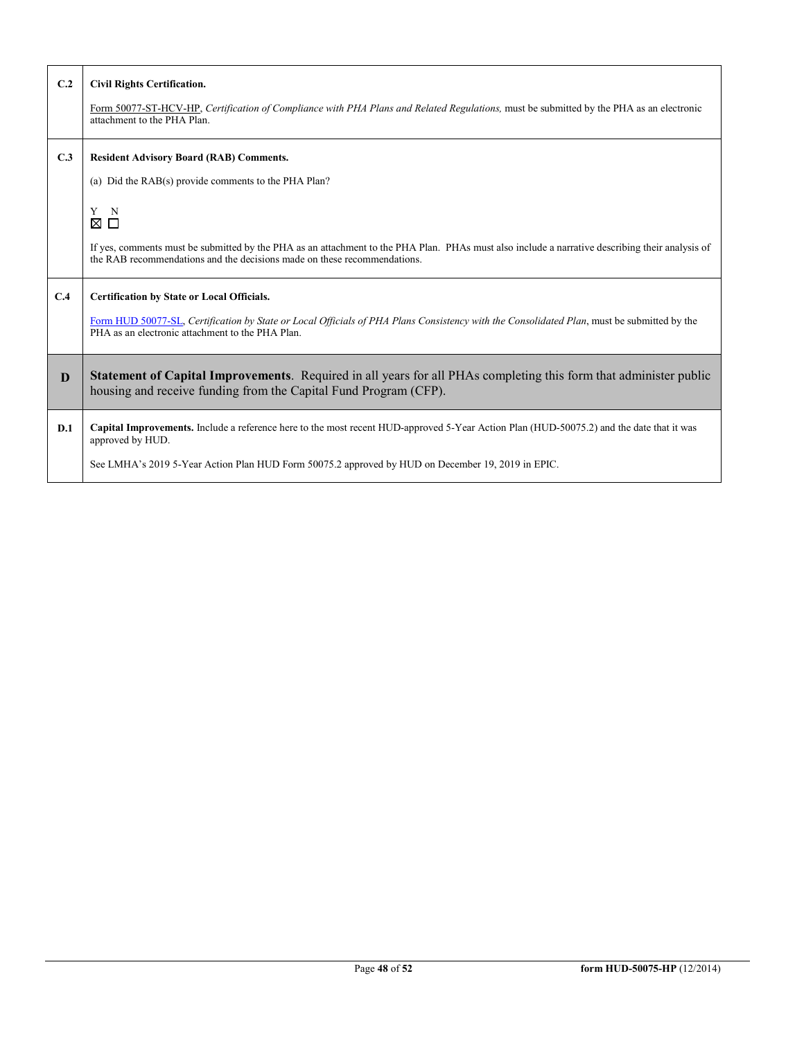| C.2 | <b>Civil Rights Certification.</b><br>Form 50077-ST-HCV-HP, Certification of Compliance with PHA Plans and Related Regulations, must be submitted by the PHA as an electronic<br>attachment to the PHA Plan.                                                      |
|-----|-------------------------------------------------------------------------------------------------------------------------------------------------------------------------------------------------------------------------------------------------------------------|
| C.3 | <b>Resident Advisory Board (RAB) Comments.</b><br>(a) Did the RAB(s) provide comments to the PHA Plan?                                                                                                                                                            |
|     | Y N<br>⊠ □<br>If yes, comments must be submitted by the PHA as an attachment to the PHA Plan. PHAs must also include a narrative describing their analysis of<br>the RAB recommendations and the decisions made on these recommendations.                         |
| C.4 | <b>Certification by State or Local Officials.</b><br>Form HUD 50077-SL, Certification by State or Local Officials of PHA Plans Consistency with the Consolidated Plan, must be submitted by the<br>PHA as an electronic attachment to the PHA Plan.               |
| D   | Statement of Capital Improvements. Required in all years for all PHAs completing this form that administer public<br>housing and receive funding from the Capital Fund Program (CFP).                                                                             |
| D.1 | Capital Improvements. Include a reference here to the most recent HUD-approved 5-Year Action Plan (HUD-50075.2) and the date that it was<br>approved by HUD.<br>See LMHA's 2019 5-Year Action Plan HUD Form 50075.2 approved by HUD on December 19, 2019 in EPIC. |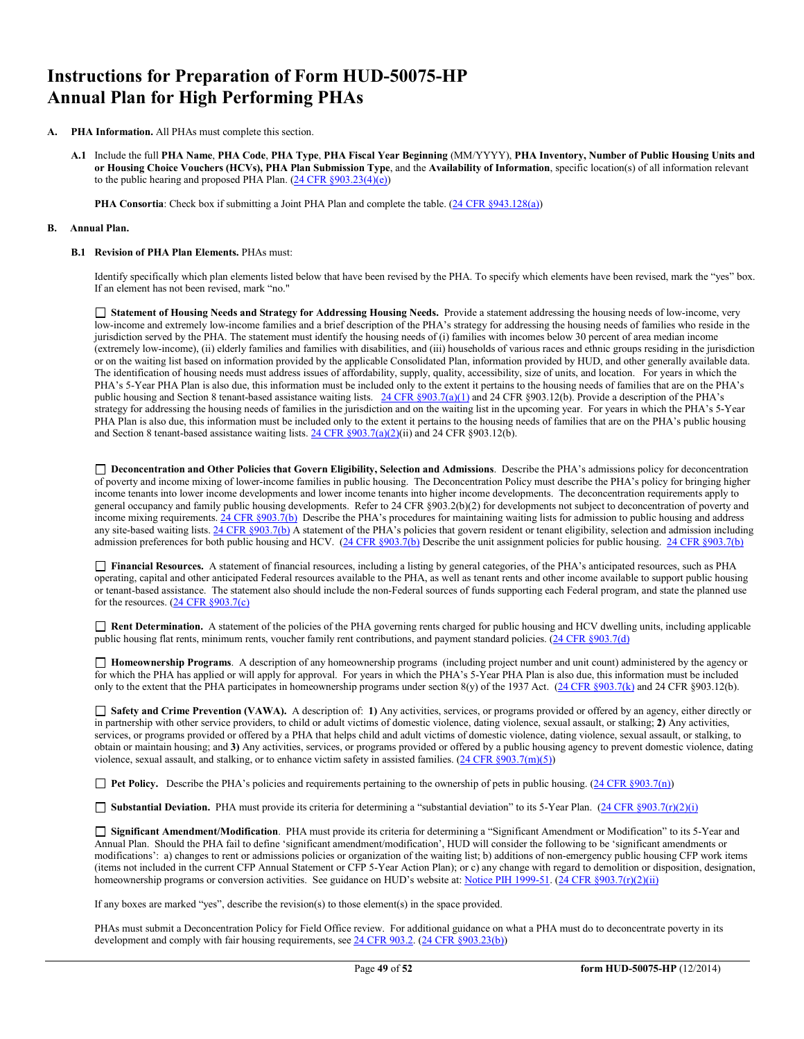# **Instructions for Preparation of Form HUD-50075-HP Annual Plan for High Performing PHAs**

- **A. PHA Information.** All PHAs must complete this section.
	- **A.1** Include the full **PHA Name**, **PHA Code**, **PHA Type**, **PHA Fiscal Year Beginning** (MM/YYYY), **PHA Inventory, Number of Public Housing Units and or Housing Choice Vouchers (HCVs), PHA Plan Submission Type**, and the **Availability of Information**, specific location(s) of all information relevant to the public hearing and proposed PHA Plan.  $(24 \text{ CFR } \frac{§903.23(4)(e)}{e})$

**PHA Consortia**: Check box if submitting a Joint PHA Plan and complete the table. [\(24 CFR §943.128\(a\)\)](http://ecfr.gpoaccess.gov/cgi/t/text/text-idx?c=ecfr&sid=cc31cf1c3a2b84ba4ead75d35d258f67&rgn=div5&view=text&node=24:4.0.3.1.10&idno=24#24:4.0.3.1.10.2.5.7)

#### **B. Annual Plan.**

#### **B.1 Revision of PHA Plan Elements.** PHAs must:

Identify specifically which plan elements listed below that have been revised by the PHA. To specify which elements have been revised, mark the "yes" box. If an element has not been revised, mark "no."

 **Statement of Housing Needs and Strategy for Addressing Housing Needs.** Provide a statement addressing the housing needs of low-income, very low-income and extremely low-income families and a brief description of the PHA's strategy for addressing the housing needs of families who reside in the jurisdiction served by the PHA. The statement must identify the housing needs of (i) families with incomes below 30 percent of area median income (extremely low-income), (ii) elderly families and families with disabilities, and (iii) households of various races and ethnic groups residing in the jurisdiction or on the waiting list based on information provided by the applicable Consolidated Plan, information provided by HUD, and other generally available data. The identification of housing needs must address issues of affordability, supply, quality, accessibility, size of units, and location. For years in which the PHA's 5-Year PHA Plan is also due, this information must be included only to the extent it pertains to the housing needs of families that are on the PHA's public housing and Section 8 tenant-based assistance waiting lists. [24 CFR §903.7\(a\)\(1\)](http://ecfr.gpoaccess.gov/cgi/t/text/text-idx?c=ecfr&sid=13734845220744370804c20da2294a03&rgn=div5&view=text&node=24:4.0.3.1.3&idno=24#24:4.0.3.1.3.2.5.5) and 24 CFR §903.12(b). Provide a description of the PHA's strategy for addressing the housing needs of families in the jurisdiction and on the waiting list in the upcoming year. For years in which the PHA's 5-Year PHA Plan is also due, this information must be included only to the extent it pertains to the housing needs of families that are on the PHA's public housing and Section 8 tenant-based assistance waiting lists. [24 CFR §903.7\(a\)\(2\)\(](http://ecfr.gpoaccess.gov/cgi/t/text/text-idx?c=ecfr&sid=13734845220744370804c20da2294a03&rgn=div5&view=text&node=24:4.0.3.1.3&idno=24#24:4.0.3.1.3.2.5.5)ii) and 24 CFR §903.12(b).

 **Deconcentration and Other Policies that Govern Eligibility, Selection and Admissions**. Describe the PHA's admissions policy for deconcentration of poverty and income mixing of lower-income families in public housing. The Deconcentration Policy must describe the PHA's policy for bringing higher income tenants into lower income developments and lower income tenants into higher income developments. The deconcentration requirements apply to general occupancy and family public housing developments. Refer to 24 CFR §903.2(b)(2) for developments not subject to deconcentration of poverty and income mixing requirements[. 24 CFR §903.7\(b\)](http://ecfr.gpoaccess.gov/cgi/t/text/text-idx?c=ecfr&sid=b44bf19bef93dd31287608d2c687e271&rgn=div5&view=text&node=24:4.0.3.1.3&idno=24#24:4.0.3.1.3.2.5.5) Describe the PHA's procedures for maintaining waiting lists for admission to public housing and address any site-based waiting lists[. 24 CFR §903.7\(b\)](http://ecfr.gpoaccess.gov/cgi/t/text/text-idx?c=ecfr&sid=b44bf19bef93dd31287608d2c687e271&rgn=div5&view=text&node=24:4.0.3.1.3&idno=24#24:4.0.3.1.3.2.5.5) A statement of the PHA's policies that govern resident or tenant eligibility, selection and admission including admission preferences for both public housing and HCV. [\(24 CFR §903.7\(b\)](http://ecfr.gpoaccess.gov/cgi/t/text/text-idx?c=ecfr&sid=b44bf19bef93dd31287608d2c687e271&rgn=div5&view=text&node=24:4.0.3.1.3&idno=24#24:4.0.3.1.3.2.5.5) Describe the unit assignment policies for public housing. [24 CFR §903.7\(b\)](http://ecfr.gpoaccess.gov/cgi/t/text/text-idx?c=ecfr&sid=b44bf19bef93dd31287608d2c687e271&rgn=div5&view=text&node=24:4.0.3.1.3&idno=24#24:4.0.3.1.3.2.5.5)

 **Financial Resources.** A statement of financial resources, including a listing by general categories, of the PHA's anticipated resources, such as PHA operating, capital and other anticipated Federal resources available to the PHA, as well as tenant rents and other income available to support public housing or tenant-based assistance. The statement also should include the non-Federal sources of funds supporting each Federal program, and state the planned use for the resources. [\(24 CFR §903.7\(c\)](http://ecfr.gpoaccess.gov/cgi/t/text/text-idx?c=ecfr&sid=b44bf19bef93dd31287608d2c687e271&rgn=div5&view=text&node=24:4.0.3.1.3&idno=24)

 **Rent Determination.** A statement of the policies of the PHA governing rents charged for public housing and HCV dwelling units, including applicable public housing flat rents, minimum rents, voucher family rent contributions, and payment standard policies. [\(24 CFR §903.7\(d\)](http://ecfr.gpoaccess.gov/cgi/t/text/text-idx?c=ecfr&sid=b44bf19bef93dd31287608d2c687e271&rgn=div5&view=text&node=24:4.0.3.1.3&idno=24#24:4.0.3.1.3.2.5.5)

 **Homeownership Programs**. A description of any homeownership programs (including project number and unit count) administered by the agency or for which the PHA has applied or will apply for approval. For years in which the PHA's 5-Year PHA Plan is also due, this information must be included only to the extent that the PHA participates in homeownership programs under section 8(y) of the 1937 Act. [\(24 CFR §903.7\(k\)](http://ecfr.gpoaccess.gov/cgi/t/text/text-idx?c=ecfr&sid=b44bf19bef93dd31287608d2c687e271&rgn=div5&view=text&node=24:4.0.3.1.3&idno=24#24:4.0.3.1.3.2.5.5) and 24 CFR §903.12(b).

 **Safety and Crime Prevention (VAWA).** A description of: **1)** Any activities, services, or programs provided or offered by an agency, either directly or in partnership with other service providers, to child or adult victims of domestic violence, dating violence, sexual assault, or stalking; **2)** Any activities, services, or programs provided or offered by a PHA that helps child and adult victims of domestic violence, dating violence, sexual assault, or stalking, to obtain or maintain housing; and **3)** Any activities, services, or programs provided or offered by a public housing agency to prevent domestic violence, dating violence, sexual assault, and stalking, or to enhance victim safety in assisted families.  $(24 \text{ CFR } \text{\textless} 903.7(m)(5))$ 

**Pet Policy.** Describe the PHA's policies and requirements pertaining to the ownership of pets in public housing. [\(24 CFR §903.7\(n\)\)](http://ecfr.gpoaccess.gov/cgi/t/text/text-idx?c=ecfr&sid=13734845220744370804c20da2294a03&rgn=div5&view=text&node=24:4.0.3.1.3&idno=24#24:4.0.3.1.3.2.5.5)

■ **Substantial Deviation.** PHA must provide its criteria for determining a "substantial deviation" to its 5-Year Plan. (24 CFR §903.7(r)(2)(i)

 **Significant Amendment/Modification**. PHA must provide its criteria for determining a "Significant Amendment or Modification" to its 5-Year and Annual Plan. Should the PHA fail to define 'significant amendment/modification', HUD will consider the following to be 'significant amendments or modifications': a) changes to rent or admissions policies or organization of the waiting list; b) additions of non-emergency public housing CFP work items (items not included in the current CFP Annual Statement or CFP 5-Year Action Plan); or c) any change with regard to demolition or disposition, designation, homeownership programs or conversion activities. See guidance on HUD's website at: [Notice PIH 1999-51.](http://portal.hud.gov/hudportal/HUD?src=/program_offices/administration/hudclips/notices/pih) (24 CFR §903.7(r)(2)(ii)

If any boxes are marked "yes", describe the revision(s) to those element(s) in the space provided.

PHAs must submit a Deconcentration Policy for Field Office review. For additional guidance on what a PHA must do to deconcentrate poverty in its development and comply with fair housing requirements, se[e 24 CFR 903.2.](http://ecfr.gpoaccess.gov/cgi/t/text/text-idx?c=ecfr&sid=31b6a8e6f1110b36cc115eb6e4d5e3b4&rgn=div5&view=text&node=24:4.0.3.1.3&idno=24#24:4.0.3.1.3.1.5.2) [\(24 CFR §903.23\(b\)\)](http://ecfr.gpoaccess.gov/cgi/t/text/text-idx?c=ecfr&sid=13734845220744370804c20da2294a03&rgn=div5&view=text&node=24:4.0.3.1.3&idno=24#24:4.0.3.1.3.2.5.9)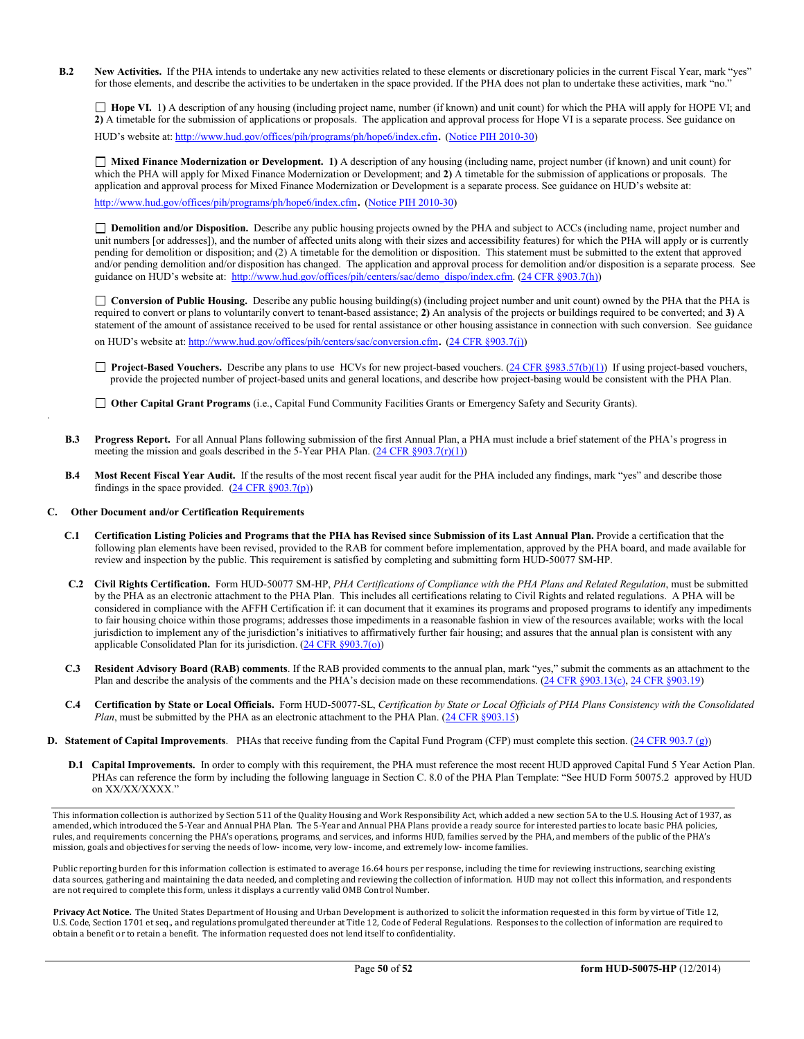**B.2** New Activities. If the PHA intends to undertake any new activities related to these elements or discretionary policies in the current Fiscal Year, mark "yes" for those elements, and describe the activities to be undertaken in the space provided. If the PHA does not plan to undertake these activities, mark "no."

□ **Hope VI.** 1) A description of any housing (including project name, number (if known) and unit count) for which the PHA will apply for HOPE VI; and **2)** A timetable for the submission of applications or proposals. The application and approval process for Hope VI is a separate process. See guidance on HUD's website at[: http://www.hud.gov/offices/pih/programs/ph/hope6/index.cfm.](http://www.hud.gov/offices/pih/programs/ph/hope6/index.cfm) [\(Notice PIH 2010-30\)](http://www.hud.gov/offices/adm/hudclips/notices/pih/07pihnotices.cfm)

 **Mixed Finance Modernization or Development. 1)** A description of any housing (including name, project number (if known) and unit count) for which the PHA will apply for Mixed Finance Modernization or Development; and **2)** A timetable for the submission of applications or proposals. The application and approval process for Mixed Finance Modernization or Development is a separate process. See guidance on HUD's website at:

[http://www.hud.gov/offices/pih/programs/ph/hope6/index.cfm.](http://www.hud.gov/offices/pih/programs/ph/hope6/index.cfm) [\(Notice PIH 2010-30\)](http://www.hud.gov/offices/adm/hudclips/notices/pih/07pihnotices.cfm)

 **Demolition and/or Disposition.** Describe any public housing projects owned by the PHA and subject to ACCs (including name, project number and unit numbers [or addresses]), and the number of affected units along with their sizes and accessibility features) for which the PHA will apply or is currently pending for demolition or disposition; and (2) A timetable for the demolition or disposition. This statement must be submitted to the extent that approved and/or pending demolition and/or disposition has changed. The application and approval process for demolition and/or disposition is a separate process. See guidance on HUD's website at: [http://www.hud.gov/offices/pih/centers/sac/demo\\_dispo/index.cfm.](http://www.hud.gov/offices/pih/centers/sac/demo_dispo/index.cfm) [\(24 CFR §903.7\(h\)\)](http://ecfr.gpoaccess.gov/cgi/t/text/text-idx?c=ecfr&sid=13734845220744370804c20da2294a03&rgn=div5&view=text&node=24:4.0.3.1.3&idno=24#24:4.0.3.1.3.2.5.5)

**Conversion of Public Housing.** Describe any public housing building(s) (including project number and unit count) owned by the PHA that the PHA is required to convert or plans to voluntarily convert to tenant-based assistance; **2)** An analysis of the projects or buildings required to be converted; and **3)** A statement of the amount of assistance received to be used for rental assistance or other housing assistance in connection with such conversion. See guidance on HUD's website at[: http://www.hud.gov/offices/pih/centers/sac/conversion.cfm.](http://www.hud.gov/offices/pih/centers/sac/conversion.cfm) [\(24 CFR §903.7\(j\)\)](http://ecfr.gpoaccess.gov/cgi/t/text/text-idx?c=ecfr&sid=13734845220744370804c20da2294a03&rgn=div5&view=text&node=24:4.0.3.1.3&idno=24#24:4.0.3.1.3.2.5.5)

□ **Project-Based Vouchers.** Describe any plans to use HCVs for new project-based vouchers. [\(24 CFR §983.57\(b\)\(1\)\)](http://ecfr.gpoaccess.gov/cgi/t/text/text-idx?c=ecfr&sid=b44bf19bef93dd31287608d2c687e271&rgn=div5&view=text&node=24:4.0.3.1.24&idno=24#24:4.0.3.1.24.2.41.7) If using project-based vouchers, provide the projected number of project-based units and general locations, and describe how project-basing would be consistent with the PHA Plan.

**Other Capital Grant Programs** (i.e., Capital Fund Community Facilities Grants or Emergency Safety and Security Grants).

- **B.3 Progress Report.** For all Annual Plans following submission of the first Annual Plan, a PHA must include a brief statement of the PHA's progress in meeting the mission and goals described in the 5-Year PHA Plan.  $(24 \text{ CFR } \S 903.7(\text{r})(1))$
- **B.4 Most Recent Fiscal Year Audit.** If the results of the most recent fiscal year audit for the PHA included any findings, mark "yes" and describe those findings in the space provided.  $(24 \text{ CFR } \S 903.7(p))$

#### **C. Other Document and/or Certification Requirements**

.

- **C.1 Certification Listing Policies and Programs that the PHA has Revised since Submission of its Last Annual Plan.** Provide a certification that the following plan elements have been revised, provided to the RAB for comment before implementation, approved by the PHA board, and made available for review and inspection by the public. This requirement is satisfied by completing and submitting form HUD-50077 SM-HP.
- **C.2 Civil Rights Certification.** Form HUD-50077 SM-HP, *PHA Certifications of Compliance with the PHA Plans and Related Regulation*, must be submitted by the PHA as an electronic attachment to the PHA Plan. This includes all certifications relating to Civil Rights and related regulations. A PHA will be considered in compliance with the AFFH Certification if: it can document that it examines its programs and proposed programs to identify any impediments to fair housing choice within those programs; addresses those impediments in a reasonable fashion in view of the resources available; works with the local jurisdiction to implement any of the jurisdiction's initiatives to affirmatively further fair housing; and assures that the annual plan is consistent with any applicable Consolidated Plan for its jurisdiction. [\(24 CFR §903.7\(o\)\)](http://ecfr.gpoaccess.gov/cgi/t/text/text-idx?c=ecfr&sid=13734845220744370804c20da2294a03&rgn=div5&view=text&node=24:4.0.3.1.3&idno=24#24:4.0.3.1.3.2.5.5)
- **C.3 Resident Advisory Board (RAB) comments**. If the RAB provided comments to the annual plan, mark "yes," submit the comments as an attachment to the Plan and describe the analysis of the comments and the PHA's decision made on these recommendations. [\(24 CFR §903.13\(c\),](http://ecfr.gpoaccess.gov/cgi/t/text/text-idx?c=ecfr&sid=13734845220744370804c20da2294a03&rgn=div5&view=text&node=24:4.0.3.1.3&idno=24#24:4.0.3.1.3.2.5.9) [24 CFR §903.19\)](http://ecfr.gpoaccess.gov/cgi/t/text/text-idx?c=ecfr&sid=f41eb312b1425d2a95a2478fde61e11f&rgn=div5&view=text&node=24:4.0.3.1.3&idno=24#24:4.0.3.1.3.2.5.12)
- **C.4 Certification by State or Local Officials.** Form HUD-50077-SL, *Certification by State or Local Officials of PHA Plans Consistency with the Consolidated Plan*, must be submitted by the PHA as an electronic attachment to the PHA Plan. [\(24 CFR §903.15\)](http://ecfr.gpoaccess.gov/cgi/t/text/text-idx?c=ecfr&sid=929855241bbc0873ac4be47579a4d2bf&rgn=div5&view=text&node=24:4.0.3.1.3&idno=24#24:4.0.3.1.3.2.5.10)
- **D. Statement of Capital Improvements**. PHAs that receive funding from the Capital Fund Program (CFP) must complete this section. [\(24 CFR 903.7 \(g\)\)](http://ecfr.gpoaccess.gov/cgi/t/text/text-idx?c=ecfr&sid=0885bb33f96a064e6519e07d66d87fd6&rgn=div5&view=text&node=24:4.0.3.1.3&idno=24#24:4.0.3.1.3.2.5.5)
	- **D.1 Capital Improvements.** In order to comply with this requirement, the PHA must reference the most recent HUD approved Capital Fund 5 Year Action Plan. PHAs can reference the form by including the following language in Section C. 8.0 of the PHA Plan Template: "See HUD Form 50075.2 approved by HUD on XX/XX/XXXX."

This information collection is authorized by Section 511 of the Quality Housing and Work Responsibility Act, which added a new section 5A to the U.S. Housing Act of 1937, as amended, which introduced the 5-Year and Annual PHA Plan. The 5-Year and Annual PHA Plans provide a ready source for interested parties to locate basic PHA policies, rules, and requirements concerning the PHA's operations, programs, and services, and informs HUD, families served by the PHA, and members of the public of the PHA's mission, goals and objectives for serving the needs of low- income, very low- income, and extremely low- income families.

Public reporting burden for this information collection is estimated to average 16.64 hours per response, including the time for reviewing instructions, searching existing data sources, gathering and maintaining the data needed, and completing and reviewing the collection of information. HUD may not collect this information, and respondents are not required to complete this form, unless it displays a currently valid OMB Control Number.

**Privacy Act Notice.** The United States Department of Housing and Urban Development is authorized to solicit the information requested in this form by virtue of Title 12, U.S. Code, Section 1701 et seq., and regulations promulgated thereunder at Title 12, Code of Federal Regulations. Responses to the collection of information are required to obtain a benefit or to retain a benefit. The information requested does not lend itself to confidentiality.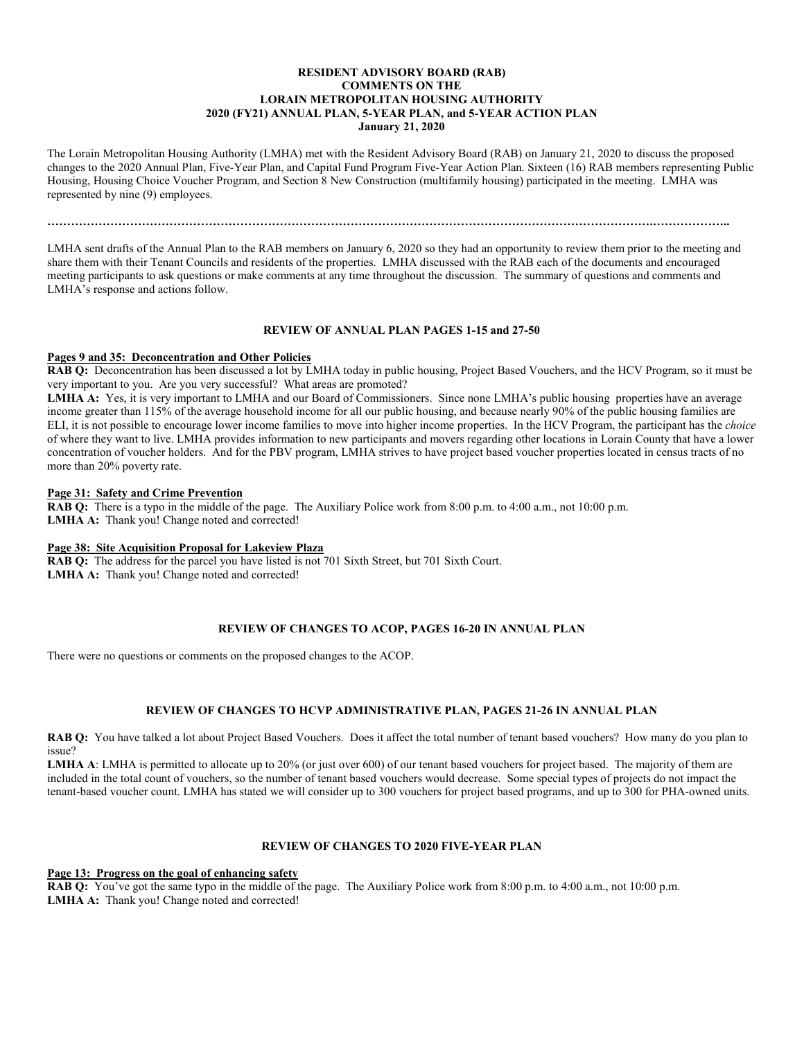### **RESIDENT ADVISORY BOARD (RAB) COMMENTS ON THE LORAIN METROPOLITAN HOUSING AUTHORITY 2020 (FY21) ANNUAL PLAN, 5-YEAR PLAN, and 5-YEAR ACTION PLAN January 21, 2020**

The Lorain Metropolitan Housing Authority (LMHA) met with the Resident Advisory Board (RAB) on January 21, 2020 to discuss the proposed changes to the 2020 Annual Plan, Five-Year Plan, and Capital Fund Program Five-Year Action Plan. Sixteen (16) RAB members representing Public Housing, Housing Choice Voucher Program, and Section 8 New Construction (multifamily housing) participated in the meeting. LMHA was represented by nine (9) employees.

**……………………………………………………………………………………………………………………………………….………………..**

LMHA sent drafts of the Annual Plan to the RAB members on January 6, 2020 so they had an opportunity to review them prior to the meeting and share them with their Tenant Councils and residents of the properties. LMHA discussed with the RAB each of the documents and encouraged meeting participants to ask questions or make comments at any time throughout the discussion. The summary of questions and comments and LMHA's response and actions follow.

#### **REVIEW OF ANNUAL PLAN PAGES 1-15 and 27-50**

#### **Pages 9 and 35: Deconcentration and Other Policies**

**RAB Q:** Deconcentration has been discussed a lot by LMHA today in public housing, Project Based Vouchers, and the HCV Program, so it must be very important to you. Are you very successful? What areas are promoted?

**LMHA A:** Yes, it is very important to LMHA and our Board of Commissioners. Since none LMHA's public housing properties have an average income greater than 115% of the average household income for all our public housing, and because nearly 90% of the public housing families are ELI, it is not possible to encourage lower income families to move into higher income properties. In the HCV Program, the participant has the *choice* of where they want to live. LMHA provides information to new participants and movers regarding other locations in Lorain County that have a lower concentration of voucher holders. And for the PBV program, LMHA strives to have project based voucher properties located in census tracts of no more than 20% poverty rate.

#### **Page 31: Safety and Crime Prevention**

**RAB Q:** There is a typo in the middle of the page. The Auxiliary Police work from 8:00 p.m. to 4:00 a.m., not 10:00 p.m. **LMHA A:** Thank you! Change noted and corrected!

#### **Page 38: Site Acquisition Proposal for Lakeview Plaza**

**RAB Q:** The address for the parcel you have listed is not 701 Sixth Street, but 701 Sixth Court. **LMHA A:** Thank you! Change noted and corrected!

#### **REVIEW OF CHANGES TO ACOP, PAGES 16-20 IN ANNUAL PLAN**

There were no questions or comments on the proposed changes to the ACOP.

#### **REVIEW OF CHANGES TO HCVP ADMINISTRATIVE PLAN, PAGES 21-26 IN ANNUAL PLAN**

**RAB Q:** You have talked a lot about Project Based Vouchers. Does it affect the total number of tenant based vouchers? How many do you plan to issue?

LMHA A: LMHA is permitted to allocate up to 20% (or just over 600) of our tenant based vouchers for project based. The majority of them are included in the total count of vouchers, so the number of tenant based vouchers would decrease. Some special types of projects do not impact the tenant-based voucher count. LMHA has stated we will consider up to 300 vouchers for project based programs, and up to 300 for PHA-owned units.

# **REVIEW OF CHANGES TO 2020 FIVE-YEAR PLAN**

**Page 13: Progress on the goal of enhancing safety**

**RAB Q:** You've got the same typo in the middle of the page. The Auxiliary Police work from 8:00 p.m. to 4:00 a.m., not 10:00 p.m. LMHA A: Thank you! Change noted and corrected!